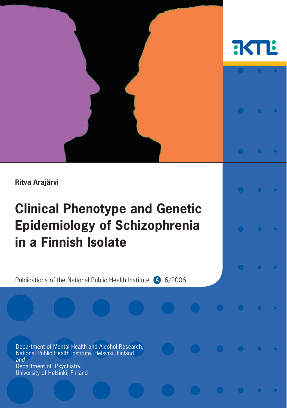

**Ritva Arajärvi**

# **Clinical Phenotype and Genetic Epidemiology of Schizophrenia in a Finnish Isolate**

Publications of the National Public Health Institute  $\overline{A}$  6/2006

Department of Mental Health and Alcohol Research, National Public Health Institute, Helsinki, Finland and Department of Psychiatry, University of Helsinki, Finland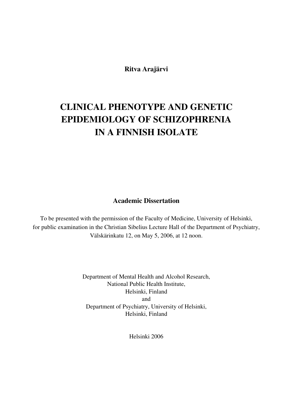**Ritva Arajärvi**

# **CLINICAL PHENOTYPE AND GENETIC EPIDEMIOLOGY OF SCHIZOPHRENIA IN A FINNISH ISOLATE**

**Academic Dissertation**

To be presented with the permission of the Faculty of Medicine, University of Helsinki, for public examination in the Christian Sibelius Lecture Hall of the Department of Psychiatry, Välskärinkatu 12, on May 5, 2006, at 12 noon.

> Department of Mental Health and Alcohol Research, National Public Health Institute, Helsinki, Finland and Department of Psychiatry, University of Helsinki, Helsinki, Finland

> > Helsinki 2006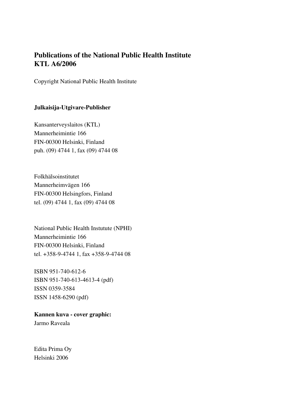### **Publications of the National Public Health Institute KTL A6/2006**

Copyright National Public Health Institute

#### **Julkaisija-Utgivare-Publisher**

Kansanterveyslaitos (KTL) Mannerheimintie 166 FIN-00300 Helsinki, Finland puh. (09) 4744 1, fax (09) 4744 08

Folkhälsoinstitutet Mannerheimvägen 166 FIN-00300 Helsingfors, Finland tel. (09) 4744 1, fax (09) 4744 08

National Public Health Instutute (NPHI) Mannerheimintie 166 FIN-00300 Helsinki, Finland tel. +358-9-4744 1, fax +358-9-4744 08

ISBN 951-740-612-6 ISBN 951-740-613-4613-4 (pdf) ISSN 0359-3584 ISSN 1458-6290 (pdf)

**Kannen kuva - cover graphic:** Jarmo Raveala

Edita Prima Oy Helsinki 2006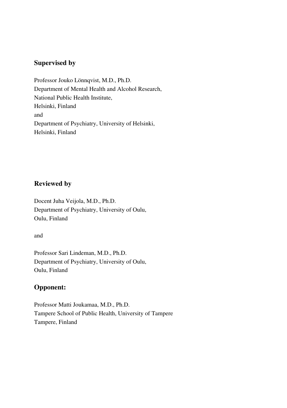### **Supervised by**

Professor Jouko Lönnqvist, M.D., Ph.D. Department of Mental Health and Alcohol Research, National Public Health Institute, Helsinki, Finland and Department of Psychiatry, University of Helsinki, Helsinki, Finland

#### **Reviewed by**

Docent Juha Veijola, M.D., Ph.D. Department of Psychiatry, University of Oulu, Oulu, Finland

and

Professor Sari Lindeman, M.D., Ph.D. Department of Psychiatry, University of Oulu, Oulu, Finland

#### **Opponent:**

Professor Matti Joukamaa, M.D., Ph.D. Tampere School of Public Health, University of Tampere Tampere, Finland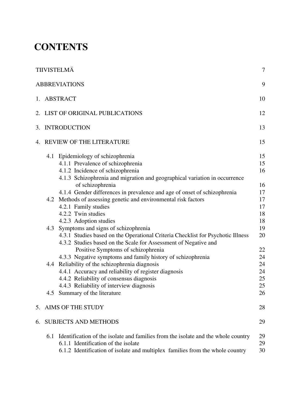# **CONTENTS**

|    | TIIVISTELMÄ                                                                                                                                                                                                                                                                                                                                                                                                                                                                                                                                                                                                                                                                                                                                                                                                                                                                                        | $\boldsymbol{7}$                                                                             |  |  |  |  |  |  |  |
|----|----------------------------------------------------------------------------------------------------------------------------------------------------------------------------------------------------------------------------------------------------------------------------------------------------------------------------------------------------------------------------------------------------------------------------------------------------------------------------------------------------------------------------------------------------------------------------------------------------------------------------------------------------------------------------------------------------------------------------------------------------------------------------------------------------------------------------------------------------------------------------------------------------|----------------------------------------------------------------------------------------------|--|--|--|--|--|--|--|
|    | <b>ABBREVIATIONS</b>                                                                                                                                                                                                                                                                                                                                                                                                                                                                                                                                                                                                                                                                                                                                                                                                                                                                               | 9                                                                                            |  |  |  |  |  |  |  |
|    | 1. ABSTRACT<br>10                                                                                                                                                                                                                                                                                                                                                                                                                                                                                                                                                                                                                                                                                                                                                                                                                                                                                  |                                                                                              |  |  |  |  |  |  |  |
|    | 2. LIST OF ORIGINAL PUBLICATIONS<br>12                                                                                                                                                                                                                                                                                                                                                                                                                                                                                                                                                                                                                                                                                                                                                                                                                                                             |                                                                                              |  |  |  |  |  |  |  |
| 3. | <b>INTRODUCTION</b><br>13                                                                                                                                                                                                                                                                                                                                                                                                                                                                                                                                                                                                                                                                                                                                                                                                                                                                          |                                                                                              |  |  |  |  |  |  |  |
| 4. | REVIEW OF THE LITERATURE<br>15                                                                                                                                                                                                                                                                                                                                                                                                                                                                                                                                                                                                                                                                                                                                                                                                                                                                     |                                                                                              |  |  |  |  |  |  |  |
|    | 4.1 Epidemiology of schizophrenia<br>4.1.1 Prevalence of schizophrenia<br>4.1.2 Incidence of schizophrenia<br>4.1.3 Schizophrenia and migration and geographical variation in occurrence<br>of schizophrenia<br>4.1.4 Gender differences in prevalence and age of onset of schizophrenia<br>4.2 Methods of assessing genetic and environmental risk factors<br>4.2.1 Family studies<br>4.2.2 Twin studies<br>4.2.3 Adoption studies<br>Symptoms and signs of schizophrenia<br>4.3<br>4.3.1 Studies based on the Operational Criteria Checklist for Psychotic Illness<br>4.3.2 Studies based on the Scale for Assessment of Negative and<br>Positive Symptoms of schizophrenia<br>4.3.3 Negative symptoms and family history of schizophrenia<br>4.4 Reliability of the schizophrenia diagnosis<br>4.4.1 Accuracy and reliability of register diagnosis<br>4.4.2 Reliability of consensus diagnosis | 15<br>15<br>16<br>16<br>17<br>17<br>17<br>18<br>18<br>19<br>20<br>22<br>24<br>24<br>24<br>25 |  |  |  |  |  |  |  |
|    | 4.4.3 Reliability of interview diagnosis<br>Summary of the literature<br>4.5                                                                                                                                                                                                                                                                                                                                                                                                                                                                                                                                                                                                                                                                                                                                                                                                                       | 25<br>26                                                                                     |  |  |  |  |  |  |  |
| 5. | <b>AIMS OF THE STUDY</b>                                                                                                                                                                                                                                                                                                                                                                                                                                                                                                                                                                                                                                                                                                                                                                                                                                                                           | 28                                                                                           |  |  |  |  |  |  |  |
| 6. | <b>SUBJECTS AND METHODS</b>                                                                                                                                                                                                                                                                                                                                                                                                                                                                                                                                                                                                                                                                                                                                                                                                                                                                        | 29                                                                                           |  |  |  |  |  |  |  |
|    | Identification of the isolate and families from the isolate and the whole country<br>6.1<br>6.1.1 Identification of the isolate<br>6.1.2 Identification of isolate and multiplex families from the whole country                                                                                                                                                                                                                                                                                                                                                                                                                                                                                                                                                                                                                                                                                   | 29<br>29<br>30                                                                               |  |  |  |  |  |  |  |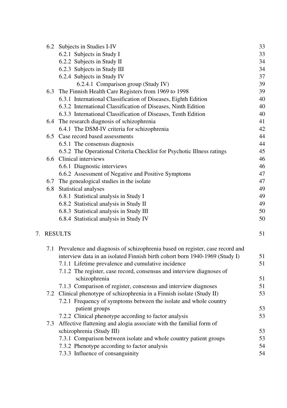|     | 6.2 Subjects in Studies I-IV                                                     | 33 |
|-----|----------------------------------------------------------------------------------|----|
|     | 6.2.1 Subjects in Study I                                                        | 33 |
|     | 6.2.2 Subjects in Study II                                                       | 34 |
|     | 6.2.3 Subjects in Study III                                                      | 34 |
|     | 6.2.4 Subjects in Study IV                                                       | 37 |
|     | 6.2.4.1 Comparison group (Study IV)                                              | 39 |
|     | 6.3 The Finnish Health Care Registers from 1969 to 1998                          | 39 |
|     | 6.3.1 International Classification of Diseases, Eighth Edition                   | 40 |
|     | 6.3.2 International Classification of Diseases, Ninth Edition                    | 40 |
|     | 6.3.3 International Classification of Diseases, Tenth Edition                    | 40 |
|     | 6.4 The research diagnosis of schizophrenia                                      | 41 |
|     | 6.4.1 The DSM-IV criteria for schizophrenia                                      | 42 |
| 6.5 | Case record based assessments                                                    | 44 |
|     | 6.5.1 The consensus diagnosis                                                    | 44 |
|     | 6.5.2 The Operational Criteria Checklist for Psychotic Illness ratings           | 45 |
|     | 6.6 Clinical interviews                                                          | 46 |
|     | 6.6.1 Diagnostic interviews                                                      | 46 |
|     | 6.6.2 Assessment of Negative and Positive Symptoms                               | 47 |
|     | 6.7 The genealogical studies in the isolate                                      | 47 |
| 6.8 | Statistical analyses                                                             | 49 |
|     | 6.8.1 Statistical analysis in Study I                                            | 49 |
|     | 6.8.2 Statistical analysis in Study II                                           | 49 |
|     | 6.8.3 Statistical analysis in Study III                                          | 50 |
|     | 6.8.4 Statistical analysis in Study IV                                           | 50 |
|     | 7. RESULTS                                                                       | 51 |
|     | 7.1 Prevalence and diagnosis of schizophrenia based on register, case record and |    |
|     | interview data in an isolated Finnish birth cohort born 1940-1969 (Study I)      | 51 |
|     | 7.1.1 Lifetime prevalence and cumulative incidence                               | 51 |
|     | 7.1.2 The register, case record, consensus and interview diagnoses of            |    |
|     | schizophrenia                                                                    | 51 |
|     | 7.1.3 Comparison of register, consensus and interview diagnoses                  | 51 |
|     | 7.2 Clinical phenotype of schizophrenia in a Finnish isolate (Study II)          | 53 |
|     | 7.2.1 Frequency of symptoms between the isolate and whole country                | 53 |
|     | patient groups<br>7.2.2 Clinical phenotype according to factor analysis          | 53 |
|     | Affective flattening and alogia associate with the familial form of              |    |
| 7.3 | schizophrenia (Study III)                                                        | 53 |
|     | 7.3.1 Comparison between isolate and whole country patient groups                | 53 |
|     | 7.3.2 Phenotype according to factor analysis                                     | 54 |
|     | 7.3.3 Influence of consanguinity                                                 | 54 |
|     |                                                                                  |    |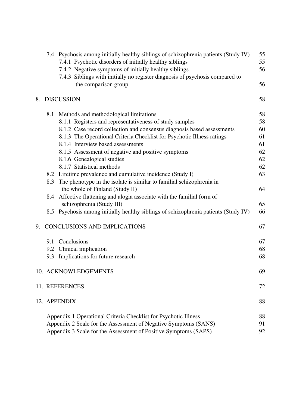|                      | 7.4 Psychosis among initially healthy siblings of schizophrenia patients (Study IV) | 55 |  |  |  |  |  |
|----------------------|-------------------------------------------------------------------------------------|----|--|--|--|--|--|
|                      | 7.4.1 Psychotic disorders of initially healthy siblings                             | 55 |  |  |  |  |  |
|                      | 7.4.2 Negative symptoms of initially healthy siblings                               | 56 |  |  |  |  |  |
|                      | 7.4.3 Siblings with initially no register diagnosis of psychosis compared to        |    |  |  |  |  |  |
|                      | the comparison group                                                                | 56 |  |  |  |  |  |
|                      |                                                                                     |    |  |  |  |  |  |
|                      | 8. DISCUSSION                                                                       | 58 |  |  |  |  |  |
|                      | 8.1 Methods and methodological limitations                                          | 58 |  |  |  |  |  |
|                      | 8.1.1 Registers and representativeness of study samples                             | 58 |  |  |  |  |  |
|                      | 8.1.2 Case record collection and consensus diagnosis based assessments              | 60 |  |  |  |  |  |
|                      | 8.1.3 The Operational Criteria Checklist for Psychotic Illness ratings              | 61 |  |  |  |  |  |
|                      | 8.1.4 Interview based assessments                                                   | 61 |  |  |  |  |  |
|                      | 8.1.5 Assessment of negative and positive symptoms                                  | 62 |  |  |  |  |  |
|                      | 8.1.6 Genealogical studies                                                          | 62 |  |  |  |  |  |
|                      | 8.1.7 Statistical methods                                                           | 62 |  |  |  |  |  |
|                      | 8.2 Lifetime prevalence and cumulative incidence (Study I)                          | 63 |  |  |  |  |  |
| 8.3                  | The phenotype in the isolate is similar to familial schizophrenia in                |    |  |  |  |  |  |
|                      | the whole of Finland (Study II)                                                     | 64 |  |  |  |  |  |
|                      | 8.4 Affective flattening and alogia associate with the familial form of             |    |  |  |  |  |  |
|                      | schizophrenia (Study III)                                                           | 65 |  |  |  |  |  |
|                      | 8.5 Psychosis among initially healthy siblings of schizophrenia patients (Study IV) | 66 |  |  |  |  |  |
|                      | 9. CONCLUSIONS AND IMPLICATIONS                                                     | 67 |  |  |  |  |  |
|                      | 9.1 Conclusions                                                                     | 67 |  |  |  |  |  |
|                      | 9.2 Clinical implication                                                            | 68 |  |  |  |  |  |
|                      | 9.3 Implications for future research                                                | 68 |  |  |  |  |  |
|                      | 10. ACKNOWLEDGEMENTS                                                                | 69 |  |  |  |  |  |
| 11. REFERENCES<br>72 |                                                                                     |    |  |  |  |  |  |
|                      | 12. APPENDIX                                                                        | 88 |  |  |  |  |  |
|                      | Appendix 1 Operational Criteria Checklist for Psychotic Illness                     | 88 |  |  |  |  |  |
|                      | Appendix 2 Scale for the Assessment of Negative Symptoms (SANS)                     | 91 |  |  |  |  |  |
|                      | Appendix 3 Scale for the Assessment of Positive Symptoms (SAPS)                     | 92 |  |  |  |  |  |
|                      |                                                                                     |    |  |  |  |  |  |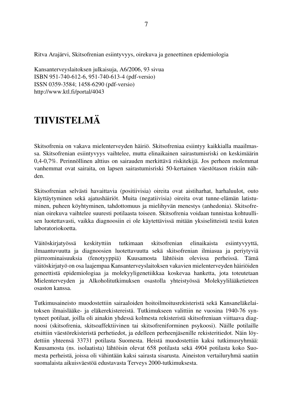Ritva Arajärvi, Skitsofrenian esiintyvyys, oirekuva ja geneettinen epidemiologia

Kansanterveyslaitoksen julkaisuja, A6/2006, 93 sivua ISBN 951-740-612-6, 951-740-613-4 (pdf-versio) ISSN 0359-3584; 1458-6290 (pdf-versio) http://www.ktl.fi/portal/4043

# **TIIVISTELMÄ**

Skitsofrenia on vakava mielenterveyden häiriö. Skitsofreniaa esiintyy kaikkialla maailmassa. Skitsofrenian esiintyvyys vaihtelee, mutta elinaikainen sairastumisriski on keskimäärin 0,4-0,7%. Perinnöllinen alttius on sairauden merkittävä riskitekijä. Jos perheen molemmat vanhemmat ovat sairaita, on lapsen sairastumisriski 50-kertainen väestötason riskiin nähden.

Skitsofrenian selvästi havaittavia (positiivisia) oireita ovat aistiharhat, harhaluulot, outo käyttäytyminen sekä ajatushäiriöt. Muita (negatiivisia) oireita ovat tunne-elämän latistuminen, puheen köyhtyminen, tahdottomuus ja mielihyvän menestys (anhedonia). Skitsofrenian oirekuva vaihtelee suuresti potilaasta toiseen. Skitsofrenia voidaan tunnistaa kohtuullisen luotettavasti, vaikka diagnoosiin ei ole käytettävissä mitään yksiselitteistä testiä kuten laboratoriokoetta.

Väitöskirjatyössä keskityttiin tutkimaan skitsofrenian elinaikaista esiintyvyyttä, ilmaantuvuutta ja diagnoosien luotettavuutta sekä skitsofrenian ilmiasua ja periytyviä piirreominaisuuksia (fenotyyppiä) Kuusamosta lähtöisin olevissa perheissä. Tämä väitöskirjatyö on osa laajempaa Kansanterveyslaitoksen vakavien mielenterveyden häiriöiden geneettistä epidemiologiaa ja molekyyligenetiikkaa koskevaa hanketta, jota toteutetaan Mielenterveyden ja Alkoholitutkimuksen osastolla yhteistyössä Molekyylilääketieteen osaston kanssa.

Tutkimusaineisto muodostettiin sairaaloiden hoitoilmoitusrekisteristä sekä Kansaneläkelaitoksen ilmaislääke- ja eläkerekistereistä. Tutkimukseen valittiin ne vuosina 1940-76 syntyneet potilaat, joilla oli ainakin yhdessä kolmesta rekisteristä skitsofreniaan viittaava diagnoosi (skitsofrenia, skitsoaffektiivinen tai skitsofreniforminen psykoosi). Näille potilaille etsittiin väestörekisteristä perhetiedot, ja edelleen perheenjäsenille rekisteritiedot. Näin löydettiin yhteensä 33731 potilasta Suomesta. Heistä muodostettiin kaksi tutkimusryhmää: Kuusamosta (ns. isolaatista) lähtöisin olevat 658 potilasta sekä 4904 potilasta koko Suomesta perheistä, joissa oli vähintään kaksi sairasta sisarusta. Aineiston vertailuryhmä saatiin suomalaista aikuisväestöä edustavasta Terveys 2000-tutkimuksesta.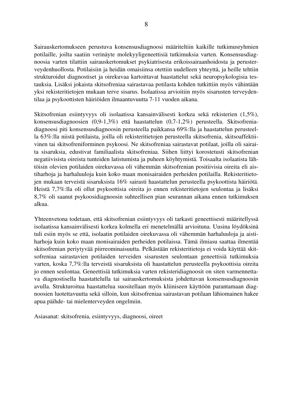Sairauskertomukseen perustuva konsensusdiagnoosi määriteltiin kaikille tutkimusryhmien potilaille, joilta saatiin verinäyte molekyyligeneettisiä tutkimuksia varten. Konsensusdiagnoosia varten tilattiin sairauskertomukset psykiatrisesta erikoissairaanhoidosta ja perusterveydenhuollosta. Potilaisiin ja heidän omaisiinsa otettiin uudelleen yhteyttä, ja heille tehtiin strukturoidut diagnostiset ja oirekuvaa kartoittavat haastattelut sekä neuropsykologisia testauksia. Lisäksi jokaista skitsofreniaa sairastavaa potilasta kohden tutkittiin myös vähintään yksi rekisteritietojen mukaan terve sisarus. Isolaatissa arvioitiin myös sisarusten terveydentilaa ja psykoottisten häiriöiden ilmaantuvuutta 7-11 vuoden aikana.

Skitsofrenian esiintyvyys oli isolaatissa kansainvälisesti korkea sekä rekisterien (1,5%), konsensusdiagnoosien (0,9-1,3%) että haastattelun (0,7-1,2%) perusteella. Skitsofreniadiagnoosi piti konsensusdiagnoosin perusteella paikkansa 69%:lla ja haastattelun perusteella 63%:lla niistä potilaista, joilla oli rekisteritietojen perusteella skitsofrenia, skitsoaffektiivinen tai skitsofreniforminen psykoosi. Ne skitsofreniaa sairastavat potilaat, joilla oli sairaita sisaruksia, edustivat familiaalista skitsofreniaa. Siihen liittyi korostetusti skitsofrenian negatiivisista oireista tunteiden latistumista ja puheen köyhtymistä. Toisaalta isolaatista lähtöisin olevien potilaiden oirekuvassa oli vähemmän skitsofrenian positiivisia oireita eli aistiharhoja ja harhaluuloja kuin koko maan monisairaiden perheiden potilailla. Rekisteritietojen mukaan terveistä sisaruksista 16% sairasti haastattelun perusteella psykoottista häiriötä. Heistä 7,7%:lla oli ollut psykoottisia oireita jo ennen rekisteritietojen seulontaa ja lisäksi 8,7% oli saanut psykoosidiagnoosin suhteellisen pian seurannan aikana ennen tutkimuksen alkua.

Yhteenvetona todetaan, että skitsofrenian esiintyvyys oli tarkasti geneettisesti määritellyssä isolaatissa kansainvälisesti korkea kolmella eri menetelmällä arvioituna. Uusina löydöksinä tuli esiin myös se että, isolaatin potilaiden oirekuvassa oli vähemmän harhaluuloja ja aistiharhoja kuin koko maan monisairaiden perheiden potilaissa. Tämä ilmiasu saattaa ilmentää skitsofrenian periytyvää piirreominaisuutta. Pelkästään rekisteritietoja ei voida käyttää skitsofreniaa sairastavien potilaiden terveiden sisarusten seulontaan geneettisiä tutkimuksia varten, koska 7,7%:lla terveistä sisaruksista oli haastattelun perusteella psykoottisia oireita jo ennen seulontaa. Geneettisiä tutkimuksia varten rekisteridiagnoosit on siten varmennettava diagnostisella haastattelulla tai sairauskertomuksista johdettavan konsensusdiagnoosin avulla. Strukturoitua haastattelua suositellaan myös kliiniseen käyttöön parantamaan diagnoosien luotettavuutta sekä silloin, kun skitsofreniaa sairastavan potilaan lähiomainen hakee apua päihde- tai mielenterveyden ongelmiin.

Asiasanat: skitsofrenia, esiintyvyys, diagnoosi, oireet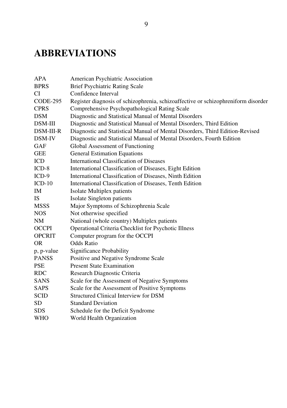# **ABBREVIATIONS**

| APA             | American Psychiatric Association                                                  |  |  |  |  |  |  |  |  |
|-----------------|-----------------------------------------------------------------------------------|--|--|--|--|--|--|--|--|
| <b>BPRS</b>     | <b>Brief Psychiatric Rating Scale</b>                                             |  |  |  |  |  |  |  |  |
| <b>CI</b>       | Confidence Interval                                                               |  |  |  |  |  |  |  |  |
| <b>CODE-295</b> | Register diagnosis of schizophrenia, schizoaffective or schizophreniform disorder |  |  |  |  |  |  |  |  |
| <b>CPRS</b>     | Comprehensive Psychopathological Rating Scale                                     |  |  |  |  |  |  |  |  |
| <b>DSM</b>      | Diagnostic and Statistical Manual of Mental Disorders                             |  |  |  |  |  |  |  |  |
| DSM-III         | Diagnostic and Statistical Manual of Mental Disorders, Third Edition              |  |  |  |  |  |  |  |  |
| DSM-III-R       | Diagnostic and Statistical Manual of Mental Disorders, Third Edition-Revised      |  |  |  |  |  |  |  |  |
| DSM-IV          | Diagnostic and Statistical Manual of Mental Disorders, Fourth Edition             |  |  |  |  |  |  |  |  |
| <b>GAF</b>      | Global Assessment of Functioning                                                  |  |  |  |  |  |  |  |  |
| <b>GEE</b>      | <b>General Estimation Equations</b>                                               |  |  |  |  |  |  |  |  |
| ICD             | <b>International Classification of Diseases</b>                                   |  |  |  |  |  |  |  |  |
| $ICD-8$         | International Classification of Diseases, Eight Edition                           |  |  |  |  |  |  |  |  |
| $ICD-9$         | International Classification of Diseases, Ninth Edition                           |  |  |  |  |  |  |  |  |
| $ICD-10$        | International Classification of Diseases, Tenth Edition                           |  |  |  |  |  |  |  |  |
| IM              | Isolate Multiplex patients                                                        |  |  |  |  |  |  |  |  |
| <b>IS</b>       | Isolate Singleton patients                                                        |  |  |  |  |  |  |  |  |
| <b>MSSS</b>     | Major Symptoms of Schizophrenia Scale                                             |  |  |  |  |  |  |  |  |
| <b>NOS</b>      | Not otherwise specified                                                           |  |  |  |  |  |  |  |  |
| NM              | National (whole country) Multiplex patients                                       |  |  |  |  |  |  |  |  |
| <b>OCCPI</b>    | <b>Operational Criteria Checklist for Psychotic Illness</b>                       |  |  |  |  |  |  |  |  |
| <b>OPCRIT</b>   | Computer program for the OCCPI                                                    |  |  |  |  |  |  |  |  |
| <b>OR</b>       | <b>Odds Ratio</b>                                                                 |  |  |  |  |  |  |  |  |
| p, p-value      | <b>Significance Probability</b>                                                   |  |  |  |  |  |  |  |  |
| <b>PANSS</b>    | Positive and Negative Syndrome Scale                                              |  |  |  |  |  |  |  |  |
| <b>PSE</b>      | <b>Present State Examination</b>                                                  |  |  |  |  |  |  |  |  |
| <b>RDC</b>      | Research Diagnostic Criteria                                                      |  |  |  |  |  |  |  |  |
| <b>SANS</b>     | Scale for the Assessment of Negative Symptoms                                     |  |  |  |  |  |  |  |  |
| <b>SAPS</b>     | Scale for the Assessment of Positive Symptoms                                     |  |  |  |  |  |  |  |  |
| <b>SCID</b>     | <b>Structured Clinical Interview for DSM</b>                                      |  |  |  |  |  |  |  |  |
| SD              | <b>Standard Deviation</b>                                                         |  |  |  |  |  |  |  |  |
| <b>SDS</b>      | Schedule for the Deficit Syndrome                                                 |  |  |  |  |  |  |  |  |
| <b>WHO</b>      | World Health Organization                                                         |  |  |  |  |  |  |  |  |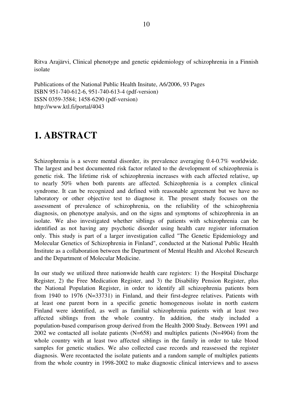Ritva Arajärvi, Clinical phenotype and genetic epidemiology of schizophrenia in a Finnish isolate

Publications of the National Public Health Insitute, A6/2006, 93 Pages ISBN 951-740-612-6, 951-740-613-4 (pdf-version) ISSN 0359-3584; 1458-6290 (pdf-version) http://www.ktl.fi/portal/4043

# **1. ABSTRACT**

Schizophrenia is a severe mental disorder, its prevalence averaging 0.4-0.7% worldwide. The largest and best documented risk factor related to the development of schizophrenia is genetic risk. The lifetime risk of schizophrenia increases with each affected relative, up to nearly 50% when both parents are affected. Schizophrenia is a complex clinical syndrome. It can be recognized and defined with reasonable agreement but we have no laboratory or other objective test to diagnose it. The present study focuses on the assessment of prevalence of schizophrenia, on the reliability of the schizophrenia diagnosis, on phenotype analysis, and on the signs and symptoms of schizophrenia in an isolate. We also investigated whether siblings of patients with schizophrenia can be identified as not having any psychotic disorder using health care register information only. This study is part of a larger investigation called "The Genetic Epidemiology and Molecular Genetics of Schizophrenia in Finland", conducted at the National Public Health Institute as a collaboration between the Department of Mental Health and Alcohol Research and the Department of Molecular Medicine.

In our study we utilized three nationwide health care registers: 1) the Hospital Discharge Register, 2) the Free Medication Register, and 3) the Disability Pension Register, plus the National Population Register, in order to identify all schizophrenia patients born from 1940 to 1976 (N=33731) in Finland, and their first-degree relatives. Patients with at least one parent born in a specific genetic homogeneous isolate in north eastern Finland were identified, as well as familial schizophrenia patients with at least two affected siblings from the whole country. In addition, the study included a population-based comparison group derived from the Health 2000 Study. Between 1991 and 2002 we contacted all isolate patients (N=658) and multiplex patients (N=4904) from the whole country with at least two affected siblings in the family in order to take blood samples for genetic studies. We also collected case records and reassessed the register diagnosis. Were recontacted the isolate patients and a random sample of multiplex patients from the whole country in 1998-2002 to make diagnostic clinical interviews and to assess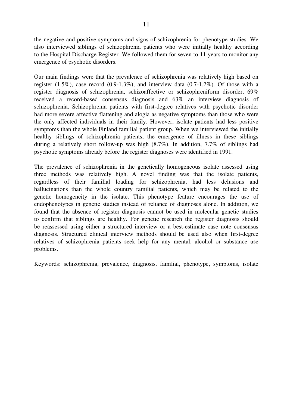the negative and positive symptoms and signs of schizophrenia for phenotype studies. We also interviewed siblings of schizophrenia patients who were initially healthy according to the Hospital Discharge Register. We followed them for seven to 11 years to monitor any emergence of psychotic disorders.

Our main findings were that the prevalence of schizophrenia was relatively high based on register  $(1.5\%)$ , case record  $(0.9-1.3\%)$ , and interview data  $(0.7-1.2\%)$ . Of those with a register diagnosis of schizophrenia, schizoaffective or schizophreniform disorder, 69% received a record-based consensus diagnosis and 63% an interview diagnosis of schizophrenia. Schizophrenia patients with first-degree relatives with psychotic disorder had more severe affective flattening and alogia as negative symptoms than those who were the only affected individuals in their family. However, isolate patients had less positive symptoms than the whole Finland familial patient group. When we interviewed the initially healthy siblings of schizophrenia patients, the emergence of illness in these siblings during a relatively short follow-up was high (8.7%). In addition, 7.7% of siblings had psychotic symptoms already before the register diagnoses were identified in 1991.

The prevalence of schizophrenia in the genetically homogeneous isolate assessed using three methods was relatively high. A novel finding was that the isolate patients, regardless of their familial loading for schizophrenia, had less delusions and hallucinations than the whole country familial patients, which may be related to the genetic homogeneity in the isolate. This phenotype feature encourages the use of endophenotypes in genetic studies instead of reliance of diagnoses alone. In addition, we found that the absence of register diagnosis cannot be used in molecular genetic studies to confirm that siblings are healthy. For genetic research the register diagnosis should be reassessed using either a structured interview or a best-estimate case note consensus diagnosis. Structured clinical interview methods should be used also when first-degree relatives of schizophrenia patients seek help for any mental, alcohol or substance use problems.

Keywords: schizophrenia, prevalence, diagnosis, familial, phenotype, symptoms, isolate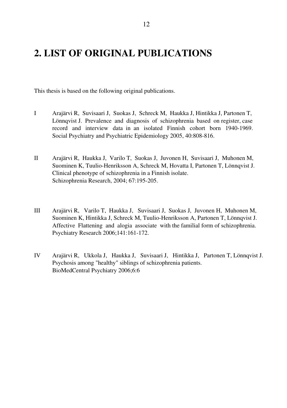# **2. LIST OF ORIGINAL PUBLICATIONS**

This thesis is based on the following original publications.

- I Arajärvi R, Suvisaari J, Suokas J, Schreck M, Haukka J, Hintikka J, Partonen T, Lönnqvist J. Prevalence and diagnosis of schizophrenia based on register, case record and interview data in an isolated Finnish cohort born 1940-1969. Social Psychiatry and Psychiatric Epidemiology 2005, 40:808-816.
- II Arajärvi R, Haukka J, Varilo T, Suokas J, Juvonen H, Suvisaari J, Muhonen M, Suominen K, Tuulio-Henriksson A, Schreck M, Hovatta I, Partonen T, Lönnqvist J. Clinical phenotype of schizophrenia in a Finnish isolate. Schizophrenia Research, 2004; 67:195-205.
- III Arajärvi R, Varilo T, Haukka J, Suvisaari J, Suokas J, Juvonen H, Muhonen M, Suominen K, Hintikka J, Schreck M, Tuulio-Henriksson A, Partonen T, Lönnqvist J. Affective Flattening and alogia associate with the familial form of schizophrenia. Psychiatry Research 2006;141:161-172.
- IV Arajärvi R, Ukkola J, Haukka J, Suvisaari J, Hintikka J, Partonen T, Lönnqvist J. Psychosis among "healthy" siblings of schizophrenia patients. BioMedCentral Psychiatry 2006;6:6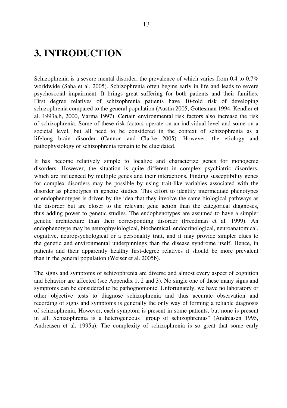# **3. INTRODUCTION**

Schizophrenia is a severe mental disorder, the prevalence of which varies from 0.4 to 0.7% worldwide (Saha et al. 2005). Schizophrenia often begins early in life and leads to severe psychosocial impairment. It brings great suffering for both patients and their families. First degree relatives of schizophrenia patients have 10-fold risk of developing schizophrenia compared to the general population (Austin 2005, Gottesman 1994, Kendler et al. 1993a,b, 2000, Varma 1997). Certain environmental risk factors also increase the risk of schizophrenia. Some of these risk factors operate on an individual level and some on a societal level, but all need to be considered in the context of schizophrenia as a lifelong brain disorder (Cannon and Clarke 2005). However, the etiology and pathophysiology of schizophrenia remain to be elucidated.

It has become relatively simple to localize and characterize genes for monogenic disorders. However, the situation is quite different in complex psychiatric disorders, which are influenced by multiple genes and their interactions. Finding susceptibility genes for complex disorders may be possible by using trait-like variables associated with the disorder as phenotypes in genetic studies. This effort to identify intermediate phenotypes or endophenotypes is driven by the idea that they involve the same biological pathways as the disorder but are closer to the relevant gene action than the categorical diagnoses, thus adding power to genetic studies. The endophenotypes are assumed to have a simpler genetic architecture than their corresponding disorder (Freedman et al. 1999). An endophenotype may be neurophysiological, biochemical, endocrinological, neuroanatomical, cognitive, neuropsychological or a personality trait, and it may provide simpler clues to the genetic and environmental underpinnings than the disease syndrome itself. Hence, in patients and their apparently healthy first-degree relatives it should be more prevalent than in the general population (Weiser et al. 2005b).

The signs and symptoms of schizophrenia are diverse and almost every aspect of cognition and behavior are affected (see Appendix 1, 2 and 3). No single one of these many signs and symptoms can be considered to be pathognomonic. Unfortunately, we have no laboratory or other objective tests to diagnose schizophrenia and thus accurate observation and recording of signs and symptoms is generally the only way of forming a reliable diagnosis of schizophrenia. However, each symptom is present in some patients, but none is present in all. Schizophrenia is a heterogeneous "group of schizophrenias" (Andreasen 1995, Andreasen et al. 1995a). The complexity of schizophrenia is so great that some early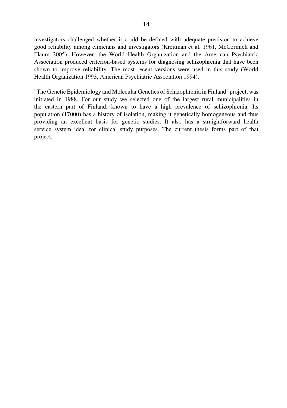investigators challenged whether it could be defined with adequate precision to achieve good reliability among clinicians and investigators (Kreitman et al. 1961, McCormick and Flaum 2005). However, the World Health Organization and the American Psychiatric Association produced criterion-based systems for diagnosing schizophrenia that have been shown to improve reliability. The most recent versions were used in this study (World Health Organization 1993, American Psychiatric Association 1994).

"The Genetic Epidemiology and Molecular Genetics of Schizophrenia in Finland" project, was initiated in 1988. For our study we selected one of the largest rural municipalities in the eastern part of Finland, known to have a high prevalence of schizophrenia. Its population (17000) has a history of isolation, making it genetically homogeneous and thus providing an excellent basis for genetic studies. It also has a straightforward health service system ideal for clinical study purposes. The current thesis forms part of that project.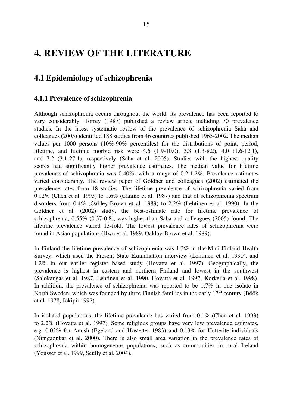# **4. REVIEW OF THE LITERATURE**

## **4.1 Epidemiology of schizophrenia**

#### **4.1.1 Prevalence of schizophrenia**

Although schizophrenia occurs throughout the world, its prevalence has been reported to vary considerably. Torrey (1987) published a review article including 70 prevalence studies. In the latest systematic review of the prevalence of schizophrenia Saha and colleagues (2005) identified 188 studies from 46 countries published 1965-2002. The median values per 1000 persons (10%-90% percentiles) for the distributions of point, period, lifetime, and lifetime morbid risk were 4.6 (1.9-10.0), 3.3 (1.3-8.2), 4.0 (1.6-12.1), and 7.2 (3.1-27.1), respectively (Saha et al. 2005). Studies with the highest quality scores had significantly higher prevalence estimates. The median value for lifetime prevalence of schizophrenia was 0.40%, with a range of 0.2-1.2%. Prevalence estimates varied considerably. The review paper of Goldner and colleagues (2002) estimated the prevalence rates from 18 studies. The lifetime prevalence of schizophrenia varied from 0.12% (Chen et al. 1993) to 1.6% (Canino et al. 1987) and that of schizophrenia spectrum disorders from 0.4% (Oakley-Brown et al. 1989) to 2.2% (Lehtinen et al. 1990). In the Goldner et al. (2002) study, the best-estimate rate for lifetime prevalence of schizophrenia, 0.55% (0.37-0.8), was higher than Saha and colleagues (2005) found. The lifetime prevalence varied 13-fold. The lowest prevalence rates of schizophrenia were found in Asian populations (Hwu et al. 1989, Oaklay-Brown et al. 1989).

In Finland the lifetime prevalence of schizophrenia was 1.3% in the Mini-Finland Health Survey, which used the Present State Examination interview (Lehtinen et al. 1990), and 1.2% in our earlier register based study (Hovatta et al. 1997). Geographically, the prevalence is highest in eastern and northern Finland and lowest in the southwest (Salokangas et al. 1987, Lehtinen et al. 1990, Hovatta et al. 1997, Korkeila et al. 1998). In addition, the prevalence of schizophrenia was reported to be 1.7% in one isolate in North Sweden, which was founded by three Finnish families in the early 17<sup>th</sup> century (Böök et al. 1978, Jokipii 1992).

In isolated populations, the lifetime prevalence has varied from 0.1% (Chen et al. 1993) to 2.2% (Hovatta et al. 1997). Some religious groups have very low prevalence estimates, e.g. 0.03% for Amish (Egeland and Hostetter 1983) and 0.13% for Hutterite individuals (Nimgaonkar et al. 2000). There is also small area variation in the prevalence rates of schizophrenia within homogeneous populations, such as communities in rural Ireland (Youssef et al. 1999, Scully et al. 2004).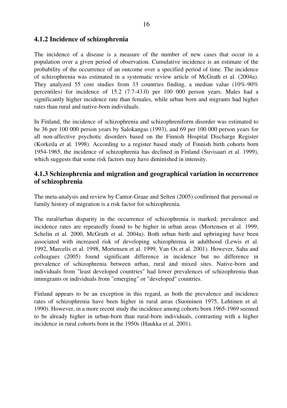#### **4.1.2 Incidence of schizophrenia**

The incidence of a disease is a measure of the number of new cases that occur in a population over a given period of observation. Cumulative incidence is an estimate of the probability of the occurrence of an outcome over a specified period of time. The incidence of schizophrenia was estimated in a systematic review article of McGrath et al. (2004a). They analyzed 55 core studies from 33 countries finding, a median value (10%-90% percentiles) for incidence of 15.2 (7.7-43.0) per 100 000 person years. Males had a significantly higher incidence rate than females, while urban born and migrants had higher rates than rural and native-born individuals.

In Finland, the incidence of schizophrenia and schizophreniform disorder was estimated to be 36 per 100 000 person years by Salokangas (1993), and 69 per 100 000 person years for all non-affective psychotic disorders based on the Finnish Hospital Discharge Register (Korkeila et al. 1998). According to a register based study of Finnish birth cohorts born 1954-1965, the incidence of schizophrenia has declined in Finland (Suvisaari et al. 1999), which suggests that some risk factors may have diminished in intensity.

#### **4.1.3 Schizophrenia and migration and geographical variation in occurrence of schizophrenia**

The meta-analysis and review by Cantor-Graae and Selten (2005) confirmed that personal or family history of migration is a risk factor for schizophrenia.

The rural/urban disparity in the occurrence of schizophrenia is marked; prevalence and incidence rates are repeatedly found to be higher in urban areas (Mortensen et al. 1999, Schelin et al. 2000, McGrath et al. 2004a). Both urban birth and upbringing have been associated with increased risk of developing schizophrenia in adulthood (Lewis et al. 1992, Marcelis et al. 1998, Mortensen et al. 1999, Van Os et al. 2001). However, Saha and colleagues (2005) found significant difference in incidence but no difference in prevalence of schizophrenia between urban, rural and mixed sites. Native-born and individuals from "least developed countries" had lower prevalences of schizophrenia than immigrants or individuals from "emerging" or "developed" countries.

Finland appears to be an exception in this regard, as both the prevalence and incidence rates of schizophrenia have been higher in rural areas (Suominen 1975, Lehtinen et al. 1990). However, in a more recent study the incidence among cohorts born 1965-1969 seemed to be already higher in urban-born than rural-born individuals, contrasting with a higher incidence in rural cohorts born in the 1950s (Haukka et al. 2001).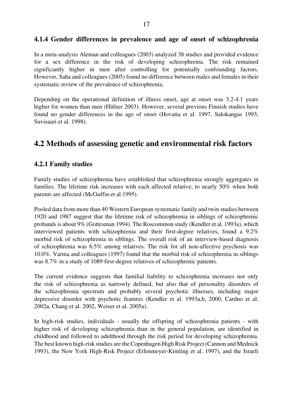#### **4.1.4 Gender differences in prevalence and age of onset of schizophrenia**

In a meta-analysis Aleman and colleagues (2003) analyzed 38 studies and provided evidence for a sex difference in the risk of developing schizophrenia. The risk remained significantly higher in men after controlling for potentially confounding factors. However, Saha and colleagues (2005) found no difference between males and females in their systematic review of the prevalence of schizophrenia.

Depending on the operational definition of illness onset, age at onset was 3.2-4.1 years higher for women than men (Häfner 2003). However, several previous Finnish studies have found no gender differences in the age of onset (Hovatta et al. 1997, Salokangas 1993, Suvisaari et al. 1998).

### **4.2 Methods of assessing genetic and environmental risk factors**

#### **4.2.1 Family studies**

Family studies of schizophrenia have established that schizophrenia strongly aggregates in families. The lifetime risk increases with each affected relative, to nearly 50% when both parents are affected (McGuffin et al.1995).

Pooled data from more than 40 Western European systematic family and twin studies between 1920 and 1987 suggest that the lifetime risk of schizophrenia in siblings of schizophrenic probands is about 9% (Gottesman 1994). The Roscommon study (Kendler et al. 1993a), which interviewed patients with schizophrenia and their first-degree relatives, found a 9.2% morbid risk of schizophrenia in siblings. The overall risk of an interview-based diagnosis of schizophrenia was 6.5% among relatives. The risk for all non-affective psychosis was 10.0%. Varma and colleagues (1997) found that the morbid risk of schizophrenia in siblings was 8.7% in a study of 1089 first-degree relatives of schizophrenic patients.

The current evidence suggests that familial liability to schizophrenia increases not only the risk of schizophrenia as narrowly defined, but also that of personality disorders of the schizophrenia spectrum and probably several psychotic illnesses, including major depressive disorder with psychotic features (Kendler et al. 1993a,b, 2000, Cardno et al. 2002a, Chang et al. 2002, Weiser et al. 2005a).

In high-risk studies, individuals - usually the offspring of schizophrenia patients - with higher risk of developing schizophrenia than in the general population, are identified in childhood and followed to adulthood through the risk period for developing schizophrenia. The best known high-risk studies are the Copenhagen High Risk Project (Cannon and Mednick 1993), the New York High-Risk Project (Erlenmeyer-Kimling et al. 1997), and the Israeli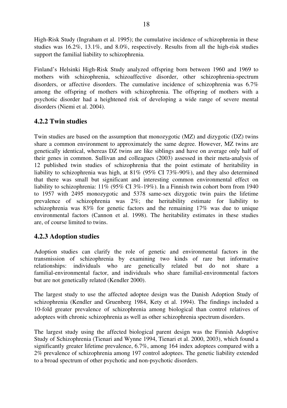High-Risk Study (Ingraham et al. 1995); the cumulative incidence of schizophrenia in these studies was 16.2%, 13.1%, and 8.0%, respectively. Results from all the high-risk studies support the familial liability to schizophrenia.

Finland's Helsinki High-Risk Study analyzed offspring born between 1960 and 1969 to mothers with schizophrenia, schizoaffective disorder, other schizophrenia-spectrum disorders, or affective disorders. The cumulative incidence of schizophrenia was 6.7% among the offspring of mothers with schizophrenia. The offspring of mothers with a psychotic disorder had a heightened risk of developing a wide range of severe mental disorders (Niemi et al. 2004).

#### **4.2.2 Twin studies**

Twin studies are based on the assumption that monozygotic (MZ) and dizygotic (DZ) twins share a common environment to approximately the same degree. However, MZ twins are genetically identical, whereas DZ twins are like siblings and have on average only half of their genes in common. Sullivan and colleagues (2003) assessed in their meta-analysis of 12 published twin studies of schizophrenia that the point estimate of heritability in liability to schizophrenia was high, at  $81\%$  (95% CI 73%-90%), and they also determined that there was small but significant and interesting common environmental effect on liability to schizophrenia: 11% (95% CI 3%-19%). In a Finnish twin cohort born from 1940 to 1957 with 2495 monozygotic and 5378 same-sex dizygotic twin pairs the lifetime prevalence of schizophrenia was 2%; the heritability estimate for liability to schizophrenia was 83% for genetic factors and the remaining 17% was due to unique environmental factors (Cannon et al. 1998). The heritability estimates in these studies are, of course limited to twins.

### **4.2.3 Adoption studies**

Adoption studies can clarify the role of genetic and environmental factors in the transmission of schizophrenia by examining two kinds of rare but informative relationships: individuals who are genetically related but do not share a familial-environmental factor, and individuals who share familial-environmental factors but are not genetically related (Kendler 2000).

The largest study to use the affected adoptee design was the Danish Adoption Study of schizophrenia (Kendler and Gruenberg 1984, Kety et al. 1994). The findings included a 10-fold greater prevalence of schizophrenia among biological than control relatives of adoptees with chronic schizophrenia as well as other schizophrenia spectrum disorders.

The largest study using the affected biological parent design was the Finnish Adoptive Study of Schizophrenia (Tienari and Wynne 1994, Tienari et al. 2000, 2003), which found a significantly greater lifetime prevalence, 6.7%, among 164 index adoptees compared with a 2% prevalence of schizophrenia among 197 control adoptees. The genetic liability extended to a broad spectrum of other psychotic and non-psychotic disorders.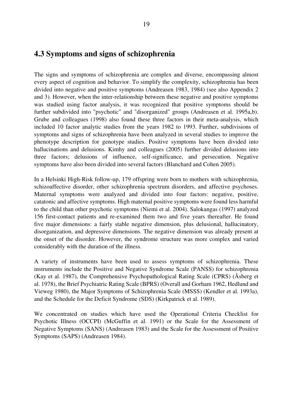### **4.3 Symptoms and signs of schizophrenia**

The signs and symptoms of schizophrenia are complex and diverse, encompassing almost every aspect of cognition and behavior. To simplify the complexity, schizophrenia has been divided into negative and positive symptoms (Andreasen 1983, 1984) (see also Appendix 2 and 3). However, when the inter-relationship between these negative and positive symptoms was studied using factor analysis, it was recognized that positive symptoms should be further subdivided into "psychotic" and "disorganized" groups (Andreasen et al. 1995a,b). Grube and colleagues (1998) also found these three factors in their meta-analysis, which included 10 factor analytic studies from the years 1982 to 1993. Further, subdivisions of symptoms and signs of schizophrenia have been analyzed in several studies to improve the phenotype description for genotype studies. Positive symptoms have been divided into hallucinations and delusions. Kimhy and colleagues (2005) further divided delusions into three factors; delusions of influence, self-significance, and persecution. Negative symptoms have also been divided into several factors (Blanchard and Cohen 2005).

In a Helsinki High-Risk follow-up, 179 offspring were born to mothers with schizophrenia, schizoaffective disorder, other schizophrenia spectrum disorders, and affective psychoses. Maternal symptoms were analyzed and divided into four factors: negative, positive, catatonic and affective symptoms. High maternal positive symptoms were found less harmful to the child than other psychotic symptoms (Niemi et al. 2004). Salokangas (1997) analyzed 156 first-contact patients and re-examined them two and five years thereafter. He found five major dimensions: a fairly stable negative dimension, plus delusional, hallucinatory, disorganization, and depressive dimensions. The negative dimension was already present at the onset of the disorder. However, the syndrome structure was more complex and varied considerably with the duration of the illness.

A variety of instruments have been used to assess symptoms of schizophrenia. These instruments include the Positive and Negative Syndrome Scale (PANSS) for schizophrenia (Kay et al. 1987), the Comprehensive Psychopathological Rating Scale (CPRS) (Åsberg et al. 1978), the Brief Psychiatric Rating Scale (BPRS) (Overall and Gorham 1962, Hedlund and Vieweg 1980), the Major Symptoms of Schizophrenia Scale (MSSS) (Kendler et al. 1993a), and the Schedule for the Deficit Syndrome (SDS) (Kirkpatrick et al. 1989).

We concentrated on studies which have used the Operational Criteria Checklist for Psychotic Illness (OCCPI) (McGuffin et al. 1991) or the Scale for the Assessment of Negative Symptoms (SANS) (Andreasen 1983) and the Scale for the Assessment of Positive Symptoms (SAPS) (Andreasen 1984).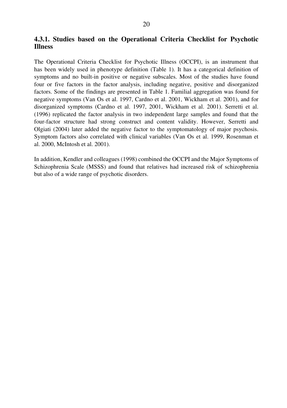#### **4.3.1. Studies based on the Operational Criteria Checklist for Psychotic Illness**

The Operational Criteria Checklist for Psychotic Illness (OCCPI), is an instrument that has been widely used in phenotype definition (Table 1). It has a categorical definition of symptoms and no built-in positive or negative subscales. Most of the studies have found four or five factors in the factor analysis, including negative, positive and disorganized factors. Some of the findings are presented in Table 1. Familial aggregation was found for negative symptoms (Van Os et al. 1997, Cardno et al. 2001, Wickham et al. 2001), and for disorganized symptoms (Cardno et al. 1997, 2001, Wickham et al. 2001). Serretti et al. (1996) replicated the factor analysis in two independent large samples and found that the four-factor structure had strong construct and content validity. However, Serretti and Olgiati (2004) later added the negative factor to the symptomatology of major psychosis. Symptom factors also correlated with clinical variables (Van Os et al. 1999, Rosenman et al. 2000, McIntosh et al. 2001).

In addition, Kendler and colleagues (1998) combined the OCCPI and the Major Symptoms of Schizophrenia Scale (MSSS) and found that relatives had increased risk of schizophrenia but also of a wide range of psychotic disorders.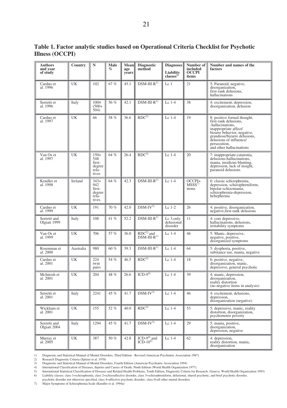**Table 1. Factor analytic studies based on Operational Criteria Checklist for Psychotic Illness (OCCPI)**

| <b>Authors</b><br>and year<br>of study | Country   | N                                                   | Male<br>% | Mean<br>age<br>years | <b>Diagnostic</b><br>method             | <b>Diagnoses</b><br>Liability<br>classes <sup>c</sup> | Number of<br>included<br><b>OCCPI</b><br>items | Number and names of the<br>factors                                                                                                                                                                                                      |
|----------------------------------------|-----------|-----------------------------------------------------|-----------|----------------------|-----------------------------------------|-------------------------------------------------------|------------------------------------------------|-----------------------------------------------------------------------------------------------------------------------------------------------------------------------------------------------------------------------------------------|
| Cardno et<br>al. 1996                  | UK        | 102                                                 | 67%       | 45.1                 | $DSM-III-R^{1)}$                        | Lc <sub>1</sub>                                       | 21                                             | 5: Paranoid, negative,<br>disorganization,<br>first-rank delusions,<br>hallucinations                                                                                                                                                   |
| Serretti et<br>al. 1996                | Italy     | 1004<br>$(500 +$<br>504)                            | 56 %      | 42.1                 | $DSM-III-R^{1}$                         | Lc $1-4$                                              | 38                                             | 4: excitement, depression,<br>disorganization, delusion                                                                                                                                                                                 |
| Cardno et<br>al. 1997                  | UK        | 66                                                  | 58 %      | 36.6                 | RDC <sup>2</sup>                        | Lc $1-4$                                              | 19                                             | 8: positive formal thought,<br>first-rank delusions,<br>-hallucinations,<br>inappropriate affect/<br>bizarre behavior, negative,<br>grandiose/bizarre delusions,<br>delusions of influence/<br>persecution.<br>and other hallucinations |
| Van Os et<br>al. 1997                  | UK        | $150+$<br>548<br>first-<br>degree<br>rela-<br>tives | 64 %      | 26.4                 | RDC <sup>2</sup>                        | Lc $1-4$                                              | 20                                             | 7: inappropriate-catatonia,<br>delusions-hallucinations,<br>mania, insidious-blunting,<br>depression, lack of insight,<br>paranoid delusions                                                                                            |
| Kendler et<br>al. 1998                 | Ireland   | $343+$<br>942<br>first-<br>degree<br>rela-<br>tives | 64 %      | 42.3                 | $DSM-III-R^{1)}$                        | Lc $1-4$                                              | OCCPI+<br>MSSS <sup>7</sup><br>items           | 6: classic schizophrenia,<br>depression, schizophreniform,<br>bipolar-schizomania,<br>schizophrenia-depression,<br>hebephrenia                                                                                                          |
| Cardno et<br>al. 1999                  | UK        | 191                                                 | 70%       | 42.0                 | $DSM-IV^{3}$                            | Lc $1-2$                                              | 26                                             | 4: positive, disorganization,<br>negative, first-rank delusions                                                                                                                                                                         |
| Serretti and<br>Olgiati 1999           | Italy     | 108                                                 | 41 %      | 52.2                 | $DSM-III-R^{1}$                         | $Lc$ 3, only<br>delusional<br>disorder                | 11                                             | 4: core depressive,<br>hallucinations, delusions,<br>irritability symptoms                                                                                                                                                              |
| Van Os et<br>al. 1999                  | UK        | 706                                                 | 57 %      | 36.0                 | $RDC2$ and<br>$DSM-III-R$ <sup>1)</sup> | Lc $1-4$                                              | 46                                             | 5: Manic, depressive,<br>negative, positive,<br>disorganized symptoms                                                                                                                                                                   |
| Rosenman et<br>al. 2000                | Australia | 980                                                 | 60 %      | 39.3                 | $DSM-III-R^{1)}$                        | Lc $1-4$                                              | 64                                             | 5: dysphoria, positive,<br>substance use, mania, negative                                                                                                                                                                               |
| Cardno et<br>al. 2001                  | UK        | 224<br>twin<br>pairs                                | 54 %      | 46.5                 | $RDC^{2}$                               | Lc 1-4                                                | 18                                             | 6: positive, negative,<br>disorganization, manic,<br>depressive, general psychotic                                                                                                                                                      |
| McIntosh et<br>al. 2001                | UK        | 204                                                 | 48 %      | 26.6                 | $ICD-94$                                | Lc $1-4$                                              | 39                                             | 4: manic, depression,<br>disorganization,<br>reality distortion<br>(no negative items in analysis)                                                                                                                                      |
| Serretti et<br>al. 2001                | Italy     | 2241                                                | 45 %      | 41.7                 | $DSM-IV^{3}$                            | Lc $1-4$                                              | 46                                             | 4: excitement, delusions,<br>depression,<br>disorganization (negative)                                                                                                                                                                  |
| Wickham et<br>al. 2001                 | UK        | 155                                                 | 52 %      | 40.0                 | RDC <sup>2</sup>                        | Lc $1-4$                                              | 53                                             | 5: depressive, manic, reality<br>distortion, disorganization,<br>psychomotor poverty                                                                                                                                                    |
| Serretti and<br>Olgiati 2004           | Italy     | 1294                                                | 45 %      | 41.7                 | $DSM-IV^{3}$                            | Lc $1-4$                                              | 29                                             | 5: mania, positive,<br>disorganization,<br>depression, negative                                                                                                                                                                         |
| Murray et<br>al. 2005                  | UK        | 387                                                 | 50 %      | 42.8                 | ICD- $9^{4)}$ and<br>ICD- $10^{5}$      | Lc $1-4$                                              | 62                                             | 4: depression,<br>reality distortion, mania,<br>disorganization                                                                                                                                                                         |

1) Diagnostic and Statistical Manual of Mental Disorders, Third Edition - Revised (American Psychiatric Association 1987)

2) Research Diagnostic Criteria (Spitzer et al. 1978)<br>3) Diagnostic and Statistical Manual of Mental Disor

3) Diagnostic and Statistical Manual of Mental Disorders, Fourth Edition (American Psychiatric Association 1994)<br>4) International Classification of Diseases, Injuries and Causes of Death, Ninth Edition (World Health Organi 4) International Classification of Diseases, Injuries and Causes of Death, Ninth Edition (World Health Organization 1977)<br>5) International Statistical Classification of Diseases and Related Health Problems. Tenth Edition.

psychotic disorder not otherwise specified, class 4=affective psychotic disorder, class 0=all other mental disorders<br>
7) Major Symptoms of Schizophrenia Scale (Kendler et al. 1994a)

<sup>5)</sup> International Statistical Classification of Diseases and Related Health Problems, Tenth Edition, Diagnostic Criteria for Research. Geneva: World Health Organization 1993) Liability classes: class 1 =schizophrenia, class Liability classes: class 1=schizophrenia, class 2=schizoaffective disorder, class 3=schizophreniform, delusional, shared psychotic, and brief psychotic disorder,

Major Symptoms of Schizophrenia Scale (Kendler et al. 1994a)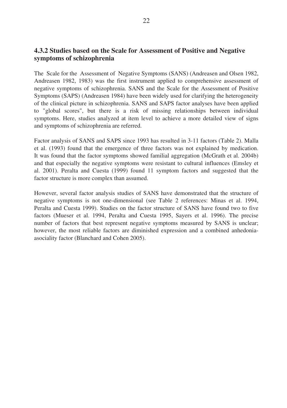#### **4.3.2 Studies based on the Scale for Assessment of Positive and Negative symptoms of schizophrenia**

The Scale for the Assessment of Negative Symptoms (SANS) (Andreasen and Olsen 1982, Andreasen 1982, 1983) was the first instrument applied to comprehensive assessment of negative symptoms of schizophrenia. SANS and the Scale for the Assessment of Positive Symptoms (SAPS) (Andreasen 1984) have been widely used for clarifying the heterogeneity of the clinical picture in schizophrenia. SANS and SAPS factor analyses have been applied to "global scores", but there is a risk of missing relationships between individual symptoms. Here, studies analyzed at item level to achieve a more detailed view of signs and symptoms of schizophrenia are referred.

Factor analysis of SANS and SAPS since 1993 has resulted in 3-11 factors (Table 2). Malla et al. (1993) found that the emergence of three factors was not explained by medication. It was found that the factor symptoms showed familial aggregation (McGrath et al. 2004b) and that especially the negative symptoms were resistant to cultural influences (Emsley et al. 2001). Peralta and Cuesta (1999) found 11 symptom factors and suggested that the factor structure is more complex than assumed.

However, several factor analysis studies of SANS have demonstrated that the structure of negative symptoms is not one-dimensional (see Table 2 references: Minas et al. 1994, Peralta and Cuesta 1999). Studies on the factor structure of SANS have found two to five factors (Mueser et al. 1994, Peralta and Cuesta 1995, Sayers et al. 1996). The precise number of factors that best represent negative symptoms measured by SANS is unclear; however, the most reliable factors are diminished expression and a combined anhedoniaasociality factor (Blanchard and Cohen 2005).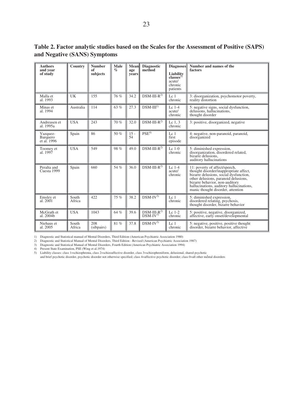| <b>Authors</b><br>and year<br>of study | Country         | <b>Number</b><br>of<br>subjects | Male<br>$\mathcal{O}_{\mathcal{O}}$ | Mean<br>age<br>vears | <b>Diagnostic</b><br>method  | <b>Diagnoses</b><br><b>Liability</b><br>classes <sup>5)</sup><br>acute/<br>chronic<br>patients | Number and names of the<br>factors                                                                                                                                                                                                                                           |  |
|----------------------------------------|-----------------|---------------------------------|-------------------------------------|----------------------|------------------------------|------------------------------------------------------------------------------------------------|------------------------------------------------------------------------------------------------------------------------------------------------------------------------------------------------------------------------------------------------------------------------------|--|
| Malla et<br>al. 1993                   | UK              | 155                             | 76%                                 | 34.2                 | $DSM-III-R2$                 | I.c.1<br>chronic                                                                               | 3: disorganization, psychomotor poverty,<br>reality distortion                                                                                                                                                                                                               |  |
| Minas et<br>al. 1994                   | Australia       | 114                             | 63 %                                | 27.3                 | $DSM-III1$                   | Lc $1-4$<br>acute/<br>chronic                                                                  | 5: negative signs, social dysfunction,<br>delusions, hallucinations.<br>thought disorder                                                                                                                                                                                     |  |
| Andreasen et<br>al. 1995a              | <b>USA</b>      | 243                             | 70%                                 | 32.0                 | $DSM-III-R2$                 | Lc $1, 3$<br>chronic                                                                           | 3: positive, disorganized, negative                                                                                                                                                                                                                                          |  |
| Vazquez-<br>Barquero<br>et al. 1996    | Spain           | 86                              | 50%                                 | $15 -$<br>54         | PSE <sup>4</sup>             | Lc <sub>1</sub><br>first<br>episode                                                            | 4: negative, non-paranoid, paranoid,<br>disorganized                                                                                                                                                                                                                         |  |
| Toomey et<br>al. 1997                  | <b>USA</b>      | 549                             | 98%                                 | 49.0                 | $DSM-III-R2$                 | Lc $1-0$<br>chronic                                                                            | 5: diminished expression,<br>disorganization, disordered related,<br>bizarre delusions.<br>auditory hallucinations                                                                                                                                                           |  |
| Peralta and<br>Cuesta 1999             | Spain           | 660                             | 54 %                                | 36.0                 | $DSM-III-R2$                 | Lc $1-4$<br>acute/<br>chronic                                                                  | 11: poverty of affect/speech,<br>thought disorder/inappropriate affect,<br>bizarre delusions, social dysfunction,<br>other delusions, paranoid delusions,<br>bizarre behavior, non-auditory<br>hallucinations, auditory hallucinations,<br>manic thought disorder, attention |  |
| Emsley et<br>al. 2001                  | South<br>Africa | 422                             | 75%                                 | 38.2                 | $DSM-IV^{3}$                 | Lc1<br>chronic                                                                                 | 5: diminished expression,<br>disordered relating, psychosis,<br>thought disorder, bizarre behavior                                                                                                                                                                           |  |
| McGrath et<br>al. 2004b                | <b>USA</b>      | 1043                            | 64 %                                | 39.6                 | $DSM-III-R2$<br>$DSM-IV^{3}$ | Lc $1-2$<br>chronic                                                                            | 5: positive, negative, disorganized,<br>affective, early onset/developmental                                                                                                                                                                                                 |  |
| Niehaus et<br>al. 2005                 | South<br>Africa | 208<br>(sibpairs)               | 81%                                 | 37.8                 | $DSM-IV^{3}$                 | I.c.1<br>chronic                                                                               | 5: negative, positive, positive thought<br>disorder, bizarre behavior, affective                                                                                                                                                                                             |  |

#### **Table 2. Factor analytic studies based on the Scales for the Assessment of Positive (SAPS) and Negative (SANS) Symptoms**

1) Diagnostic and Statistical manual of Mental Disorders, Third Edition (American Psychiatric Association 1980)

2) Diagnostic and Statistical Manual of Mental Disorders, Third Edition - Revised (American Psychiatric Association 1987)

3) Diagnostic and Statistical Manual of Mental Disorders, Fourth Edition (American Psychiatric Association 1994)

4) Present State Examination, PSE (Wing et al.1974) and brief psychotic disorder, psychotic disorder not otherwise specified; class 4=affective psychotic disorder; class 0=all other mental disorders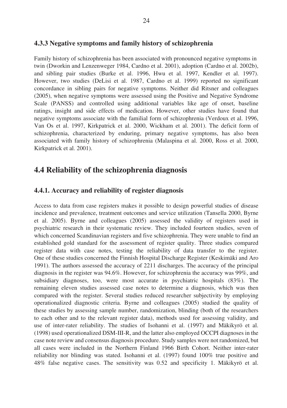#### **4.3.3 Negative symptoms and family history of schizophrenia**

Family history of schizophrenia has been associated with pronounced negative symptoms in twin (Dworkin and Lenzenweger 1984, Cardno et al. 2001), adoption (Cardno et al. 2002b), and sibling pair studies (Burke et al. 1996, Hwu et al. 1997, Kendler et al. 1997). However, two studies (DeLisi et al. 1987, Cardno et al. 1999) reported no significant concordance in sibling pairs for negative symptoms. Neither did Ritsner and colleagues (2005), when negative symptoms were assessed using the Positive and Negative Syndrome Scale (PANSS) and controlled using additional variables like age of onset, baseline ratings, insight and side effects of medication. However, other studies have found that negative symptoms associate with the familial form of schizophrenia (Verdoux et al. 1996, Van Os et al. 1997, Kirkpatrick et al. 2000, Wickham et al. 2001). The deficit form of schizophrenia, characterized by enduring, primary negative symptoms, has also been associated with family history of schizophrenia (Malaspina et al. 2000, Ross et al. 2000, Kirkpatrick et al. 2001).

### **4.4 Reliability of the schizophrenia diagnosis**

#### **4.4.1. Accuracy and reliability of register diagnosis**

Access to data from case registers makes it possible to design powerful studies of disease incidence and prevalence, treatment outcomes and service utilization (Tansella 2000, Byrne et al. 2005). Byrne and colleagues (2005) assessed the validity of registers used in psychiatric research in their systematic review. They included fourteen studies, seven of which concerned Scandinavian registers and five schizophrenia. They were unable to find an established gold standard for the assessment of register quality. Three studies compared register data with case notes, testing the reliability of data transfer to the register. One of these studies concerned the Finnish Hospital Discharge Register (Keskimäki and Aro 1991). The authors assessed the accuracy of 2211 discharges. The accuracy of the principal diagnosis in the register was 94.6%. However, for schizophrenia the accuracy was 99%, and subsidiary diagnoses, too, were most accurate in psychiatric hospitals (83%). The remaining eleven studies assessed case notes to determine a diagnosis, which was then compared with the register. Several studies reduced researcher subjectivity by employing operationalized diagnostic criteria. Byrne and colleagues (2005) studied the quality of these studies by assessing sample number, randomization, blinding (both of the researchers to each other and to the relevant register data), methods used for assessing validity, and use of inter-rater reliability. The studies of Isohanni et al. (1997) and Mäkikyrö et al. (1998) used operationalized DSM-III-R, and the latter also employed OCCPI diagnoses in the case note review and consensus diagnosis procedure. Study samples were not randomized, but all cases were included in the Northern Finland 1966 Birth Cohort. Neither inter-rater reliability nor blinding was stated. Isohanni et al. (1997) found 100% true positive and 48% false negative cases. The sensitivity was 0.52 and specificity 1. Mäkikyrö et al.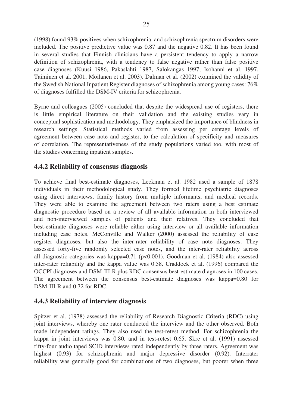(1998) found 93% positives when schizophrenia, and schizophrenia spectrum disorders were included. The positive predictive value was 0.87 and the negative 0.82. It has been found in several studies that Finnish clinicians have a persistent tendency to apply a narrow definition of schizophrenia, with a tendency to false negative rather than false positive case diagnoses (Kuusi 1986, Pakaslahti 1987, Salokangas 1997, Isohanni et al. 1997, Taiminen et al. 2001, Moilanen et al. 2003). Dalman et al. (2002) examined the validity of the Swedish National Inpatient Register diagnoses of schizophrenia among young cases: 76% of diagnoses fulfilled the DSM-IV criteria for schizophrenia.

Byrne and colleagues (2005) concluded that despite the widespread use of registers, there is little empirical literature on their validation and the existing studies vary in conceptual sophistication and methodology. They emphasized the importance of blindness in research settings. Statistical methods varied from assessing per centage levels of agreement between case note and register, to the calculation of specificity and measures of correlation. The representativeness of the study populations varied too, with most of the studies concerning inpatient samples.

#### **4.4.2 Reliability of consensus diagnosis**

To achieve final best-estimate diagnoses, Leckman et al. 1982 used a sample of 1878 individuals in their methodological study. They formed lifetime psychiatric diagnoses using direct interviews, family history from multiple informants, and medical records. They were able to examine the agreement between two raters using a best estimate diagnostic procedure based on a review of all available information in both interviewed and non-interviewed samples of patients and their relatives. They concluded that best-estimate diagnoses were reliable either using interview or all available information including case notes. McConville and Walker (2000) assessed the reliability of case register diagnoses, but also the inter-rater reliability of case note diagnoses. They assessed forty-five randomly selected case notes, and the inter-rater reliability across all diagnostic categories was kappa=0.71 ( $p<0.001$ ). Goodman et al. (1984) also assessed inter-rater reliability and the kappa value was 0.58. Craddock et al. (1996) compared the OCCPI diagnoses and DSM-III-R plus RDC consensus best-estimate diagnoses in 100 cases. The agreement between the consensus best-estimate diagnoses was kappa=0.80 for DSM-III-R and 0.72 for RDC.

#### **4.4.3 Reliability of interview diagnosis**

Spitzer et al. (1978) assessed the reliability of Research Diagnostic Criteria (RDC) using joint interviews, whereby one rater conducted the interview and the other observed. Both made independent ratings. They also used the test-retest method. For schizophrenia the kappa in joint interviews was 0.80, and in test-retest 0.65. Skre et al. (1991) assessed fifty-four audio taped SCID interviews rated independently by three raters. Agreement was highest (0.93) for schizophrenia and major depressive disorder (0.92). Interrater reliability was generally good for combinations of two diagnoses, but poorer when three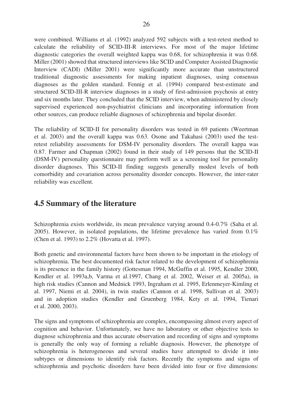were combined. Williams et al. (1992) analyzed 592 subjects with a test-retest method to calculate the reliability of SCID-III-R interviews. For most of the major lifetime diagnostic categories the overall weighted kappa was 0.68, for schizophrenia it was 0.68. Miller (2001) showed that structured interviews like SCID and Computer Assisted Diagnostic Interview (CADI) (Miller 2001) were significantly more accurate than unstructured traditional diagnostic assessments for making inpatient diagnoses, using consensus diagnoses as the golden standard. Fennig et al. (1994) compared best-estimate and structured SCID-III-R interview diagnoses in a study of first-admission psychosis at entry and six months later. They concluded that the SCID interview, when administered by closely supervised experienced non-psychiatrist clinicians and incorporating information from other sources, can produce reliable diagnoses of schizophrenia and bipolar disorder.

The reliability of SCID-II for personality disorders was tested in 69 patients (Weertman et al. 2003) and the overall kappa was 0.63. Osone and Takahasi (2003) used the testretest reliability assessments for DSM-IV personality disorders. The overall kappa was 0.87. Farmer and Chapman (2002) found in their study of 149 persons that the SCID-II (DSM-IV) personality questionnaire may perform well as a screening tool for personality disorder diagnoses. This SCID-II finding suggests generally modest levels of both comorbidity and covariation across personality disorder concepts. However, the inter-rater reliability was excellent.

### **4.5 Summary of the literature**

Schizophrenia exists worldwide, its mean prevalence varying around 0.4-0.7% (Saha et al. 2005). However, in isolated populations, the lifetime prevalence has varied from 0.1% (Chen et al. 1993) to 2.2% (Hovatta et al. 1997).

Both genetic and environmental factors have been shown to be important in the etiology of schizophrenia. The best documented risk factor related to the development of schizophrenia is its presence in the family history (Gottesman 1994, McGuffin et al. 1995, Kendler 2000, Kendler et al. 1993a,b, Varma et al.1997, Chang et al. 2002, Weiser et al. 2005a), in high risk studies (Cannon and Mednick 1993, Ingraham et al. 1995, Erlenmeyer-Kimling et al. 1997, Niemi et al. 2004), in twin studies (Cannon et al. 1998, Sullivan et al. 2003) and in adoption studies (Kendler and Gruenberg 1984, Kety et al. 1994, Tienari et al. 2000, 2003).

The signs and symptoms of schizophrenia are complex, encompassing almost every aspect of cognition and behavior. Unfortunately, we have no laboratory or other objective tests to diagnose schizophrenia and thus accurate observation and recording of signs and symptoms is generally the only way of forming a reliable diagnosis. However, the phenotype of schizophrenia is heterogeneous and several studies have attempted to divide it into subtypes or dimensions to identify risk factors. Recently the symptoms and signs of schizophrenia and psychotic disorders have been divided into four or five dimensions: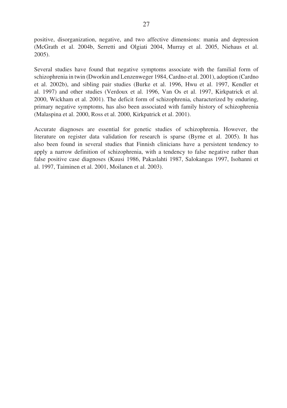positive, disorganization, negative, and two affective dimensions: mania and depression (McGrath et al. 2004b, Serretti and Olgiati 2004, Murray et al. 2005, Niehaus et al. 2005).

Several studies have found that negative symptoms associate with the familial form of schizophrenia in twin (Dworkin and Lenzenweger 1984, Cardno et al. 2001), adoption (Cardno et al. 2002b), and sibling pair studies (Burke et al. 1996, Hwu et al. 1997, Kendler et al. 1997) and other studies (Verdoux et al. 1996, Van Os et al. 1997, Kirkpatrick et al. 2000, Wickham et al. 2001). The deficit form of schizophrenia, characterized by enduring, primary negative symptoms, has also been associated with family history of schizophrenia (Malaspina et al. 2000, Ross et al. 2000, Kirkpatrick et al. 2001).

Accurate diagnoses are essential for genetic studies of schizophrenia. However, the literature on register data validation for research is sparse (Byrne et al. 2005). It has also been found in several studies that Finnish clinicians have a persistent tendency to apply a narrow definition of schizophrenia, with a tendency to false negative rather than false positive case diagnoses (Kuusi 1986, Pakaslahti 1987, Salokangas 1997, Isohanni et al. 1997, Taiminen et al. 2001, Moilanen et al. 2003).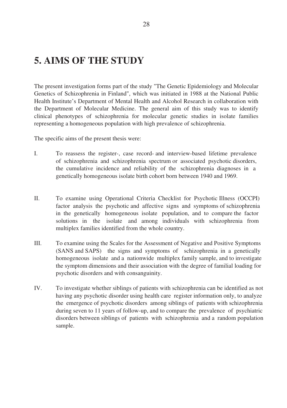# **5. AIMS OF THE STUDY**

The present investigation forms part of the study "The Genetic Epidemiology and Molecular Genetics of Schizophrenia in Finland", which was initiated in 1988 at the National Public Health Institute's Department of Mental Health and Alcohol Research in collaboration with the Department of Molecular Medicine. The general aim of this study was to identify clinical phenotypes of schizophrenia for molecular genetic studies in isolate families representing a homogeneous population with high prevalence of schizophrenia.

The specific aims of the present thesis were:

- I. To reassess the register-, case record- and interview-based lifetime prevalence of schizophrenia and schizophrenia spectrum or associated psychotic disorders, the cumulative incidence and reliability of the schizophrenia diagnoses in a genetically homogeneous isolate birth cohort born between 1940 and 1969.
- II. To examine using Operational Criteria Checklist for Psychotic Illness (OCCPI) factor analysis the psychotic and affective signs and symptoms of schizophrenia in the genetically homogeneous isolate population, and to compare the factor solutions in the isolate and among individuals with schizophrenia from multiplex families identified from the whole country.
- III. To examine using the Scales for the Assessment of Negative and Positive Symptoms (SANS and SAPS) the signs and symptoms of schizophrenia in a genetically homogeneous isolate and a nationwide multiplex family sample, and to investigate the symptom dimensions and their association with the degree of familial loading for psychotic disorders and with consanguinity.
- IV. To investigate whether siblings of patients with schizophrenia can be identified as not having any psychotic disorder using health care register information only, to analyze the emergence of psychotic disorders among siblings of patients with schizophrenia during seven to 11 years of follow-up, and to compare the prevalence of psychiatric disorders between siblings of patients with schizophrenia and a random population sample.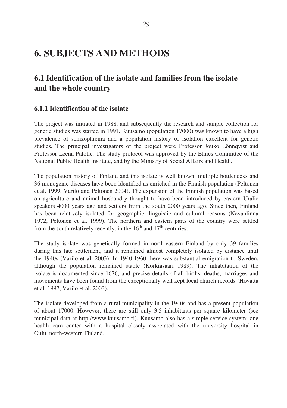# **6. SUBJECTS AND METHODS**

# **6.1 Identification of the isolate and families from the isolate and the whole country**

#### **6.1.1 Identification of the isolate**

The project was initiated in 1988, and subsequently the research and sample collection for genetic studies was started in 1991. Kuusamo (population 17000) was known to have a high prevalence of schizophrenia and a population history of isolation excellent for genetic studies. The principal investigators of the project were Professor Jouko Lönnqvist and Professor Leena Palotie. The study protocol was approved by the Ethics Committee of the National Public Health Institute, and by the Ministry of Social Affairs and Health.

The population history of Finland and this isolate is well known: multiple bottlenecks and 36 monogenic diseases have been identified as enriched in the Finnish population (Peltonen et al. 1999, Varilo and Peltonen 2004). The expansion of the Finnish population was based on agriculture and animal husbandry thought to have been introduced by eastern Uralic speakers 4000 years ago and settlers from the south 2000 years ago. Since then, Finland has been relatively isolated for geographic, linguistic and cultural reasons (Nevanlinna 1972, Peltonen et al. 1999). The northern and eastern parts of the country were settled from the south relatively recently, in the  $16<sup>th</sup>$  and  $17<sup>th</sup>$  centuries.

The study isolate was genetically formed in north-eastern Finland by only 39 families during this late settlement, and it remained almost completely isolated by distance until the 1940s (Varilo et al. 2003). In 1940-1960 there was substantial emigration to Sweden, although the population remained stable (Korkiasaari 1989). The inhabitation of the isolate is documented since 1676, and precise details of all births, deaths, marriages and movements have been found from the exceptionally well kept local church records (Hovatta et al. 1997, Varilo et al. 2003).

The isolate developed from a rural municipality in the 1940s and has a present population of about 17000. However, there are still only 3.5 inhabitants per square kilometer (see municipal data at http://www.kuusamo.fi). Kuusamo also has a simple service system: one health care center with a hospital closely associated with the university hospital in Oulu, north-western Finland.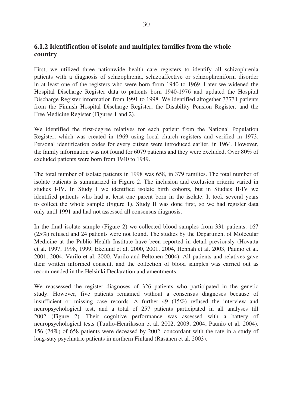### **6.1.2 Identification of isolate and multiplex families from the whole country**

First, we utilized three nationwide health care registers to identify all schizophrenia patients with a diagnosis of schizophrenia, schizoaffective or schizophreniform disorder in at least one of the registers who were born from 1940 to 1969. Later we widened the Hospital Discharge Register data to patients born 1940-1976 and updated the Hospital Discharge Register information from 1991 to 1998. We identified altogether 33731 patients from the Finnish Hospital Discharge Register, the Disability Pension Register, and the Free Medicine Register (Figures 1 and 2).

We identified the first-degree relatives for each patient from the National Population Register, which was created in 1969 using local church registers and verified in 1973. Personal identification codes for every citizen were introduced earlier, in 1964. However, the family information was not found for 6079 patients and they were excluded. Over 80% of excluded patients were born from 1940 to 1949.

The total number of isolate patients in 1998 was 658, in 379 families. The total number of isolate patients is summarized in Figure 2. The inclusion and exclusion criteria varied in studies I-IV. In Study I we identified isolate birth cohorts, but in Studies II-IV we identified patients who had at least one parent born in the isolate. It took several years to collect the whole sample (Figure 1). Study II was done first, so we had register data only until 1991 and had not assessed all consensus diagnosis.

In the final isolate sample (Figure 2) we collected blood samples from 331 patients: 167 (25%) refused and 24 patients were not found. The studies by the Department of Molecular Medicine at the Public Health Institute have been reported in detail previously (Hovatta et al. 1997, 1998, 1999, Ekelund et al. 2000, 2001, 2004, Hennah et al. 2003, Paunio et al. 2001, 2004, Varilo et al. 2000, Varilo and Peltonen 2004). All patients and relatives gave their written informed consent, and the collection of blood samples was carried out as recommended in the Helsinki Declaration and amentments.

We reassessed the register diagnoses of 326 patients who participated in the genetic study. However, five patients remained without a consensus diagnoses because of insufficient or missing case records. A further 49 (15%) refused the interview and neuropsychological test, and a total of 257 patients participated in all analyses till 2002 (Figure 2). Their cognitive performance was assessed with a battery of neuropsychological tests (Tuulio-Henriksson et al. 2002, 2003, 2004, Paunio et al. 2004). 156 (24%) of 658 patients were deceased by 2002, concordant with the rate in a study of long-stay psychiatric patients in northern Finland (Räsänen et al. 2003).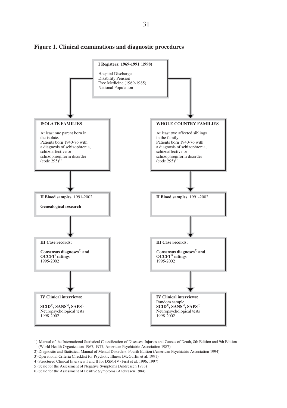



- 2) Diagnostic and Statistical Manual of Mental Disorders, Fourth Edition (American Psychiatric Association 1994)
- 3) Operational Criteria Checklist for Psychotic Illness (McGuffin et al. 1991)
- 4) Structured Clinical Interview I and II for DSM-IV (First et al. 1996, 1997)
- 5) Scale for the Assessment of Negative Symptoms (Andreasen 1983)
- 6) Scale for the Assessment of Positive Symptoms (Andreasen 1984)

<sup>1)</sup> Manual of the International Statistical Classification of Diseases, Injuries and Causes of Death, 8th Edition and 9th Edition (World Health Organization 1967, 1977, American Psychiatric Association 1987)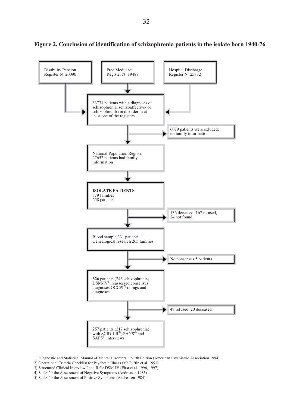

#### **Figure 2. Conclusion of identification of schizophrenia patients in the isolate born 1940-76**

- 1) Diagnostic and Statistical Manual of Mental Disorders, Fourth Edition (American Psychiatric Association 1994)
- 2) Operational Criteria Checklist for Psychotic Illness (McGuffin et al. 1991)
- 3) Structured Clinical Interview I and II for DSM-IV (First et al. 1996, 1997)
- 4) Scale for the Assessment of Negative Symptoms (Andreasen 1983)
- 5) Scale for the Assessment of Positive Symptoms (Andreasen 1984)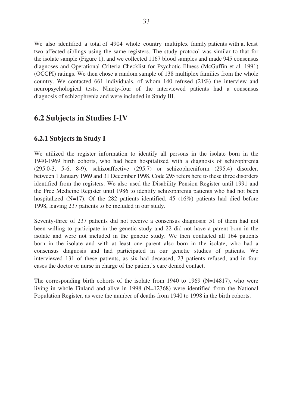We also identified a total of 4904 whole country multiplex family patients with at least two affected siblings using the same registers. The study protocol was similar to that for the isolate sample (Figure 1), and we collected 1167 blood samples and made 945 consensus diagnoses and Operational Criteria Checklist for Psychotic Illness (McGuffin et al. 1991) (OCCPI) ratings. We then chose a random sample of 138 multiplex families from the whole country. We contacted 661 individuals, of whom 140 refused (21%) the interview and neuropsychological tests. Ninety-four of the interviewed patients had a consensus diagnosis of schizophrenia and were included in Study III.

### **6.2 Subjects in Studies I-IV**

#### **6.2.1 Subjects in Study I**

We utilized the register information to identify all persons in the isolate born in the 1940-1969 birth cohorts, who had been hospitalized with a diagnosis of schizophrenia (295.0-3, 5-6, 8-9), schizoaffective (295.7) or schizophreniform (295.4) disorder, between 1 January 1969 and 31 December 1998. Code 295 refers here to these three disorders identified from the registers. We also used the Disability Pension Register until 1991 and the Free Medicine Register until 1986 to identify schizophrenia patients who had not been hospitalized ( $N=17$ ). Of the 282 patients identified, 45 (16%) patients had died before 1998, leaving 237 patients to be included in our study.

Seventy-three of 237 patients did not receive a consensus diagnosis: 51 of them had not been willing to participate in the genetic study and 22 did not have a parent born in the isolate and were not included in the genetic study. We then contacted all 164 patients born in the isolate and with at least one parent also born in the isolate, who had a consensus diagnosis and had participated in our genetic studies of patients. We interviewed 131 of these patients, as six had deceased, 23 patients refused, and in four cases the doctor or nurse in charge of the patient's care denied contact.

The corresponding birth cohorts of the isolate from 1940 to 1969 (N=14817), who were living in whole Finland and alive in 1998 (N=12368) were identified from the National Population Register, as were the number of deaths from 1940 to 1998 in the birth cohorts.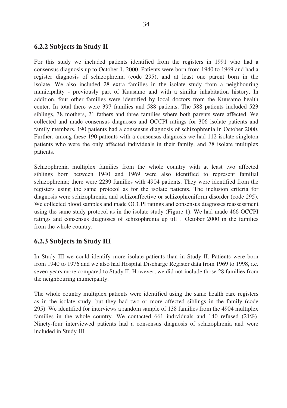#### **6.2.2 Subjects in Study II**

For this study we included patients identified from the registers in 1991 who had a consensus diagnosis up to October 1, 2000. Patients were born from 1940 to 1969 and had a register diagnosis of schizophrenia (code 295), and at least one parent born in the isolate. We also included 28 extra families in the isolate study from a neighbouring municipality - previously part of Kuusamo and with a similar inhabitation history. In addition, four other families were identified by local doctors from the Kuusamo health center. In total there were 397 families and 588 patients. The 588 patients included 523 siblings, 38 mothers, 21 fathers and three families where both parents were affected. We collected and made consensus diagnoses and OCCPI ratings for 306 isolate patients and family members. 190 patients had a consensus diagnosis of schizophrenia in October 2000. Further, among these 190 patients with a consensus diagnosis we had 112 isolate singleton patients who were the only affected individuals in their family, and 78 isolate multiplex patients.

Schizophrenia multiplex families from the whole country with at least two affected siblings born between 1940 and 1969 were also identified to represent familial schizophrenia; there were 2239 families with 4904 patients. They were identified from the registers using the same protocol as for the isolate patients. The inclusion criteria for diagnosis were schizophrenia, and schizoaffective or schizophreniform disorder (code 295). We collected blood samples and made OCCPI ratings and consensus diagnoses reassessment using the same study protocol as in the isolate study (Figure 1). We had made 466 OCCPI ratings and consensus diagnoses of schizophrenia up till 1 October 2000 in the families from the whole country.

#### **6.2.3 Subjects in Study III**

In Study III we could identify more isolate patients than in Study II. Patients were born from 1940 to 1976 and we also had Hospital Discharge Register data from 1969 to 1998, i.e. seven years more compared to Study II. However, we did not include those 28 families from the neighbouring municipality.

The whole country multiplex patients were identified using the same health care registers as in the isolate study, but they had two or more affected siblings in the family (code 295). We identified for interviews a random sample of 138 families from the 4904 multiplex families in the whole country. We contacted 661 individuals and 140 refused (21%). Ninety-four interviewed patients had a consensus diagnosis of schizophrenia and were included in Study III.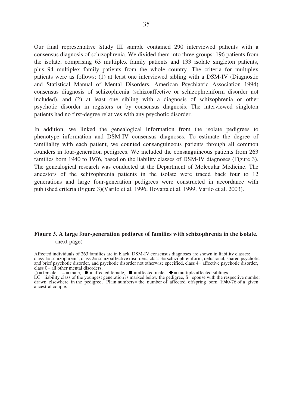Our final representative Study III sample contained 290 interviewed patients with a consensus diagnosis of schizophrenia. We divided them into three groups: 196 patients from the isolate, comprising 63 multiplex family patients and 133 isolate singleton patients, plus 94 multiplex family patients from the whole country. The criteria for multiplex patients were as follows: (1) at least one interviewed sibling with a DSM-IV (Diagnostic and Statistical Manual of Mental Disorders, American Psychiatric Association 1994) consensus diagnosis of schizophrenia (schizoaffective or schizophreniform disorder not included), and (2) at least one sibling with a diagnosis of schizophrenia or other psychotic disorder in registers or by consensus diagnosis. The interviewed singleton patients had no first-degree relatives with any psychotic disorder.

In addition, we linked the genealogical information from the isolate pedigrees to phenotype information and DSM-IV consensus diagnoses. To estimate the degree of familiality with each patient, we counted consanguineous patients through all common founders in four-generation pedigrees. We included the consanguineous patients from 263 families born 1940 to 1976, based on the liability classes of DSM-IV diagnoses (Figure 3). The genealogical research was conducted at the Department of Molecular Medicine. The ancestors of the schizophrenia patients in the isolate were traced back four to 12 generations and large four-generation pedigrees were constructed in accordance with published criteria (Figure 3)(Varilo et al. 1996, Hovatta et al. 1999, Varilo et al. 2003).

#### **Figure 3. A large four-generation pedigree of families with schizophrenia in the isolate.** (next page)

Affected individuals of 263 families are in black. DSM-IV consensus diagnoses are shown in liability classes: class 1= schizophrenia, class 2= schizoaffective disorders, class 3= schizophreniform, delusional, shared psychotic and brief psychotic disorder, and psychotic disorder not otherwise specified, class 4= affective psychotic disorder, class 0= all other mental disorders.

 $\circ$  = female,  $\Box$  = male,  $\bullet$  = affected female,  $\Box$  = affected male,  $\bullet$  = multiple affected siblings. LC= liability class of the youngest generation is marked below the pedigree, S= spouse with the respective number drawn elsewhere in the pedigree, Plain numbers= the number of affected offspring born 1940-76 of a given ancestral couple.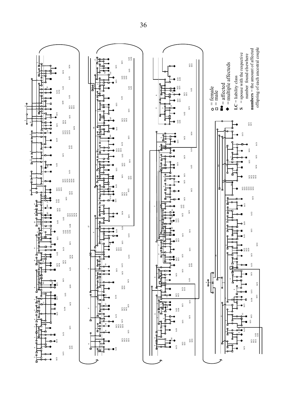

36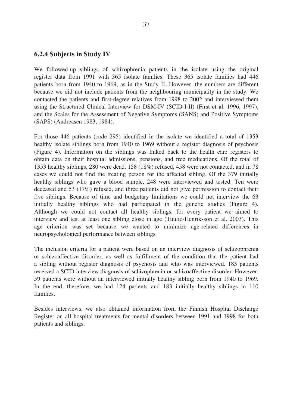#### **6.2.4 Subjects in Study IV**

We followed-up siblings of schizophrenia patients in the isolate using the original register data from 1991 with 365 isolate families. These 365 isolate families had 446 patients born from 1940 to 1969, as in the Study II. However, the numbers are different because we did not include patients from the neighbouring municipality in the study. We contacted the patients and first-degree relatives from 1998 to 2002 and interviewed them using the Structured Clinical Interview for DSM-IV (SCID-I-II) (First et al. 1996, 1997), and the Scales for the Assessment of Negative Symptoms (SANS) and Positive Symptoms (SAPS) (Andreasen 1983, 1984).

For those 446 patients (code 295) identified in the isolate we identified a total of 1353 healthy isolate siblings born from 1940 to 1969 without a register diagnosis of psychosis (Figure 4). Information on the siblings was linked back to the health care registers to obtain data on their hospital admissions, pensions, and free medications. Of the total of 1353 healthy siblings, 280 were dead. 158 (18%) refused, 458 were not contacted, and in 78 cases we could not find the treating person for the affected sibling. Of the 379 initially healthy siblings who gave a blood sample, 248 were interviewed and tested. Ten were deceased and 53 (17%) refused, and three patients did not give permission to contact their five siblings. Because of time and budgetary limitations we could not interview the 63 initially healthy siblings who had participated in the genetic studies (Figure 4). Although we could not contact all healthy siblings, for every patient we aimed to interview and test at least one sibling close in age (Tuulio-Henriksson et al. 2003). This age criterion was set because we wanted to minimize age-related differences in neuropsychological performance between siblings.

The inclusion criteria for a patient were based on an interview diagnosis of schizophrenia or schizoaffective disorder, as well as fulfillment of the condition that the patient had a sibling without register diagnosis of psychosis and who was interviewed. 183 patients received a SCID interview diagnosis of schizophrenia or schizoaffective disorder. However, 59 patients were without an interviewed initially healthy sibling born from 1940 to 1969. In the end, therefore, we had 124 patients and 183 initially healthy siblings in 110 families.

Besides interviews, we also obtained information from the Finnish Hospital Discharge Register on all hospital treatments for mental disorders between 1991 and 1998 for both patients and siblings.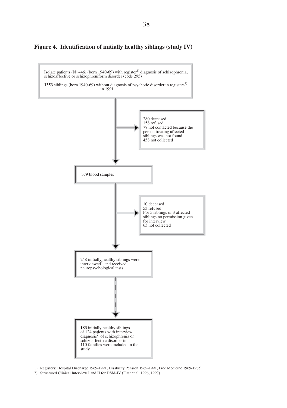#### **Figure 4. Identification of initially healthy siblings (study IV)**



1) Registers: Hospital Discharge 1969-1991, Disability Pension 1969-1991, Free Medicine 1969-1985

2) Structured Clinical Interview I and II for DSM-IV (First et al. 1996, 1997)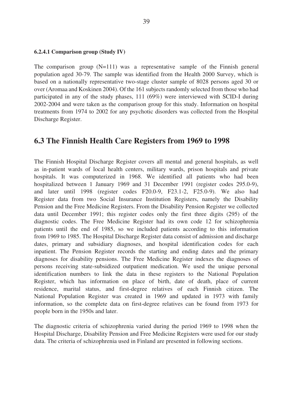#### **6.2.4.1 Comparison group (Study IV)**

The comparison group  $(N=111)$  was a representative sample of the Finnish general population aged 30-79. The sample was identified from the Health 2000 Survey, which is based on a nationally representative two-stage cluster sample of 8028 persons aged 30 or over (Aromaa and Koskinen 2004). Of the 161 subjects randomly selected from those who had participated in any of the study phases, 111 (69%) were interviewed with SCID-I during 2002-2004 and were taken as the comparison group for this study. Information on hospital treatments from 1974 to 2002 for any psychotic disorders was collected from the Hospital Discharge Register.

### **6.3 The Finnish Health Care Registers from 1969 to 1998**

The Finnish Hospital Discharge Register covers all mental and general hospitals, as well as in-patient wards of local health centers, military wards, prison hospitals and private hospitals. It was computerized in 1968. We identified all patients who had been hospitalized between 1 January 1969 and 31 December 1991 (register codes 295.0-9), and later until 1998 (register codes F20.0-9, F23.1-2, F25.0-9). We also had Register data from two Social Insurance Institution Registers, namely the Disability Pension and the Free Medicine Registers. From the Disability Pension Register we collected data until December 1991; this register codes only the first three digits (295) of the diagnostic codes. The Free Medicine Register had its own code 12 for schizophrenia patients until the end of 1985, so we included patients according to this information from 1969 to 1985. The Hospital Discharge Register data consist of admission and discharge dates, primary and subsidiary diagnoses, and hospital identification codes for each inpatient. The Pension Register records the starting and ending dates and the primary diagnoses for disability pensions. The Free Medicine Register indexes the diagnoses of persons receiving state-subsidized outpatient medication. We used the unique personal identification numbers to link the data in these registers to the National Population Register, which has information on place of birth, date of death, place of current residence, marital status, and first-degree relatives of each Finnish citizen. The National Population Register was created in 1969 and updated in 1973 with family information, so the complete data on first-degree relatives can be found from 1973 for people born in the 1950s and later.

The diagnostic criteria of schizophrenia varied during the period 1969 to 1998 when the Hospital Discharge, Disability Pension and Free Medicine Registers were used for our study data. The criteria of schizophrenia used in Finland are presented in following sections.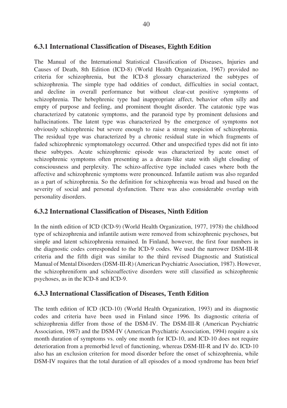#### **6.3.1 International Classification of Diseases, Eighth Edition**

The Manual of the International Statistical Classification of Diseases, Injuries and Causes of Death, 8th Edition (ICD-8) (World Health Organization, 1967) provided no criteria for schizophrenia, but the ICD-8 glossary characterized the subtypes of schizophrenia. The simple type had oddities of conduct, difficulties in social contact, and decline in overall performance but without clear-cut positive symptoms of schizophrenia. The hebephrenic type had inappropriate affect, behavior often silly and empty of purpose and feeling, and prominent thought disorder. The catatonic type was characterized by catatonic symptoms, and the paranoid type by prominent delusions and hallucinations. The latent type was characterized by the emergence of symptoms not obviously schizophrenic but severe enough to raise a strong suspicion of schizophrenia. The residual type was characterized by a chronic residual state in which fragments of faded schizophrenic symptomatology occurred. Other and unspecified types did not fit into these subtypes. Acute schizophrenic episode was characterized by acute onset of schizophrenic symptoms often presenting as a dream-like state with slight clouding of consciousness and perplexity. The schizo-affective type included cases where both the affective and schizophrenic symptoms were pronounced. Infantile autism was also regarded as a part of schizophrenia. So the definition for schizophrenia was broad and based on the severity of social and personal dysfunction. There was also considerable overlap with personality disorders.

#### **6.3.2 International Classification of Diseases, Ninth Edition**

In the ninth edition of ICD (ICD-9) (World Health Organization, 1977, 1978) the childhood type of schizophrenia and infantile autism were removed from schizophrenic psychoses, but simple and latent schizophrenia remained. In Finland, however, the first four numbers in the diagnostic codes corresponded to the ICD-9 codes. We used the narrower DSM-III-R criteria and the fifth digit was similar to the third revised Diagnostic and Statistical Manual of Mental Disorders (DSM-III-R) (American Psychiatric Association, 1987). However, the schizophreniform and schizoaffective disorders were still classified as schizophrenic psychoses, as in the ICD-8 and ICD-9.

#### **6.3.3 International Classification of Diseases, Tenth Edition**

The tenth edition of ICD (ICD-10) (World Health Organization, 1993) and its diagnostic codes and criteria have been used in Finland since 1996. Its diagnostic criteria of schizophrenia differ from those of the DSM-IV. The DSM-III-R (American Psychiatric Association, 1987) and the DSM-IV (American Psychiatric Association, 1994) require a six month duration of symptoms vs. only one month for ICD-10, and ICD-10 does not require deterioration from a premorbid level of functioning, whereas DSM-III-R and IV do. ICD-10 also has an exclusion criterion for mood disorder before the onset of schizophrenia, while DSM-IV requires that the total duration of all episodes of a mood syndrome has been brief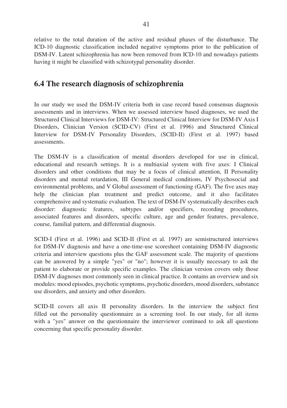relative to the total duration of the active and residual phases of the disturbance. The ICD-10 diagnostic classification included negative symptoms prior to the publication of DSM-IV. Latent schizophrenia has now been removed from ICD-10 and nowadays patients having it might be classified with schizotypal personality disorder.

## **6.4 The research diagnosis of schizophrenia**

In our study we used the DSM-IV criteria both in case record based consensus diagnosis assessments and in interviews. When we assessed interview based diagnoses, we used the Structured Clinical Interviews for DSM-IV: Structured Clinical Interview for DSM-IV Axis I Disorders, Clinician Version (SCID-CV) (First et al. 1996) and Structured Clinical Interview for DSM-IV Personality Disorders, (SCID-II) (First et al. 1997) based assessments.

The DSM-IV is a classification of mental disorders developed for use in clinical, educational and research settings. It is a multiaxial system with five axes: I Clinical disorders and other conditions that may be a focus of clinical attention, II Personality disorders and mental retardation, III General medical conditions, IV Psychosocial and environmental problems, and V Global assessment of functioning (GAF). The five axes may help the clinician plan treatment and predict outcome, and it also facilitates comprehensive and systematic evaluation. The text of DSM-IV systematically describes each disorder: diagnostic features, subtypes and/or specifiers, recording procedures, associated features and disorders, specific culture, age and gender features, prevalence, course, familial pattern, and differential diagnosis.

SCID-I (First et al. 1996) and SCID-II (First et al. 1997) are semistructured interviews for DSM-IV diagnosis and have a one-time-use scoresheet containing DSM-IV diagnostic criteria and interview questions plus the GAF assessment scale. The majority of questions can be answered by a simple "yes" or "no"; however it is usually necessary to ask the patient to elaborate or provide specific examples. The clinician version covers only those DSM-IV diagnoses most commonly seen in clinical practice. It contains an overview and six modules: mood episodes, psychotic symptoms, psychotic disorders, mood disorders, substance use disorders, and anxiety and other disorders.

SCID-II covers all axis II personality disorders. In the interview the subject first filled out the personality questionnaire as a screening tool. In our study, for all items with a "yes" answer on the questionnaire the interviewer continued to ask all questions concerning that specific personality disorder.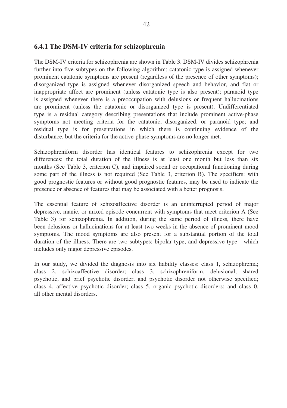### **6.4.1 The DSM-IV criteria for schizophrenia**

The DSM-IV criteria for schizophrenia are shown in Table 3. DSM-IV divides schizophrenia further into five subtypes on the following algorithm: catatonic type is assigned whenever prominent catatonic symptoms are present (regardless of the presence of other symptoms); disorganized type is assigned whenever disorganized speech and behavior, and flat or inappropriate affect are prominent (unless catatonic type is also present); paranoid type is assigned whenever there is a preoccupation with delusions or frequent hallucinations are prominent (unless the catatonic or disorganized type is present). Undifferentiated type is a residual category describing presentations that include prominent active-phase symptoms not meeting criteria for the catatonic, disorganized, or paranoid type; and residual type is for presentations in which there is continuing evidence of the disturbance, but the criteria for the active-phase symptoms are no longer met.

Schizophreniform disorder has identical features to schizophrenia except for two differences: the total duration of the illness is at least one month but less than six months (See Table 3, criterion C), and impaired social or occupational functioning during some part of the illness is not required (See Table 3, criterion B). The specifiers: with good prognostic features or without good prognostic features, may be used to indicate the presence or absence of features that may be associated with a better prognosis.

The essential feature of schizoaffective disorder is an uninterrupted period of major depressive, manic, or mixed episode concurrent with symptoms that meet criterion A (See Table 3) for schizophrenia. In addition, during the same period of illness, there have been delusions or hallucinations for at least two weeks in the absence of prominent mood symptoms. The mood symptoms are also present for a substantial portion of the total duration of the illness. There are two subtypes: bipolar type, and depressive type - which includes only major depressive episodes.

In our study, we divided the diagnosis into six liability classes: class 1, schizophrenia; class 2, schizoaffective disorder; class 3, schizophreniform, delusional, shared psychotic, and brief psychotic disorder, and psychotic disorder not otherwise specified; class 4, affective psychotic disorder; class 5, organic psychotic disorders; and class 0, all other mental disorders.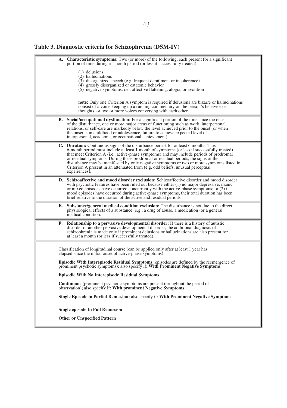**Table 3. Diagnostic criteria for Schizophrenia (DSM-IV)**

|    | A. Characteristic symptoms: Two (or more) of the following, each present for a significant<br>portion of time during a 1 month period (or less if successfully treated):                                                                                                                                                                                                                                                                                                                                                                                                     |
|----|------------------------------------------------------------------------------------------------------------------------------------------------------------------------------------------------------------------------------------------------------------------------------------------------------------------------------------------------------------------------------------------------------------------------------------------------------------------------------------------------------------------------------------------------------------------------------|
|    | $(1)$ delusions<br>(2) hallucinations<br>(3) disorganized speech (e.g. frequent derailment or incoherence)<br>(4) grossly disorganized or catatonic behavior<br>(5) negative symptoms, i.e., affective flattening, alogia, or avolition                                                                                                                                                                                                                                                                                                                                      |
|    | <b>note:</b> Only one Criterion A symptom is required if delusions are bizarre or hallucinations<br>consist of a voice keeping up a running commentary on the person's behavior or<br>thoughts, or two or more voices conversing with each other.                                                                                                                                                                                                                                                                                                                            |
|    | <b>B.</b> Social/occupational dysfunction: For a significant portion of the time since the onset<br>of the disturbance, one or more major areas of functioning such as work, interpersonal<br>relations, or self-care are markedly below the level achieved prior to the onset (or when<br>the onset is in childhood or adolescence, failure to achieve expected level of<br>interpersonal, academic, or occupational achievement).                                                                                                                                          |
|    | <b>C.</b> Duration: Continuous signs of the disturbance persist for at least 6 months. This<br>6-month period must include at least 1 month of symptoms (or less if successfully treated)<br>that meet Criterion A (i.e., active-phase symptoms) and may include periods of prodromal<br>or residual symptoms. During these prodromal or residual periods, the signs of the<br>disturbance may be manifested by only negative symptoms or two or more symptoms listed in<br>Criterion A present in an attenuated from (e.g. odd beliefs, unusual perceptual<br>experiences). |
|    | D. Schizoaffective and mood disorder exclusion: Schizoaffective disorder and mood disorder<br>with psychotic features have been ruled out because either $(1)$ no major depressive, manic<br>or mixed episodes have occurred concurrently with the active-phase symptoms; or $(2)$ if<br>mood episodes have occurred during active-phase symptoms, their total duration has been<br>brief relative to the duration of the active and residual periods.                                                                                                                       |
| Е. | <b>Substance/general medical condition exclusion:</b> The disturbance is not due to the direct<br>physiological effects of a substance (e.g., a drug of abuse, a medication) or a general<br>medical condition.                                                                                                                                                                                                                                                                                                                                                              |
| F. | <b>Relationship to a pervasive developmental disorder:</b> If there is a history of autistic<br>disorder or another pervasive developmental disorder, the additional diagnosis of<br>schizophrenia is made only if prominent delusions or hallucinations are also present for<br>at least a month (or less if successfully treated).                                                                                                                                                                                                                                         |
|    | Classification of longitudinal course (can be applied only after at least 1 year has<br>elapsed since the initial onset of active-phase symptoms):                                                                                                                                                                                                                                                                                                                                                                                                                           |
|    | Episodic With Interepisode Residual Symptoms (episodes are defined by the reemergence of<br>prominent psychotic symptoms); also specify if: With Prominent Negative Symptoms                                                                                                                                                                                                                                                                                                                                                                                                 |
|    | <b>Episodic With No Interepisode Residual Symptoms</b>                                                                                                                                                                                                                                                                                                                                                                                                                                                                                                                       |
|    | <b>Continuous</b> (prominent psychotic symptoms are present throughout the period of<br>observation); also specify if: With prominent Negative Symptoms                                                                                                                                                                                                                                                                                                                                                                                                                      |
|    | Single Episode in Partial Remission: also specify if: With Prominent Negative Symptoms                                                                                                                                                                                                                                                                                                                                                                                                                                                                                       |
|    | Single episode In Full Remission                                                                                                                                                                                                                                                                                                                                                                                                                                                                                                                                             |
|    | <b>Other or Unspecified Pattern</b>                                                                                                                                                                                                                                                                                                                                                                                                                                                                                                                                          |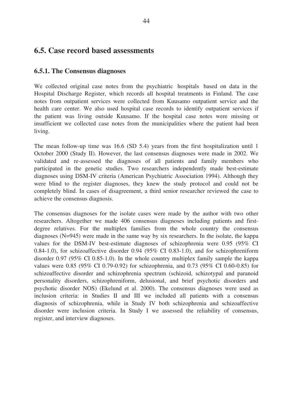## **6.5. Case record based assessments**

#### **6.5.1. The Consensus diagnoses**

We collected original case notes from the psychiatric hospitals based on data in the Hospital Discharge Register, which records all hospital treatments in Finland. The case notes from outpatient services were collected from Kuusamo outpatient service and the health care center. We also used hospital case records to identify outpatient services if the patient was living outside Kuusamo. If the hospital case notes were missing or insufficient we collected case notes from the municipalities where the patient had been living.

The mean follow-up time was 16.6 (SD 5.4) years from the first hospitalization until 1 October 2000 (Study II). However, the last consensus diagnoses were made in 2002. We validated and re-assessed the diagnoses of all patients and family members who participated in the genetic studies. Two researchers independently made best-estimate diagnoses using DSM-IV criteria (American Psychiatric Association 1994). Although they were blind to the register diagnoses, they knew the study protocol and could not be completely blind. In cases of disagreement, a third senior researcher reviewed the case to achieve the consensus diagnosis.

The consensus diagnoses for the isolate cases were made by the author with two other researchers. Altogether we made 406 consensus diagnoses including patients and firstdegree relatives. For the multiplex families from the whole country the consensus diagnoses (N=945) were made in the same way by six researchers. In the isolate, the kappa values for the DSM-IV best-estimate diagnoses of schizophrenia were 0.95 (95% CI 0.84-1.0), for schizoaffective disorder 0.94 (95% CI 0.83-1.0), and for schizophreniform disorder 0.97 (95% CI 0.85-1.0). In the whole country multiplex family sample the kappa values were 0.85 (95% CI 0.79-0.92) for schizophrenia, and 0.73 (95% CI 0.60-0.85) for schizoaffective disorder and schizophrenia spectrum (schizoid, schizotypal and paranoid personality disorders, schizophreniform, delusional, and brief psychotic disorders and psychotic disorder NOS) (Ekelund et al. 2000). The consensus diagnoses were used as inclusion criteria: in Studies II and III we included all patients with a consensus diagnosis of schizophrenia, while in Study IV both schizophrenia and schizoaffective disorder were inclusion criteria. In Study I we assessed the reliability of consensus, register, and interview diagnoses.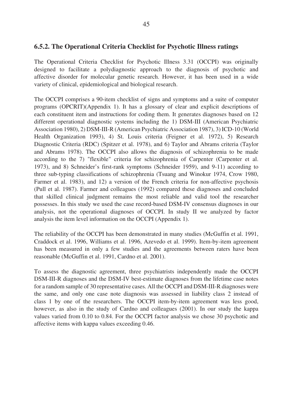#### **6.5.2. The Operational Criteria Checklist for Psychotic Illness ratings**

The Operational Criteria Checklist for Psychotic Illness 3.31 (OCCPI) was originally designed to facilitate a polydiagnostic approach to the diagnosis of psychotic and affective disorder for molecular genetic research. However, it has been used in a wide variety of clinical, epidemiological and biological research.

The OCCPI comprises a 90-item checklist of signs and symptoms and a suite of computer programs (OPCRIT)(Appendix 1). It has a glossary of clear and explicit descriptions of each constituent item and instructions for coding them. It generates diagnoses based on 12 different operational diagnostic systems including the 1) DSM-III (American Psychiatric Association 1980), 2) DSM-III-R (American Psychiatric Association 1987), 3) ICD-10 (World Health Organization 1993), 4) St. Louis criteria (Feigner et al. 1972), 5) Research Diagnostic Criteria (RDC) (Spitzer et al. 1978), and 6) Taylor and Abrams criteria (Taylor and Abrams 1978). The OCCPI also allows the diagnosis of schizophrenia to be made according to the 7) "flexible" criteria for schizophrenia of Carpenter (Carpenter et al. 1973), and 8) Schneider's first-rank symptoms (Schneider 1959), and 9-11) according to three sub-typing classifications of schizophrenia (Tsuang and Winokur 1974, Crow 1980, Farmer et al. 1983), and 12) a version of the French criteria for non-affective psychosis (Pull et al. 1987). Farmer and colleagues (1992) compared these diagnoses and concluded that skilled clinical judgment remains the most reliable and valid tool the researcher possesses. In this study we used the case record-based DSM-IV consensus diagnoses in our analysis, not the operational diagnoses of OCCPI. In study II we analyzed by factor analysis the item level information on the OCCPI (Appendix 1).

The reliability of the OCCPI has been demonstrated in many studies (McGuffin et al. 1991, Craddock et al. 1996, Williams et al. 1996, Azevedo et al. 1999). Item-by-item agreement has been measured in only a few studies and the agreements between raters have been reasonable (McGuffin et al. 1991, Cardno et al. 2001).

To assess the diagnostic agreement, three psychiatrists independently made the OCCPI DSM-III-R diagnoses and the DSM-IV best-estimate diagnoses from the lifetime case notes for a random sample of 30 representative cases. All the OCCPI and DSM-III-R diagnoses were the same, and only one case note diagnosis was assessed in liability class 2 instead of class 1 by one of the researchers. The OCCPI item-by-item agreement was less good, however, as also in the study of Cardno and colleagues (2001). In our study the kappa values varied from 0.10 to 0.84. For the OCCPI factor analysis we chose 30 psychotic and affective items with kappa values exceeding 0.46.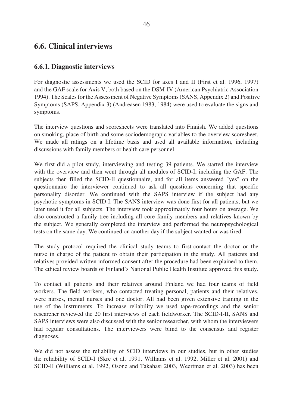## **6.6. Clinical interviews**

#### **6.6.1. Diagnostic interviews**

For diagnostic assessments we used the SCID for axes I and II (First et al. 1996, 1997) and the GAF scale for Axis V, both based on the DSM-IV (American Psychiatric Association 1994). The Scales for the Assessment of Negative Symptoms (SANS, Appendix 2) and Positive Symptoms (SAPS, Appendix 3) (Andreasen 1983, 1984) were used to evaluate the signs and symptoms.

The interview questions and scoresheets were translated into Finnish. We added questions on smoking, place of birth and some sociodemograpic variables to the overview scoresheet. We made all ratings on a lifetime basis and used all available information, including discussions with family members or health care personnel.

We first did a pilot study, interviewing and testing 39 patients. We started the interview with the overview and then went through all modules of SCID-I, including the GAF. The subjects then filled the SCID-II questionnaire, and for all items answered "yes" on the questionnaire the interviewer continued to ask all questions concerning that specific personality disorder. We continued with the SAPS interview if the subject had any psychotic symptoms in SCID-I. The SANS interview was done first for all patients, but we later used it for all subjects. The interview took approximately four hours on average. We also constructed a family tree including all core family members and relatives known by the subject. We generally completed the interview and performed the neuropsychological tests on the same day. We continued on another day if the subject wanted or was tired.

The study protocol required the clinical study teams to first-contact the doctor or the nurse in charge of the patient to obtain their participation in the study. All patients and relatives provided written informed consent after the procedure had been explained to them. The ethical review boards of Finland's National Public Health Institute approved this study.

To contact all patients and their relatives around Finland we had four teams of field workers. The field workers, who contacted treating personal, patients and their relatives, were nurses, mental nurses and one doctor. All had been given extensive training in the use of the instruments. To increase reliability we used tape-recordings and the senior researcher reviewed the 20 first interviews of each fieldworker. The SCID-I-II, SANS and SAPS interviews were also discussed with the senior researcher, with whom the interviewers had regular consultations. The interviewers were blind to the consensus and register diagnoses.

We did not assess the reliability of SCID interviews in our studies, but in other studies the reliability of SCID-I (Skre et al. 1991, Williams et al. 1992, Miller et al. 2001) and SCID-II (Williams et al. 1992, Osone and Takahasi 2003, Weertman et al. 2003) has been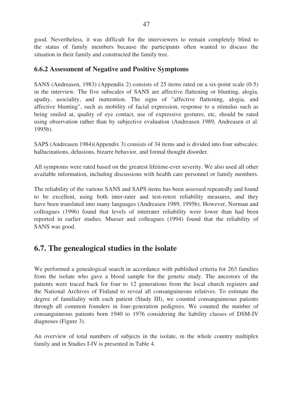good. Nevertheless, it was difficult for the interviewers to remain completely blind to the status of family members because the participants often wanted to discuss the situation in their family and constructed the family tree.

#### **6.6.2 Assessment of Negative and Positive Symptoms**

SANS (Andreasen, 1983) (Appendix 2) consists of 25 items rated on a six-point scale (0-5) in the interview. The five subscales of SANS are affective flattening or blunting, alogia, apathy, asociality, and inattention. The signs of "affective flattening, alogia, and affective blunting", such as mobility of facial expression, response to a stimulus such as being smiled at, quality of eye contact, use of expressive gestures, etc, should be rated using observation rather than by subjective evaluation (Andreasen 1989, Andreasen et al. 1995b).

SAPS (Andreasen 1984)(Appendix 3) consists of 34 items and is divided into four subscales: hallucinations, delusions, bizarre behavior, and formal thought disorder.

All symptoms were rated based on the greatest lifetime-ever severity. We also used all other available information, including discussions with health care personnel or family members.

The reliability of the various SANS and SAPS items has been assessed repeatedly and found to be excellent, using both inter-rater and test-retest reliability measures, and they have been translated into many languages (Andreasen 1989, 1995b). However, Norman and colleagues (1996) found that levels of interrater reliability were lower than had been reported in earlier studies. Mueser and colleagues (1994) found that the reliability of SANS was good.

# **6.7. The genealogical studies in the isolate**

We performed a genealogical search in accordance with published criteria for 263 families from the isolate who gave a blood sample for the genetic study. The ancestors of the patients were traced back for four to 12 generations from the local church registers and the National Archives of Finland to reveal all consanguineous relatives. To estimate the degree of familiality with each patient (Study III), we counted consanguineous patients through all common founders in four-generation pedigrees. We counted the number of consanguineous patients born 1940 to 1976 considering the liability classes of DSM-IV diagnoses (Figure 3).

An overview of total numbers of subjects in the isolate, in the whole country multiplex family and in Studies I-IV is presented in Table 4.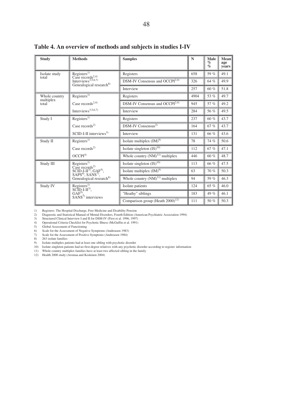|                        |                                                                                                                       | Table 4. An overview of methods and subjects in studies 1-1 v |      |                      |                             |
|------------------------|-----------------------------------------------------------------------------------------------------------------------|---------------------------------------------------------------|------|----------------------|-----------------------------|
| <b>Study</b>           | <b>Methods</b>                                                                                                        | <b>Samples</b>                                                | N    | Male<br>$\%$<br>$\%$ | <b>Mean</b><br>age<br>years |
| Isolate study<br>total | Registers <sup>1</sup>                                                                                                | Registers                                                     | 658  | 59 %                 | 49.1                        |
|                        | Case records <sup>2,4)</sup><br>Interviews <sup>3,5,6,7)</sup><br>Genealogical research <sup>8)</sup>                 | DSM-IV Consensus and OCCPI <sup>2,4)</sup>                    | 326  | 64 %                 | 49.9                        |
|                        |                                                                                                                       | Interview                                                     | 257  | 60%                  | 51.8                        |
| Whole country          | Registers <sup>1</sup>                                                                                                | Registers                                                     | 4904 | 53 %                 | 49.7                        |
| multiplex<br>total     | Case records <sup>2,4)</sup>                                                                                          | DSM-IV Consensus and OCCPI <sup>2,4)</sup>                    | 945  | 57 %                 | 49.2                        |
|                        | Interviews $3,5,6,7$                                                                                                  | Interview                                                     | 284  | 56 %                 | 49.5                        |
| Study I                | Registers <sup>1)</sup>                                                                                               | Registers                                                     | 237  | 60%                  | 43.7                        |
|                        | Case records <sup>2)</sup>                                                                                            | $DSM-IV$ Consensus <sup>2)</sup>                              | 164  | 67 %                 | 43.7                        |
|                        | $SCID-I-II$ interviews <sup>3)</sup>                                                                                  | Interview                                                     | 131  | 66 %                 | 43.6                        |
| Study II               | Registers <sup>1</sup>                                                                                                | Isolate multiplex $(IM)^{9)}$                                 | 78   | 74 %                 | 50.6                        |
|                        | Case records <sup>2)</sup>                                                                                            | Isolate singleton $(IS)^{10}$                                 | 112  | 67%                  | 47.1                        |
|                        | OCCPI <sup>4</sup>                                                                                                    | Whole country $(NM)^{11}$ multiplex                           | 446  | 60%                  | 48.7                        |
| Study III              | Registers <sup>1)</sup>                                                                                               | Isolate singleton $(IS)^{10}$                                 | 113  | 66 %                 | 47.5                        |
|                        | Case records <sup>2)</sup><br>SCID-I-II <sup>3)</sup> , GAF <sup>5)</sup> , SAPS <sup>6</sup> ), SANS <sup>7)</sup> , | Isolate multiplex $(M)^{9}$                                   | 63   | 70%                  | 50.3                        |
|                        | Genealogical research <sup>8)</sup>                                                                                   | Whole country $(NM)^{11}$ multiplex                           | 94   | 59 %                 | 46.3                        |

Study IV Registers<sup>1)</sup><br>
SCID-I-I<sup>3</sup>,<br>
GAFS<sup>7</sup>) interviews THeathy" siblings 183 49 % 46.1<br>
SANS<sup>7</sup>) interviews

Comparison group  $(Heath 2000)^{12}$  111 50 % 50.3

### **Table 4. An overview of methods and subjects in studies I-IV**

1) Registers: The Hospital Discharge, Free Medicine and Disability Pension<br>2) Diagnostic and Statistical Manual of Mental Disorders, Fourth Edition (A

2) Diagnostic and Statistical Manual of Mental Disorders, Fourth Edition (American Psychiatric Association 1994)

3) Structured Clinical Interview I and II for DSM-IV (First et al. 1996, 1997)

4) Operational Criteria Checklist for Psychotic Illness (McGuffin et al. 1991)<br>5) Global Assessment of Functioning

5) Global Assessment of Functioning

6) Scale for the Assessment of Negative Symptoms (Andreasen 1983) 7) Scale for the Assessment of Positive Symptoms (Andreasen 1984)

8) 263 isolate families

I

9) Isolate multiplex patients had at least one sibling with psychotic disorder

10) Isolate singleton patients had no first-degree relatives with any psychotic disorder according to register information

11) Whole country multiplex families have at least two affected sibling in the family

12) Health 2000 study (Aromaa and Koskinen 2004)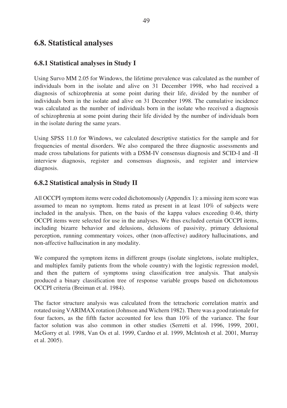## **6.8. Statistical analyses**

#### **6.8.1 Statistical analyses in Study I**

Using Survo MM 2.05 for Windows, the lifetime prevalence was calculated as the number of individuals born in the isolate and alive on 31 December 1998, who had received a diagnosis of schizophrenia at some point during their life, divided by the number of individuals born in the isolate and alive on 31 December 1998. The cumulative incidence was calculated as the number of individuals born in the isolate who received a diagnosis of schizophrenia at some point during their life divided by the number of individuals born in the isolate during the same years.

Using SPSS 11.0 for Windows, we calculated descriptive statistics for the sample and for frequencies of mental disorders. We also compared the three diagnostic assessments and made cross tabulations for patients with a DSM-IV consensus diagnosis and SCID-I and -II interview diagnosis, register and consensus diagnosis, and register and interview diagnosis.

#### **6.8.2 Statistical analysis in Study II**

All OCCPI symptom items were coded dichotomously (Appendix 1): a missing item score was assumed to mean no symptom. Items rated as present in at least 10% of subjects were included in the analysis. Then, on the basis of the kappa values exceeding 0.46, thirty OCCPI items were selected for use in the analyses. We thus excluded certain OCCPI items, including bizarre behavior and delusions, delusions of passivity, primary delusional perception, running commentary voices, other (non-affective) auditory hallucinations, and non-affective hallucination in any modality.

We compared the symptom items in different groups (isolate singletons, isolate multiplex, and multiplex family patients from the whole country) with the logistic regression model, and then the pattern of symptoms using classification tree analysis. That analysis produced a binary classification tree of response variable groups based on dichotomous OCCPI criteria (Breiman et al. 1984).

The factor structure analysis was calculated from the tetrachoric correlation matrix and rotated using VARIMAX rotation (Johnson and Wichern 1982). There was a good rationale for four factors, as the fifth factor accounted for less than 10% of the variance. The four factor solution was also common in other studies (Serretti et al. 1996, 1999, 2001, McGorry et al. 1998, Van Os et al. 1999, Cardno et al. 1999, McIntosh et al. 2001, Murray et al. 2005).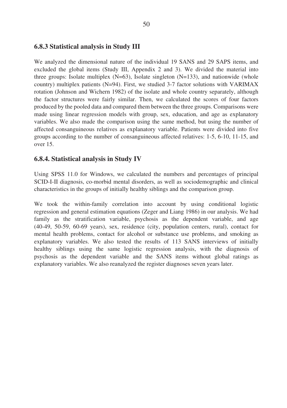#### **6.8.3 Statistical analysis in Study III**

We analyzed the dimensional nature of the individual 19 SANS and 29 SAPS items, and excluded the global items (Study III, Appendix 2 and 3). We divided the material into three groups: Isolate multiplex  $(N=63)$ , Isolate singleton  $(N=133)$ , and nationwide (whole country) multiplex patients  $(N=94)$ . First, we studied 3-7 factor solutions with VARIMAX rotation (Johnson and Wichern 1982) of the isolate and whole country separately, although the factor structures were fairly similar. Then, we calculated the scores of four factors produced by the pooled data and compared them between the three groups. Comparisons were made using linear regression models with group, sex, education, and age as explanatory variables. We also made the comparison using the same method, but using the number of affected consanguineous relatives as explanatory variable. Patients were divided into five groups according to the number of consanguineous affected relatives: 1-5, 6-10, 11-15, and over 15.

#### **6.8.4. Statistical analysis in Study IV**

Using SPSS 11.0 for Windows, we calculated the numbers and percentages of principal SCID-I-II diagnosis, co-morbid mental disorders, as well as sociodemographic and clinical characteristics in the groups of initially healthy siblings and the comparison group.

We took the within-family correlation into account by using conditional logistic regression and general estimation equations (Zeger and Liang 1986) in our analysis. We had family as the stratification variable, psychosis as the dependent variable, and age (40-49, 50-59, 60-69 years), sex, residence (city, population centers, rural), contact for mental health problems, contact for alcohol or substance use problems, and smoking as explanatory variables. We also tested the results of 113 SANS interviews of initially healthy siblings using the same logistic regression analysis, with the diagnosis of psychosis as the dependent variable and the SANS items without global ratings as explanatory variables. We also reanalyzed the register diagnoses seven years later.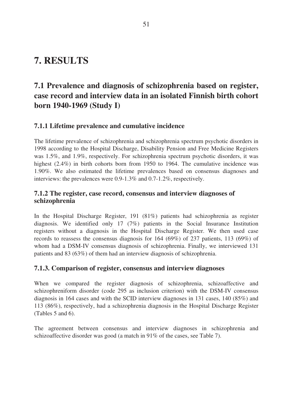# **7. RESULTS**

# **7.1 Prevalence and diagnosis of schizophrenia based on register, case record and interview data in an isolated Finnish birth cohort born 1940-1969 (Study I)**

### **7.1.1 Lifetime prevalence and cumulative incidence**

The lifetime prevalence of schizophrenia and schizophrenia spectrum psychotic disorders in 1998 according to the Hospital Discharge, Disability Pension and Free Medicine Registers was 1.5%, and 1.9%, respectively. For schizophrenia spectrum psychotic disorders, it was highest (2.4%) in birth cohorts born from 1950 to 1964. The cumulative incidence was 1.90%. We also estimated the lifetime prevalences based on consensus diagnoses and interviews: the prevalences were 0.9-1.3% and 0.7-1.2%, respectively.

### **7.1.2 The register, case record, consensus and interview diagnoses of schizophrenia**

In the Hospital Discharge Register, 191 (81%) patients had schizophrenia as register diagnosis. We identified only 17 (7%) patients in the Social Insurance Institution registers without a diagnosis in the Hospital Discharge Register. We then used case records to reassess the consensus diagnosis for 164 (69%) of 237 patients, 113 (69%) of whom had a DSM-IV consensus diagnosis of schizophrenia. Finally, we interviewed 131 patients and 83 (63%) of them had an interview diagnosis of schizophrenia.

### **7.1.3. Comparison of register, consensus and interview diagnoses**

When we compared the register diagnosis of schizophrenia, schizoaffective and schizophreniform disorder (code 295 as inclusion criterion) with the DSM-IV consensus diagnosis in 164 cases and with the SCID interview diagnoses in 131 cases, 140 (85%) and 113 (86%), respectively, had a schizophrenia diagnosis in the Hospital Discharge Register (Tables 5 and 6).

The agreement between consensus and interview diagnoses in schizophrenia and schizoaffective disorder was good (a match in 91% of the cases, see Table 7).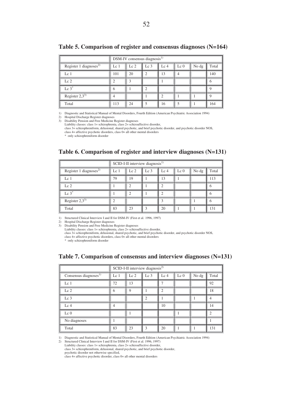| Table 5. Comparison of register and consensus diagnoses (N=1) |                                            |  |  |                                      |  |  |  |
|---------------------------------------------------------------|--------------------------------------------|--|--|--------------------------------------|--|--|--|
|                                                               | $DSM-IV$ consensus diagnosis <sup>1)</sup> |  |  |                                      |  |  |  |
| Register 1 diagnoses <sup>2)</sup>                            |                                            |  |  | Lc 1 Lc 2 Lc 3 Lc 4 Lc 0 No dg Total |  |  |  |

1 2 1 9 Register 2,33) 4 1 2 1 1 9

#### **Table 5. Comparison of register and consensus diagnoses (N=164)**

| Total | 113 | 24 | 5 | 16 | 5 | 1 | 164 1) Diagnostic and Statistical Manual of Mental Disorders, Fourth Edition (American Psychiatric Association 1994)

 Lc 1 101 20 2 13 4 140 Lc 2 2 3 1 6

1) Diagnostic and Statistical Manual of M<br>2) Hospital Discharge Register diagnoses

 $Lc$  3<sup>\*</sup>

3) Disability Pension and Free Medicine Register diagnoses

 Liability classes: class 1= schizophrenia, class 2= schizoaffective disorder, class 3= schizophreniform, delusional, shared psychotic, and brief psychotic disorder, and psychotic disorder NOS, class 4= affective psychotic disorders, class 0= all other mental disorders \* only schizophreniform disorder

#### **Table 6. Comparison of register and interview diagnoses (N=131)**

|                                      | $SCID-I-II$ interview diagnosis <sup>1)</sup> |                 |                 |                 |                 |       |          |  |
|--------------------------------------|-----------------------------------------------|-----------------|-----------------|-----------------|-----------------|-------|----------|--|
| Register $1$ diagnoses <sup>2)</sup> | Lc <sub>1</sub>                               | Lc <sub>2</sub> | Lc <sub>3</sub> | Lc <sub>4</sub> | Lc <sub>0</sub> | No dg | Total    |  |
| Lc <sub>1</sub>                      | 79                                            | 19              |                 | 13              |                 |       | 113      |  |
| Lc <sub>2</sub>                      |                                               | ↑               |                 |                 |                 |       | $\sigma$ |  |
| Lc $3^*$                             |                                               |                 |                 |                 |                 |       |          |  |
| Register $2,3^{3}$                   |                                               |                 |                 |                 |                 |       |          |  |
| Total                                | 83                                            | 23              |                 | 20              |                 |       | 131      |  |

1) Structured Clinical Interview I and II for DSM-IV (First et al. 1996, 1997)

1) Structured Clinical Interview 1 and 11 for<br>2) Hospital Discharge Register diagnoses

3) Disability Pension and Free Medicine Register diagnoses

Liability classes: class 1= schizophrenia, class 2= schizoaffective disorder,

class 3= schizophreniform, delusional, shared psychotic, and brief psychotic disorder, and psychotic disorder NOS,<br>class 4= affective psychotic disorders, class 0= all other mental disorders<br>\* only schizophreniform disorde

#### **Table 7. Comparison of consensus and interview diagnoses (N=131)**

|                                   | SCID-I-II interview diagnosis <sup>2)</sup> |                 |                 |                 |                 |         |                |
|-----------------------------------|---------------------------------------------|-----------------|-----------------|-----------------|-----------------|---------|----------------|
| Consensus diagnoses <sup>1)</sup> | Lc <sub>1</sub>                             | Lc <sub>2</sub> | Lc <sub>3</sub> | Lc <sub>4</sub> | Lc <sub>0</sub> | No $dg$ | Total          |
| Lc <sub>1</sub>                   | 72                                          | 13              |                 |                 |                 |         | 92             |
| Lc <sub>2</sub>                   | 6                                           | 9               |                 | $\overline{c}$  |                 |         | 18             |
| Lc <sub>3</sub>                   |                                             |                 | $\overline{2}$  |                 |                 |         | 4              |
| Lc <sub>4</sub>                   | $\overline{4}$                              |                 |                 | 10              |                 |         | 14             |
| Lc <sub>0</sub>                   |                                             |                 |                 |                 |                 |         | $\overline{c}$ |
| No diagnoses                      |                                             |                 |                 |                 |                 |         |                |
| Total                             | 83                                          | 23              | 3               | 20              |                 |         | 131            |

1) Diagnostic and Statistical Manual of Mental Disorders, Fourth Edition (American Psychiatric Association 1994) 2) Structured Clinical Interview I and II for DSM-IV (First et al. 1996, 1997)

Liability classes: class 1= schizophrenia, class 2= schizoaffective disorder,

class 3= schizophreniform, delusional, shared psychotic, and brief psychotic disorder, psychotic disorder not otherwise specified,

class 4= affective psychotic disorder, class 0= all other mental disorders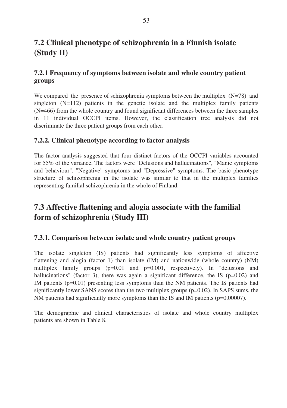# **7.2 Clinical phenotype of schizophrenia in a Finnish isolate (Study II)**

### **7.2.1 Frequency of symptoms between isolate and whole country patient groups**

We compared the presence of schizophrenia symptoms between the multiplex  $(N=78)$  and singleton  $(N=112)$  patients in the genetic isolate and the multiplex family patients (N=466) from the whole country and found significant differences between the three samples in 11 individual OCCPI items. However, the classification tree analysis did not discriminate the three patient groups from each other.

### **7.2.2. Clinical phenotype according to factor analysis**

The factor analysis suggested that four distinct factors of the OCCPI variables accounted for 55% of the variance. The factors were "Delusions and hallucinations", "Manic symptoms and behaviour", "Negative" symptoms and "Depressive" symptoms. The basic phenotype structure of schizophrenia in the isolate was similar to that in the multiplex families representing familial schizophrenia in the whole of Finland.

# **7.3 Affective flattening and alogia associate with the familial form of schizophrenia (Study III)**

### **7.3.1. Comparison between isolate and whole country patient groups**

The isolate singleton (IS) patients had significantly less symptoms of affective flattening and alogia (factor 1) than isolate (IM) and nationwide (whole country) (NM) multiplex family groups  $(p=0.01$  and  $p=0.001$ , respectively). In "delusions and hallucinations" (factor 3), there was again a significant difference, the IS ( $p=0.02$ ) and IM patients (p=0.01) presenting less symptoms than the NM patients. The IS patients had significantly lower SANS scores than the two multiplex groups  $(p=0.02)$ . In SAPS sums, the NM patients had significantly more symptoms than the IS and IM patients (p=0.00007).

The demographic and clinical characteristics of isolate and whole country multiplex patients are shown in Table 8.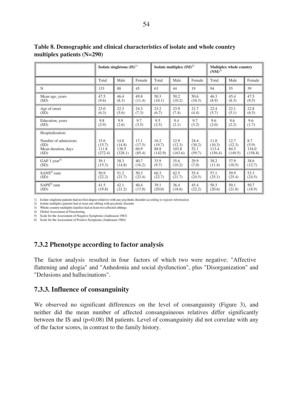|                                                                                 | Isolate singletons $(IS)^{1}$      |                                    |                                  |                                   | Isolate multiplex $(IM)^2$         |                                  | <b>Multiplex whole country</b><br>$(NM)^{3}$ |                                   |                                  |
|---------------------------------------------------------------------------------|------------------------------------|------------------------------------|----------------------------------|-----------------------------------|------------------------------------|----------------------------------|----------------------------------------------|-----------------------------------|----------------------------------|
|                                                                                 | Total                              | Male                               | Female                           | Total                             | Male                               | Female                           | Total                                        | Male                              | Female                           |
| $\mathbf N$                                                                     | 133                                | 88                                 | 45                               | 63                                | 44                                 | 19                               | 94                                           | 55                                | 39                               |
| Mean age, years                                                                 | 47.5                               | 46.4                               | 49.8                             | 50.3                              | 50.2                               | 50.6                             | 46.3                                         | 45.4                              | 47.5                             |
| (SD)                                                                            | (9.6)                              | (8.3)                              | (11.4)                           | (10.1)                            | (10.2)                             | (10.3)                           | (8.9)                                        | (8.3)                             | (9.5)                            |
| Age of onset                                                                    | 23.0                               | 22.3                               | 24.3                             | 23.2                              | 23.9                               | 21.7                             | 22.4                                         | 22.1                              | 22.8                             |
| (SD)                                                                            | (6.3)                              | (5.6)                              | (7.3)                            | (6.7)                             | (7.4)                              | (4.4)                            | (5.7)                                        | (5.1)                             | (6.5)                            |
| Education, years                                                                | 9.8                                | 9.9                                | 9.7                              | 9.5                               | 9.4                                | 9.7                              | 9.6                                          | 9.6                               | 9.6                              |
| (SD)                                                                            | (2.9)                              | (2.6)                              | (3.5)                            | (2.5)                             | (2.1)                              | (3.2)                            | (2.0)                                        | (2.2)                             | (1.7)                            |
| Hospitalization:<br>Number of admissions<br>(SD)<br>Mean duration, days<br>(SD) | 15.6<br>(15.7)<br>111.8<br>(272.4) | 14.8<br>(14.8)<br>138.5<br>(328.1) | 17.1<br>(17.5)<br>60.9<br>(85.4) | 16.2<br>(19.7)<br>88.8<br>(142.9) | 12.9<br>(12.3)<br>103.8<br>(163.6) | 24.4<br>(30.2)<br>52.1<br>(59.7) | 11.0<br>(10.3)<br>113.4<br>(156.4)           | 12.7<br>(12.3)<br>84.3<br>(149.5) | 8.7<br>(5.9)<br>154.0<br>(158.8) |
| GAF 1 year <sup>4)</sup>                                                        | 39.1                               | 38.3                               | 40.7                             | 33.9                              | 35.6                               | 29.9                             | 38.2                                         | 37.9                              | 38.6                             |
| (SD)                                                                            | (15.3)                             | (14.8)                             | (16.2)                           | (9.7)                             | (10.2)                             | (7.0)                            | (11.4)                                       | (10.5)                            | (12.7)                           |
| $SANS5$ sum                                                                     | 50.9                               | 51.2                               | 50.3                             | 60.3                              | 62.5                               | 55.4                             | 57.1                                         | 59.9                              | 53.3                             |
| (SD)                                                                            | (22.2)                             | (21.7)                             | (23.4)                           | (22.7)                            | (21.7)                             | (24.5)                           | (25.1)                                       | (25.4)                            | (24.5)                           |
| $SAPS6$ sum                                                                     | 41.5                               | 42.1                               | 40.4                             | 39.1                              | 36.4                               | 45.4                             | 50.3                                         | 50.1                              | 50.7                             |
| (SD)                                                                            | (19.8)                             | (21.2)                             | (17.0)                           | (20.0)                            | (18.6)                             | (22.2)                           | (20.6)                                       | (21.8)                            | (18.9)                           |

**Table 8. Demographic and clinical characteristics of isolate and whole country multiplex patients (N=290)**

1) Isolate singleton patients had no first-degree relatives with any psychotic disorder according to register information

2) Isolate multiplex patients had at least one sibling with psychotic disorder

3) Whole country multiplex families had at least two affected siblings

4) Global Assessment of Functioning

5) Scale for the Assessment of Negative Symptoms (Andreasen 1983)

6) Scale for the Assessment of Positive Symptoms (Andreasen 1984)

### **7.3.2 Phenotype according to factor analysis**

The factor analysis resulted in four factors of which two were negative: "Affective flattening and alogia" and "Anhedonia and social dysfunction", plus "Disorganization" and "Delusions and hallucinations".

#### **7.3.3. Influence of consanguinity**

We observed no significant differences on the level of consanguinity (Figure 3), and neither did the mean number of affected consanguineous relatives differ significantly between the IS and  $(p=0.08)$  IM patients. Level of consanguinity did not correlate with any of the factor scores, in contrast to the family history.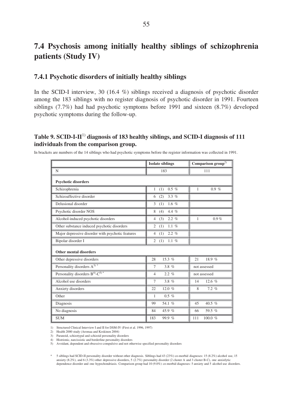# **7.4 Psychosis among initially healthy siblings of schizophrenia patients (Study IV)**

#### **7.4.1 Psychotic disorders of initially healthy siblings**

In the SCID-I interview, 30 (16.4 %) siblings received a diagnosis of psychotic disorder among the 183 siblings with no register diagnosis of psychotic disorder in 1991. Fourteen siblings (7.7%) had had psychotic symptoms before 1991 and sixteen (8.7%) developed psychotic symptoms during the follow-up.

### **Table 9. SCID-I-II**1) **diagnosis of 183 healthy siblings, and SCID-I diagnosis of 111 individuals from the comparison group.**

|                                                         | <b>Isolate siblings</b>          | Comparison group <sup>2)</sup> |  |  |
|---------------------------------------------------------|----------------------------------|--------------------------------|--|--|
| $\mathbf N$                                             | 183                              | 111                            |  |  |
| <b>Psychotic disorders</b>                              |                                  |                                |  |  |
| Schizophrenia                                           | $0.5\%$<br>(1)<br>1              | $0.9 \%$<br>1                  |  |  |
| Schizoaffective disorder                                | 3.3%<br>6<br>(2)                 |                                |  |  |
| Delusional disorder                                     | 1.6 $%$<br>3<br>(1)              |                                |  |  |
| Psychotic disorder NOS                                  | 4.4 %<br>8<br>(4)                |                                |  |  |
| Alcohol-induced psychotic disorders                     | 2.2%<br>(3)<br>$\overline{4}$    | $0.9\%$<br>1                   |  |  |
| Other substance induced psychotic disorders             | $\overline{c}$<br>(1)<br>$1.1\%$ |                                |  |  |
| Major depressive disorder with psychotic features       | 2.2%<br>(1)<br>$\overline{4}$    |                                |  |  |
| Bipolar disorder I                                      | 1.1%<br>2<br>(1)                 |                                |  |  |
| <b>Other mental disorders</b>                           |                                  |                                |  |  |
| Other depressive disorders                              | 15.3%<br>28                      | 18.9 %<br>21                   |  |  |
| Personality disorders $A^{3}$ <sup>*</sup>              | 7<br>3.8%                        | not assessed                   |  |  |
| Personality disorders B <sup>4)</sup> -C <sup>5)*</sup> | 2.2%<br>4                        | not assessed                   |  |  |
| Alcohol use disorders                                   | $\overline{7}$<br>3.8%           | 12.6 $%$<br>14                 |  |  |
| Anxiety disorders                                       | 12.0%<br>22                      | 7.2%<br>8                      |  |  |
| Other                                                   | $0.5 \%$<br>1                    |                                |  |  |
| Diagnosis                                               | 54.1 %<br>99                     | 45<br>40.5 %                   |  |  |
| No diagnosis                                            | 45.9 %<br>84                     | 59.5 %<br>66                   |  |  |
| <b>SUM</b>                                              | 99.9 %<br>183                    | 100.0 %<br>111                 |  |  |

In brackets are numbers of the 14 siblings who had psychotic symptoms before the register information was collected in 1991.

1) Structured Clinical Interview I and II for DSM-IV (First et al. 1996, 1997)

<sup>2)</sup> Health 2000 study (Aromaa and Koskinen 2004)

<sup>3)</sup> Paranoid, schizotypal and schizoid personality disorders

<sup>4)</sup> Histrionic, narcissistic and borderline personality disorders

<sup>5)</sup> Avoidant, dependent and obsessive-compulsive and not otherwise specified personality disorders

<sup>\* 5</sup> siblings had SCID-II personality disorder without other diagnosis. Siblings had 43 (23%) co-morbid diagnoses: 15 (8.2%) alcohol use, 15 anxiety (8.2%), and 6 (3.3%) other depressive disorders, 5 (2.7%) personality disorder (2 cluster A and 3 cluster B-C), one anxiolytic dependence disorder and one hypochondriasis. Comparison group had 10 (9.0%) co-morbid diagnoses: 5 anxiety and 5 alcohol use disorders.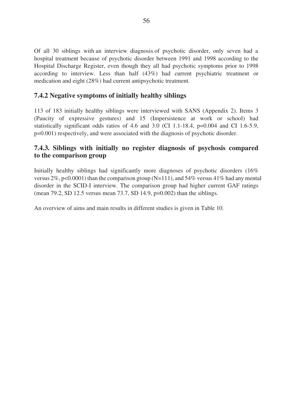Of all 30 siblings with an interview diagnosis of psychotic disorder, only seven had a hospital treatment because of psychotic disorder between 1991 and 1998 according to the Hospital Discharge Register, even though they all had psychotic symptoms prior to 1998 according to interview. Less than half (43%) had current psychiatric treatment or medication and eight (28%) had current antipsychotic treatment.

### **7.4.2 Negative symptoms of initially healthy siblings**

113 of 183 initially healthy siblings were interviewed with SANS (Appendix 2). Items 3 (Paucity of expressive gestures) and 15 (Impersistence at work or school) had statistically significant odds ratios of 4.6 and 3.0 (CI 1.1-18.4,  $p=0.004$  and CI 1.6-5.9, p=0.001) respectively, and were associated with the diagnosis of psychotic disorder.

### **7.4.3. Siblings with initially no register diagnosis of psychosis compared to the comparison group**

Initially healthy siblings had significantly more diagnoses of psychotic disorders (16% versus 2%, p<0.0001) than the comparison group  $(N=111)$ , and 54% versus 41% had any mental disorder in the SCID-I interview. The comparison group had higher current GAF ratings (mean 79.2, SD 12.5 versus mean 73.7, SD 14.9, p=0.002) than the siblings.

An overview of aims and main results in different studies is given in Table 10.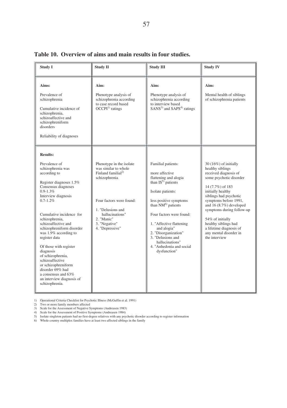| <b>Study I</b>                                                                                                                                                                                                                                                                                                                                                                                                                                                                                                              | Study II                                                                                                                                                                                                                  | Study III                                                                                                                                                                                                                                                                                                                                                    | <b>Study IV</b>                                                                                                                                                                                                                                                                                                                                                        |
|-----------------------------------------------------------------------------------------------------------------------------------------------------------------------------------------------------------------------------------------------------------------------------------------------------------------------------------------------------------------------------------------------------------------------------------------------------------------------------------------------------------------------------|---------------------------------------------------------------------------------------------------------------------------------------------------------------------------------------------------------------------------|--------------------------------------------------------------------------------------------------------------------------------------------------------------------------------------------------------------------------------------------------------------------------------------------------------------------------------------------------------------|------------------------------------------------------------------------------------------------------------------------------------------------------------------------------------------------------------------------------------------------------------------------------------------------------------------------------------------------------------------------|
| Aims:<br>Prevalence of<br>schizophrenia<br>Cumulative incidence of<br>schizophrenia.<br>schizoaffective and<br>schizophreniform<br>disorders<br>Reliability of diagnoses                                                                                                                                                                                                                                                                                                                                                    | Aim:<br>Phenotype analysis of<br>schizophrenia according<br>to case record based<br>$OCCPI1$ ratings                                                                                                                      | Aim:<br>Phenotype analysis of<br>schizophrenia according<br>to interview based<br>SANS <sup>3)</sup> and SAPS <sup>4)</sup> ratings                                                                                                                                                                                                                          | Aim:<br>Mental health of siblings<br>of schizophrenia patients                                                                                                                                                                                                                                                                                                         |
| <b>Results:</b><br>Prevalence of<br>schizophrenia was<br>according to<br>Register diagnoses 1.5%<br>Consensus diagnoses<br>$0.9 - 1.3\%$<br>Interview diagnosis<br>$0.7 - 1.2%$<br>Cumulative incidence for<br>schizophrenia,<br>schizoaffective and<br>schizophreniform disorder<br>was 1.9% according to<br>register data<br>Of those with register<br>diagnosis<br>of schizophrenia,<br>schizoaffective<br>or schizophreniform<br>disorder 69% had<br>a consensus and 63%<br>an interview diagnosis of<br>schizophrenia. | Phenotype in the isolate<br>was similar to whole<br>Finland familial <sup>2)</sup><br>schizophrenia<br>Four factors were found:<br>1. "Delusions and<br>hallucinations"<br>2. "Manic"<br>3. "Negative"<br>4. "Depressive" | Familial patients:<br>more affective<br>flattening and alogia<br>than $IS^{5)}$ patients<br>Isolate patients:<br>less positive symptoms<br>than NM <sup>6)</sup> patients<br>Four factors were found:<br>1. "Affective flattening<br>and alogia"<br>2. "Disorganization"<br>3. "Delusions and<br>hallucinations"<br>4. "Anhedonia and social<br>dysfunction" | 30 $(16\%)$ of initially<br>healthy siblings<br>received diagnosis of<br>some psychotic disorder<br>14 (7.7%) of 183<br>initially healthy<br>siblings had psychotic<br>symptoms before 1991,<br>and 16 (8.7%) developed<br>symptoms during follow-up<br>54% of initially<br>healthy siblings had<br>a lifetime diagnosis of<br>any mental disorder in<br>the interview |

**Table 10. Overview of aims and main results in four studies.**

1) Operational Criteria Checklist for Psychotic Illness (McGuffin et al. 1991) 2) Two or more family members affected

3) Scale for the Assessment of Negative Symptoms (Andreasen 1983)<br>4) Scale for the Assessment of Positive Symptoms (Andreasen 1984)<br>5) Isolate singleton patients had no first-degree relatives with any psychotic disorder ac

6) Whole country multiplex families have at least two affected siblings in the family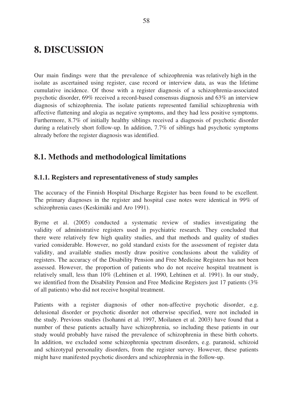# **8. DISCUSSION**

Our main findings were that the prevalence of schizophrenia was relatively high in the isolate as ascertained using register, case record or interview data, as was the lifetime cumulative incidence. Of those with a register diagnosis of a schizophrenia-associated psychotic disorder, 69% received a record-based consensus diagnosis and 63% an interview diagnosis of schizophrenia. The isolate patients represented familial schizophrenia with affective flattening and alogia as negative symptoms, and they had less positive symptoms. Furthermore, 8.7% of initially healthy siblings received a diagnosis of psychotic disorder during a relatively short follow-up. In addition, 7.7% of siblings had psychotic symptoms already before the register diagnosis was identified.

# **8.1. Methods and methodological limitations**

### **8.1.1. Registers and representativeness of study samples**

The accuracy of the Finnish Hospital Discharge Register has been found to be excellent. The primary diagnoses in the register and hospital case notes were identical in 99% of schizophrenia cases (Keskimäki and Aro 1991).

Byrne et al. (2005) conducted a systematic review of studies investigating the validity of administrative registers used in psychiatric research. They concluded that there were relatively few high quality studies, and that methods and quality of studies varied considerable. However, no gold standard exists for the assessment of register data validity, and available studies mostly draw positive conclusions about the validity of registers. The accuracy of the Disability Pension and Free Medicine Registers has not been assessed. However, the proportion of patients who do not receive hospital treatment is relatively small, less than 10% (Lehtinen et al. 1990, Lehtinen et al. 1991). In our study, we identified from the Disability Pension and Free Medicine Registers just 17 patients (3% of all patients) who did not receive hospital treatment.

Patients with a register diagnosis of other non-affective psychotic disorder, e.g. delusional disorder or psychotic disorder not otherwise specified, were not included in the study. Previous studies (Isohanni et al. 1997, Moilanen et al. 2003) have found that a number of these patients actually have schizophrenia, so including these patients in our study would probably have raised the prevalence of schizophrenia in these birth cohorts. In addition, we excluded some schizophrenia spectrum disorders, e.g. paranoid, schizoid and schizotypal personality disorders, from the register survey. However, these patients might have manifested psychotic disorders and schizophrenia in the follow-up.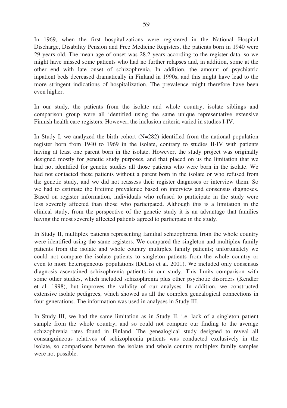In 1969, when the first hospitalizations were registered in the National Hospital Discharge, Disability Pension and Free Medicine Registers, the patients born in 1940 were 29 years old. The mean age of onset was 28.2 years according to the register data, so we might have missed some patients who had no further relapses and, in addition, some at the other end with late onset of schizophrenia. In addition, the amount of psychiatric inpatient beds decreased dramatically in Finland in 1990s, and this might have lead to the more stringent indications of hospitalization. The prevalence might therefore have been even higher.

In our study, the patients from the isolate and whole country, isolate siblings and comparison group were all identified using the same unique representative extensive Finnish health care registers. However, the inclusion criteria varied in studies I-IV.

In Study I, we analyzed the birth cohort (N=282) identified from the national population register born from 1940 to 1969 in the isolate, contrary to studies II-IV with patients having at least one parent born in the isolate. However, the study project was originally designed mostly for genetic study purposes, and that placed on us the limitation that we had not identified for genetic studies all those patients who were born in the isolate. We had not contacted these patients without a parent born in the isolate or who refused from the genetic study, and we did not reassess their register diagnoses or interview them. So we had to estimate the lifetime prevalence based on interview and consensus diagnoses. Based on register information, individuals who refused to participate in the study were less severely affected than those who participated. Although this is a limitation in the clinical study, from the perspective of the genetic study it is an advantage that families having the most severely affected patients agreed to participate in the study.

In Study II, multiplex patients representing familial schizophrenia from the whole country were identified using the same registers. We compared the singleton and multiplex family patients from the isolate and whole country multiplex family patients; unfortunately we could not compare the isolate patients to singleton patients from the whole country or even to more heterogeneous populations (DeLisi et al. 2001). We included only consensus diagnosis ascertained schizophrenia patients in our study. This limits comparison with some other studies, which included schizophrenia plus other psychotic disorders (Kendler et al. 1998), but improves the validity of our analyses. In addition, we constructed extensive isolate pedigrees, which showed us all the complex genealogical connections in four generations. The information was used in analyses in Study III.

In Study III, we had the same limitation as in Study II, i.e. lack of a singleton patient sample from the whole country, and so could not compare our finding to the average schizophrenia rates found in Finland. The genealogical study designed to reveal all consanguineous relatives of schizophrenia patients was conducted exclusively in the isolate, so comparisons between the isolate and whole country multiplex family samples were not possible.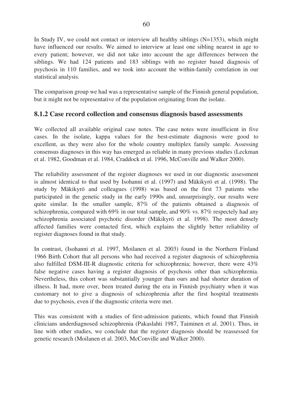In Study IV, we could not contact or interview all healthy siblings (N=1353), which might have influenced our results. We aimed to interview at least one sibling nearest in age to every patient; however, we did not take into account the age differences between the siblings. We had 124 patients and 183 siblings with no register based diagnosis of psychosis in 110 families, and we took into account the within-family correlation in our statistical analysis.

The comparison group we had was a representative sample of the Finnish general population, but it might not be representative of the population originating from the isolate.

#### **8.1.2 Case record collection and consensus diagnosis based assessments**

We collected all available original case notes. The case notes were insufficient in five cases. In the isolate, kappa values for the best-estimate diagnosis were good to excellent, as they were also for the whole country multiplex family sample. Assessing consensus diagnoses in this way has emerged as reliable in many previous studies (Leckman et al. 1982, Goodman et al. 1984, Craddock et al. 1996, McConville and Walker 2000).

The reliability assessment of the register diagnoses we used in our diagnostic assessment is almost identical to that used by Isohanni et al. (1997) and Mäkikyrö et al. (1998). The study by Mäkikyrö and colleagues (1998) was based on the first 73 patients who participated in the genetic study in the early 1990s and, unsurprisingly, our results were quite similar. In the smaller sample, 87% of the patients obtained a diagnosis of schizophrenia, compared with 69% in our total sample, and 90% vs. 87% respectely had any schizophrenia associated psychotic disorder (Mäkikyrö et al. 1998). The most densely affected families were contacted first, which explains the slightly better reliability of register diagnoses found in that study.

In contrast, (Isohanni et al. 1997, Moilanen et al. 2003) found in the Northern Finland 1966 Birth Cohort that all persons who had received a register diagnosis of schizophrenia also fulfilled DSM-III-R diagnostic criteria for schizophrenia; however, there were 43% false negative cases having a register diagnosis of psychosis other than schizophrenia. Nevertheless, this cohort was substantially younger than ours and had shorter duration of illness. It had, more over, been treated during the era in Finnish psychiatry when it was customary not to give a diagnosis of schizophrenia after the first hospital treatments due to psychosis, even if the diagnostic criteria were met.

This was consistent with a studies of first-admission patients, which found that Finnish clinicians underdiagnosed schizophrenia (Pakaslahti 1987, Taiminen et al. 2001). Thus, in line with other studies, we conclude that the register diagnosis should be reassessed for genetic research (Moilanen et al. 2003, McConville and Walker 2000).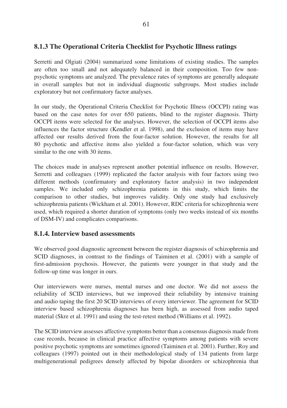### **8.1.3 The Operational Criteria Checklist for Psychotic Illness ratings**

Serretti and Olgiati (2004) summarized some limitations of existing studies. The samples are often too small and not adequately balanced in their composition. Too few nonpsychotic symptoms are analyzed. The prevalence rates of symptoms are generally adequate in overall samples but not in individual diagnostic subgroups. Most studies include exploratory but not confirmatory factor analyses.

In our study, the Operational Criteria Checklist for Psychotic Illness (OCCPI) rating was based on the case notes for over 650 patients, blind to the register diagnosis. Thirty OCCPI items were selected for the analyses. However, the selection of OCCPI items also influences the factor structure (Kendler et al. 1998), and the exclusion of items may have affected our results derived from the four-factor solution. However, the results for all 80 psychotic and affective items also yielded a four-factor solution, which was very similar to the one with 30 items.

The choices made in analyses represent another potential influence on results. However, Serretti and colleagues (1999) replicated the factor analysis with four factors using two different methods (confirmatory and exploratory factor analysis) in two independent samples. We included only schizophrenia patients in this study, which limits the comparison to other studies, but improves validity. Only one study had exclusively schizophrenia patients (Wickham et al. 2001). However, RDC criteria for schizophrenia were used, which required a shorter duration of symptoms (only two weeks instead of six months of DSM-IV) and complicates comparisons.

#### **8.1.4. Interview based assessments**

We observed good diagnostic agreement between the register diagnosis of schizophrenia and SCID diagnoses, in contrast to the findings of Taiminen et al. (2001) with a sample of first-admission psychosis. However, the patients were younger in that study and the follow-up time was longer in ours.

Our interviewers were nurses, mental nurses and one doctor. We did not assess the reliability of SCID interviews, but we improved their reliability by intensive training and audio taping the first 20 SCID interviews of every interviewer. The agreement for SCID interview based schizophrenia diagnoses has been high, as assessed from audio taped material (Skre et al. 1991) and using the test-retest method (Williams et al. 1992).

The SCID interview assesses affective symptoms better than a consensus diagnosis made from case records, because in clinical practice affective symptoms among patients with severe positive psychotic symptoms are sometimes ignored (Taiminen et al. 2001). Further, Roy and colleagues (1997) pointed out in their methodological study of 134 patients from large multigenerational pedigrees densely affected by bipolar disorders or schizophrenia that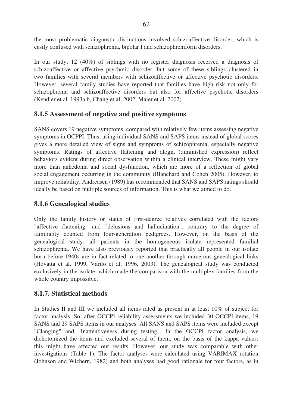the most problematic diagnostic distinctions involved schizoaffective disorder, which is easily confused with schizophrenia, bipolar I and schizophreniform disorders.

In our study, 12 (40%) of siblings with no register diagnosis received a diagnosis of schizoaffective or affective psychotic disorder, but some of these siblings clustered in two families with several members with schizoaffective or affective psychotic disorders. However, several family studies have reported that families have high risk not only for schizophrenia and schizoaffective disorders but also for affective psychotic disorders (Kendler et al. 1993a,b, Chang et al. 2002, Maier et al. 2002).

#### **8.1.5 Assessment of negative and positive symptoms**

SANS covers 19 negative symptoms, compared with relatively few items assessing negative symptoms in OCPPI. Thus, using individual SANS and SAPS items instead of global scores gives a more detailed view of signs and symptoms of schizophrenia, especially negative symptoms. Ratings of affective flattening and alogia (diminished expression) reflect behaviors evident during direct observation within a clinical interview. These might vary more than anhedonia and social dysfunction, which are more of a reflection of global social engagement occurring in the community (Blanchard and Cohen 2005). However, to improve reliability, Andreasen (1989) has recommended that SANS and SAPS ratings should ideally be based on multiple sources of information. This is what we aimed to do.

#### **8.1.6 Genealogical studies**

Only the family history or status of first-degree relatives correlated with the factors "affective flattening" and "delusions and hallucination", contrary to the degree of familiality counted from four-generation pedigrees. However, on the basis of the genealogical study, all patients in the homogeneous isolate represented familial schizophrenia. We have also previously reported that practically all people in our isolate born before 1940s are in fact related to one another through numerous genealogical links (Hovatta et al. 1999, Varilo et al. 1996, 2003). The genealogical study was conducted exclusively in the isolate, which made the comparison with the multiplex families from the whole country impossible.

#### **8.1.7. Statistical methods**

In Studies II and III we included all items rated as present in at least 10% of subject for factor analysis. So, after OCCPI reliability assessments we included 30 OCCPI items, 19 SANS and 29 SAPS items in our analyses. All SANS and SAPS items were included except "Clanging" and "Inattentiveness during testing". In the OCCPI factor analysis, we dichotomized the items and excluded several of them, on the basis of the kappa values; this might have affected our results. However, our study was comparable with other investigations (Table 1). The factor analyses were calculated using VARIMAX rotation (Johnson and Wichern, 1982) and both analyses had good rationale for four factors, as in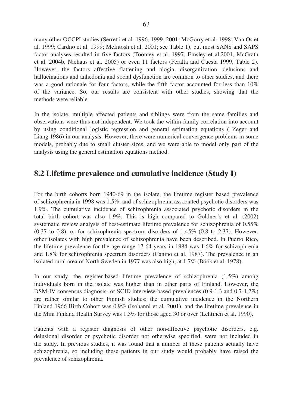many other OCCPI studies (Serretti et al. 1996, 1999, 2001; McGorry et al. 1998; Van Os et al. 1999; Cardno et al. 1999; McIntosh et al. 2001; see Table 1), but most SANS and SAPS factor analyses resulted in five factors (Toomey et al. 1997, Emsley et al.2001, McGrath et al. 2004b, Niehaus et al. 2005) or even 11 factors (Peralta and Cuesta 1999, Table 2). However, the factors affective flattening and alogia, disorganization, delusions and hallucinations and anhedonia and social dysfunction are common to other studies, and there was a good rationale for four factors, while the fifth factor accounted for less than 10% of the variance. So, our results are consistent with other studies, showing that the methods were reliable.

In the isolate, multiple affected patients and siblings were from the same families and observations were thus not independent. We took the within-family correlation into account by using conditional logistic regression and general estimation equations ( Zeger and Liang 1986) in our analysis. However, there were numerical convergence problems in some models, probably due to small cluster sizes, and we were able to model only part of the analysis using the general estimation equations method.

## **8.2 Lifetime prevalence and cumulative incidence (Study I)**

For the birth cohorts born 1940-69 in the isolate, the lifetime register based prevalence of schizophrenia in 1998 was 1.5%, and of schizophrenia associated psychotic disorders was 1.9%. The cumulative incidence of schizophrenia associated psychotic disorders in the total birth cohort was also 1.9%. This is high compared to Goldner's et al. (2002) systematic review analysis of best-estimate lifetime prevalence for schizophrenia of 0.55% (0.37 to 0.8), or for schizophrenia spectrum disorders of 1.45% (0.8 to 2.37). However, other isolates with high prevalence of schizophrenia have been described. In Puerto Rico, the lifetime prevalence for the age range 17-64 years in 1984 was 1.6% for schizophrenia and 1.8% for schizophrenia spectrum disorders (Canino et al. 1987). The prevalence in an isolated rural area of North Sweden in 1977 was also high, at 1.7% (Böök et al. 1978).

In our study, the register-based lifetime prevalence of schizophrenia (1.5%) among individuals born in the isolate was higher than in other parts of Finland. However, the DSM-IV consensus diagnosis- or SCID interview-based prevalences (0.9-1.3 and 0.7-1.2%) are rather similar to other Finnish studies: the cumulative incidence in the Northern Finland 1966 Birth Cohort was 0.9% (Isohanni et al. 2001), and the lifetime prevalence in the Mini Finland Health Survey was 1.3% for those aged 30 or over (Lehtinen et al. 1990).

Patients with a register diagnosis of other non-affective psychotic disorders, e.g. delusional disorder or psychotic disorder not otherwise specified, were not included in the study. In previous studies, it was found that a number of these patients actually have schizophrenia, so including these patients in our study would probably have raised the prevalence of schizophrenia.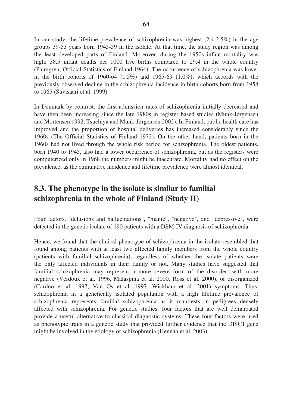In our study, the lifetime prevalence of schizophrenia was highest (2.4-2.5%) in the age groups 39-53 years born 1945-59 in the isolate. At that time, the study region was among the least developed parts of Finland. Moreover, during the 1950s infant mortality was high: 38.5 infant deaths per 1000 live births compared to 29.4 in the whole country (Palmgren, Official Statistics of Finland 1964). The occurrence of schizophrenia was lower in the birth cohorts of  $1960-64$   $(1.5\%)$  and  $1965-69$   $(1.0\%)$ , which accords with the previously observed decline in the schizophrenia incidence in birth cohorts born from 1954 to 1965 (Suvisaari et al. 1999).

In Denmark by contrast, the first-admission rates of schizophrenia initially decreased and have then been increasing since the late 1980s in register based studies (Munk-Jørgensen and Mortensen 1992, Tsuchiya and Munk-Jørgensen 2002). In Finland, public health care has improved and the proportion of hospital deliveries has increased considerably since the 1960s (The Official Statistics of Finland 1972). On the other hand, patients born in the 1960s had not lived through the whole risk period for schizophrenia. The oldest patients, born 1940 to 1945, also had a lower occurrence of schizophrenia, but as the registers were computerized only in 1968 the numbers might be inaccurate. Mortality had no effect on the prevalence, as the cumulative incidence and lifetime prevalence were almost identical.

# **8.3. The phenotype in the isolate is similar to familial schizophrenia in the whole of Finland (Study II)**

Four factors, "delusions and hallucinations", "manic", "negative", and "depressive", were detected in the genetic isolate of 190 patients with a DSM-IV diagnosis of schizophrenia.

Hence, we found that the clinical phenotype of schizophrenia in the isolate resembled that found among patients with at least two affected family members from the whole country (patients with familial schizophrenia), regardless of whether the isolate patients were the only affected individuals in their family or not. Many studies have suggested that familial schizophrenia may represent a more severe form of the disorder, with more negative (Verdoux et al. 1996, Malaspina et al. 2000, Ross et al. 2000), or disorganized (Cardno et al. 1997, Van Os et al. 1997, Wickham et al. 2001) symptoms. Thus, schizophrenia in a genetically isolated population with a high lifetime prevalence of schizophrenia represents familial schizophrenia as it manifests in pedigrees densely affected with schizophrenia. For genetic studies, four factors that are well demarcated provide a useful alternative to classical diagnostic systems. These four factors were used as phenotypic traits in a genetic study that provided further evidence that the DISC1 gene might be involved in the etiology of schizophrenia (Hennah et al. 2003).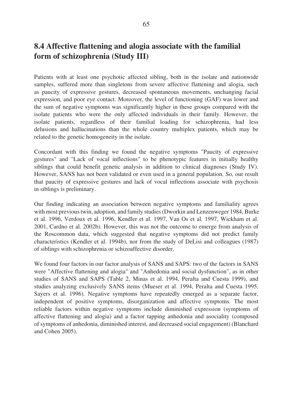# **8.4 Affective flattening and alogia associate with the familial form of schizophrenia (Study III)**

Patients with at least one psychotic affected sibling, both in the isolate and nationwide samples, suffered more than singletons from severe affective flattening and alogia, such as paucity of expressive gestures, decreased spontaneous movements, unchanging facial expression, and poor eye contact. Moreover, the level of functioning (GAF) was lower and the sum of negative symptoms was significantly higher in these groups compared with the isolate patients who were the only affected individuals in their family. However, the isolate patients, regardless of their familial loading for schizophrenia, had less delusions and hallucinations than the whole country multiplex patients, which may be related to the genetic homogeneity in the isolate.

Concordant with this finding we found the negative symptoms "Paucity of expressive gestures" and "Lack of vocal inflections" to be phenotypic features in initially healthy siblings that could benefit genetic analysis in addition to clinical diagnoses (Study IV). However, SANS has not been validated or even used in a general population. So, our result that paucity of expressive gestures and lack of vocal inflections associate with psychosis in siblings is preliminary.

Our finding indicating an association between negative symptoms and familiality agrees with most previous twin, adoption, and family studies (Dworkin and Lenzenweger 1984, Burke et al. 1996, Verdoux et al. 1996, Kendler et al. 1997, Van Os et al. 1997, Wickham et al. 2001, Cardno et al. 2002b). However, this was not the outcome to emerge from analysis of the Roscommon data, which suggested that negative symptoms did not predict family characteristics (Kendler et al. 1994b), nor from the study of DeLisi and colleagues (1987) of siblings with schizophrenia or schizoaffective disorder.

We found four factors in our factor analysis of SANS and SAPS: two of the factors in SANS were "Affective flattening and alogia" and "Anhedonia and social dysfunction", as in other studies of SANS and SAPS (Table 2, Minas et al. 1994, Peralta and Cuesta 1999), and studies analyzing exclusively SANS items (Mueser et al. 1994, Peralta and Cuesta 1995, Sayers et al. 1996). Negative symptoms have repeatedly emerged as a separate factor, independent of positive symptoms, disorganization and affective symptoms. The most reliable factors within negative symptoms include diminished expression (symptoms of affective flattening and alogia) and a factor tapping anhedonia and asociality (composed of symptoms of anhedonia, diminished interest, and decreased social engagement) (Blanchard and Cohen 2005).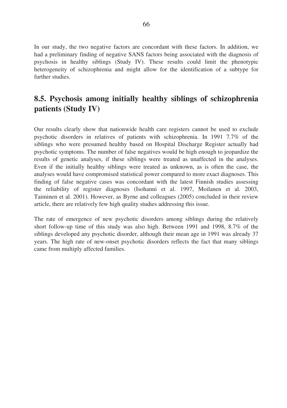In our study, the two negative factors are concordant with these factors. In addition, we had a preliminary finding of negative SANS factors being associated with the diagnosis of psychosis in healthy siblings (Study IV). These results could limit the phenotypic heterogeneity of schizophrenia and might allow for the identification of a subtype for further studies.

# **8.5. Psychosis among initially healthy siblings of schizophrenia patients (Study IV)**

Our results clearly show that nationwide health care registers cannot be used to exclude psychotic disorders in relatives of patients with schizophrenia. In 1991 7.7% of the siblings who were presumed healthy based on Hospital Discharge Register actually had psychotic symptoms. The number of false negatives would be high enough to jeopardize the results of genetic analyses, if these siblings were treated as unaffected in the analyses. Even if the initially healthy siblings were treated as unknown, as is often the case, the analyses would have compromised statistical power compared to more exact diagnoses. This finding of false negative cases was concordant with the latest Finnish studies assessing the reliability of register diagnoses (Isohanni et al. 1997, Moilanen et al. 2003, Taiminen et al. 2001). However, as Byrne and colleagues (2005) concluded in their review article, there are relatively few high quality studies addressing this issue.

The rate of emergence of new psychotic disorders among siblings during the relatively short follow-up time of this study was also high. Between 1991 and 1998, 8.7% of the siblings developed any psychotic disorder, although their mean age in 1991 was already 37 years. The high rate of new-onset psychotic disorders reflects the fact that many siblings came from multiply affected families.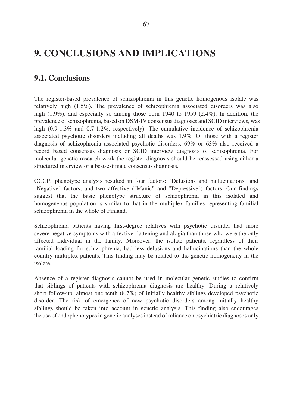# **9. CONCLUSIONS AND IMPLICATIONS**

## **9.1. Conclusions**

The register-based prevalence of schizophrenia in this genetic homogenous isolate was relatively high (1.5%). The prevalence of schizophrenia associated disorders was also high (1.9%), and especially so among those born 1940 to 1959 (2.4%). In addition, the prevalence of schizophrenia, based on DSM-IV consensus diagnoses and SCID interviews, was high (0.9-1.3% and 0.7-1.2%, respectively). The cumulative incidence of schizophrenia associated psychotic disorders including all deaths was 1.9%. Of those with a register diagnosis of schizophrenia associated psychotic disorders, 69% or 63% also received a record based consensus diagnosis or SCID interview diagnosis of schizophrenia. For molecular genetic research work the register diagnosis should be reassessed using either a structured interview or a best-estimate consensus diagnosis.

OCCPI phenotype analysis resulted in four factors: "Delusions and hallucinations" and "Negative" factors, and two affective ("Manic" and "Depressive") factors. Our findings suggest that the basic phenotype structure of schizophrenia in this isolated and homogeneous population is similar to that in the multiplex families representing familial schizophrenia in the whole of Finland.

Schizophrenia patients having first-degree relatives with psychotic disorder had more severe negative symptoms with affective flattening and alogia than those who were the only affected individual in the family. Moreover, the isolate patients, regardless of their familial loading for schizophrenia, had less delusions and hallucinations than the whole country multiplex patients. This finding may be related to the genetic homogeneity in the isolate.

Absence of a register diagnosis cannot be used in molecular genetic studies to confirm that siblings of patients with schizophrenia diagnosis are healthy. During a relatively short follow-up, almost one tenth (8.7%) of initially healthy siblings developed psychotic disorder. The risk of emergence of new psychotic disorders among initially healthy siblings should be taken into account in genetic analysis. This finding also encourages the use of endophenotypes in genetic analyses instead of reliance on psychiatric diagnoses only.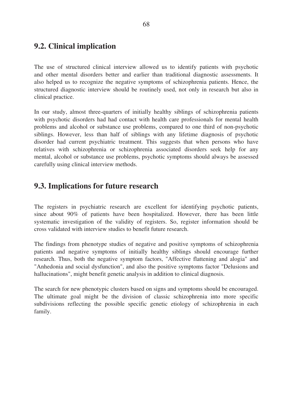## **9.2. Clinical implication**

The use of structured clinical interview allowed us to identify patients with psychotic and other mental disorders better and earlier than traditional diagnostic assessments. It also helped us to recognize the negative symptoms of schizophrenia patients. Hence, the structured diagnostic interview should be routinely used, not only in research but also in clinical practice.

In our study, almost three-quarters of initially healthy siblings of schizophrenia patients with psychotic disorders had had contact with health care professionals for mental health problems and alcohol or substance use problems, compared to one third of non-psychotic siblings. However, less than half of siblings with any lifetime diagnosis of psychotic disorder had current psychiatric treatment. This suggests that when persons who have relatives with schizophrenia or schizophrenia associated disorders seek help for any mental, alcohol or substance use problems, psychotic symptoms should always be assessed carefully using clinical interview methods.

## **9.3. Implications for future research**

The registers in psychiatric research are excellent for identifying psychotic patients, since about 90% of patients have been hospitalized. However, there has been little systematic investigation of the validity of registers. So, register information should be cross validated with interview studies to benefit future research.

The findings from phenotype studies of negative and positive symptoms of schizophrenia patients and negative symptoms of initially healthy siblings should encourage further research. Thus, both the negative symptom factors, "Affective flattening and alogia" and "Anhedonia and social dysfunction", and also the positive symptoms factor "Delusions and hallucinations", might benefit genetic analysis in addition to clinical diagnosis.

The search for new phenotypic clusters based on signs and symptoms should be encouraged. The ultimate goal might be the division of classic schizophrenia into more specific subdivisions reflecting the possible specific genetic etiology of schizophrenia in each family.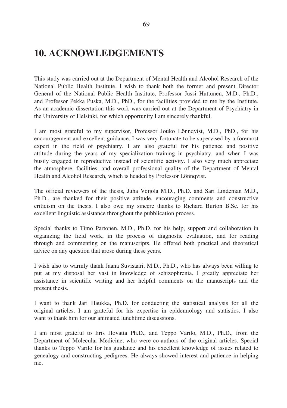# **10. ACKNOWLEDGEMENTS**

This study was carried out at the Department of Mental Health and Alcohol Research of the National Public Health Institute. I wish to thank both the former and present Director General of the National Public Health Institute, Professor Jussi Huttunen, M.D., Ph.D., and Professor Pekka Puska, M.D., PhD., for the facilities provided to me by the Institute. As an academic dissertation this work was carried out at the Department of Psychiatry in the University of Helsinki, for which opportunity I am sincerely thankful.

I am most grateful to my supervisor, Professor Jouko Lönnqvist, M.D., PhD., for his encouragement and excellent guidance. I was very fortunate to be supervised by a foremost expert in the field of psychiatry. I am also grateful for his patience and positive attitude during the years of my specialization training in psychiatry, and when I was busily engaged in reproductive instead of scientific activity. I also very much appreciate the atmosphere, facilities, and overall professional quality of the Department of Mental Health and Alcohol Research, which is headed by Professor Lönnqvist.

The official reviewers of the thesis, Juha Veijola M.D., Ph.D. and Sari Lindeman M.D., Ph.D., are thanked for their positive attitude, encouraging comments and constructive criticism on the thesis. I also owe my sincere thanks to Richard Burton B.Sc. for his excellent linguistic assistance throughout the pubblication process.

Special thanks to Timo Partonen, M.D., Ph.D. for his help, support and collaboration in organizing the field work, in the process of diagnostic evaluation, and for reading through and commenting on the manuscripts. He offered both practical and theoretical advice on any question that arose during these years.

I wish also to warmly thank Jaana Suvisaari, M.D., Ph.D., who has always been willing to put at my disposal her vast in knowledge of schizophrenia. I greatly appreciate her assistance in scientific writing and her helpful comments on the manuscripts and the present thesis.

I want to thank Jari Haukka, Ph.D. for conducting the statistical analysis for all the original articles. I am grateful for his expertise in epidemiology and statistics. I also want to thank him for our animated lunchtime discussions.

I am most grateful to Iiris Hovatta Ph.D., and Teppo Varilo, M.D., Ph.D., from the Department of Molecular Medicine, who were co-authors of the original articles. Special thanks to Teppo Varilo for his guidance and his excellent knowledge of issues related to genealogy and constructing pedigrees. He always showed interest and patience in helping me.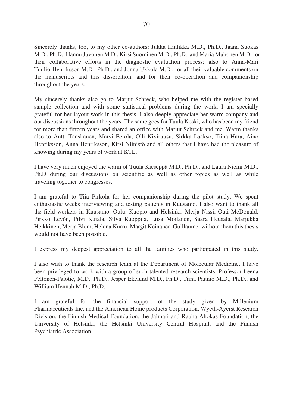Sincerely thanks, too, to my other co-authors: Jukka Hintikka M.D., Ph.D., Jaana Suokas M.D., Ph.D., Hannu Juvonen M.D., Kirsi Suominen M.D., Ph.D., and Maria Muhonen M.D. for their collaborative efforts in the diagnostic evaluation process; also to Anna-Mari Tuulio-Henriksson M.D., Ph.D., and Jonna Ukkola M.D., for all their valuable comments on the manuscripts and this dissertation, and for their co-operation and companionship throughout the years.

My sincerely thanks also go to Marjut Schreck, who helped me with the register based sample collection and with some statistical problems during the work. I am specially grateful for her layout work in this thesis. I also deeply appreciate her warm company and our discussions throughout the years. The same goes for Tuula Koski, who has been my friend for more than fifteen years and shared an office with Marjut Schreck and me. Warm thanks also to Antti Tanskanen, Mervi Eerola, Olli Kiviruusu, Sirkka Laakso, Tiina Hara, Aino Henriksson, Anna Henriksson, Kirsi Niinistö and all others that I have had the pleasure of knowing during my years of work at KTL.

I have very much enjoyed the warm of Tuula Kieseppä M.D., Ph.D., and Laura Niemi M.D., Ph.D during our discussions on scientific as well as other topics as well as while traveling together to congresses.

I am grateful to Tiia Pirkola for her companionship during the pilot study. We spent enthusiastic weeks interviewing and testing patients in Kuusamo. I also want to thank all the field workers in Kuusamo, Oulu, Kuopio and Helsinki: Merja Nissi, Outi McDonald, Pirkko Levón, Pilvi Kujala, Silva Ruoppila, Liisa Moilanen, Saara Heusala, Marjukka Heikkinen, Merja Blom, Helena Kurru, Margit Keinänen-Guillaume: without them this thesis would not have been possible.

I express my deepest appreciation to all the families who participated in this study.

I also wish to thank the research team at the Department of Molecular Medicine. I have been privileged to work with a group of such talented research scientists: Professor Leena Peltonen-Palotie, M.D., Ph.D., Jesper Ekelund M.D., Ph.D., Tiina Paunio M.D., Ph.D., and William Hennah M.D., Ph.D.

I am grateful for the financial support of the study given by Millenium Pharmaceuticals Inc. and the American Home products Corporation, Wyeth-Ayerst Research Division, the Finnish Medical Foundation, the Jalmari and Rauha Ahokas Foundation, the University of Helsinki, the Helsinki University Central Hospital, and the Finnish Psychiatric Association.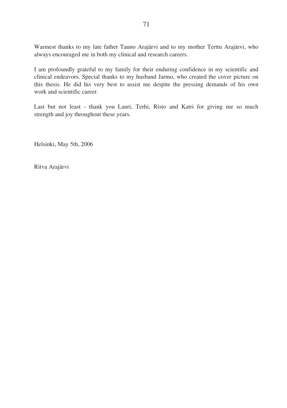Warmest thanks to my late father Tauno Arajärvi and to my mother Terttu Arajärvi, who always encouraged me in both my clinical and research careers.

I am profoundly grateful to my family for their enduring confidence in my scientific and clinical endeavors. Special thanks to my husband Jarmo, who created the cover picture on this thesis. He did his very best to assist me despite the pressing demands of his own work and scientific career.

Last but not least - thank you Lauri, Terhi, Risto and Katri for giving me so much strength and joy throughout these years.

Helsinki, May 5th, 2006

Ritva Arajärvi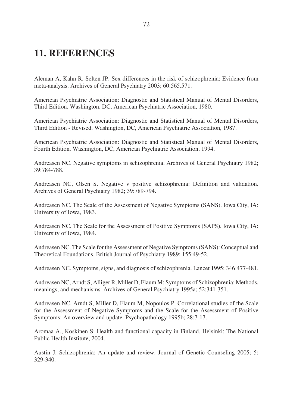# **11. REFERENCES**

Aleman A, Kahn R, Selten JP. Sex differences in the risk of schizophrenia: Evidence from meta-analysis. Archives of General Psychiatry 2003; 60:565.571.

American Psychiatric Association: Diagnostic and Statistical Manual of Mental Disorders, Third Edition. Washington, DC, American Psychiatric Association, 1980.

American Psychiatric Association: Diagnostic and Statistical Manual of Mental Disorders, Third Edition - Revised. Washington, DC, American Psychiatric Association, 1987.

American Psychiatric Association: Diagnostic and Statistical Manual of Mental Disorders, Fourth Edition. Washington, DC, American Psychiatric Association, 1994.

Andreasen NC. Negative symptoms in schizophrenia. Archives of General Psychiatry 1982; 39:784-788.

Andreasen NC, Olsen S. Negative v positive schizophrenia: Definition and validation. Archives of General Psychiatry 1982; 39:789-794.

Andreasen NC. The Scale of the Assessment of Negative Symptoms (SANS). Iowa City, IA: University of Iowa, 1983.

Andreasen NC. The Scale for the Assessment of Positive Symptoms (SAPS). Iowa City, IA: University of Iowa, 1984.

Andreasen NC. The Scale for the Assessment of Negative Symptoms (SANS): Conceptual and Theoretical Foundations. British Journal of Psychiatry 1989; 155:49-52.

Andreasen NC. Symptoms, signs, and diagnosis of schizophrenia. Lancet 1995; 346:477-481.

Andreasen NC, Arndt S, Alliger R, Miller D, Flaum M: Symptoms of Schizophrenia: Methods, meanings, and mechanisms. Archives of General Psychiatry 1995a; 52:341-351.

Andreasen NC, Arndt S, Miller D, Flaum M, Nopoulos P. Correlational studies of the Scale for the Assessment of Negative Symptoms and the Scale for the Assessment of Positive Symptoms: An overview and update. Psychopathology 1995b; 28:7-17.

Aromaa A., Koskinen S: Health and functional capacity in Finland. Helsinki: The National Public Health Institute, 2004.

Austin J. Schizophrenia: An update and review. Journal of Genetic Counseling 2005; 5: 329-340.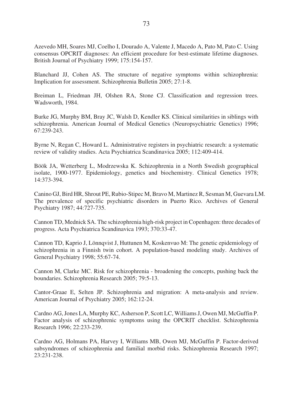Azevedo MH, Soares MJ, Coelho I, Dourado A, Valente J, Macedo A, Pato M, Pato C. Using consensus OPCRIT diagnoses: An efficient procedure for best-estimate lifetime diagnoses. British Journal of Psychiatry 1999; 175:154-157.

Blanchard JJ, Cohen AS. The structure of negative symptoms within schizophrenia: Implication for assessment. Schizophrenia Bulletin 2005; 27:1-8.

Breiman L, Friedman JH, Olshen RA, Stone CJ. Classification and regression trees. Wadsworth, 1984.

Burke JG, Murphy BM, Bray JC, Walsh D, Kendler KS. Clinical similarities in siblings with schizophrenia. American Journal of Medical Genetics (Neuropsychiatric Genetics) 1996; 67:239-243.

Byrne N, Regan C, Howard L. Administrative registers in psychiatric research: a systematic review of validity studies. Acta Psychiatrica Scandinavica 2005; 112:409-414.

Böök JA, Wetterberg L, Modrzewska K. Schizophrenia in a North Swedish geographical isolate, 1900-1977. Epidemiology, genetics and biochemistry. Clinical Genetics 1978; 14:373-394.

Canino GJ, Bird HR, Shrout PE, Rubio-Stipec M, Bravo M, Martinez R, Sesman M, Guevara LM. The prevalence of specific psychiatric disorders in Puerto Rico. Archives of General Psychiatry 1987; 44:727-735.

Cannon TD, Mednick SA. The schizophrenia high-risk project in Copenhagen: three decades of progress. Acta Psychiatrica Scandinavica 1993; 370:33-47.

Cannon TD, Kaprio J, Lönnqvist J, Huttunen M, Koskenvuo M: The genetic epidemiology of schizophrenia in a Finnish twin cohort. A population-based modeling study. Archives of General Psychiatry 1998; 55:67-74.

Cannon M, Clarke MC. Risk for schizophrenia - broadening the concepts, pushing back the boundaries. Schizophrenia Research 2005; 79:5-13.

Cantor-Graae E, Selten JP. Schizophrenia and migration: A meta-analysis and review. American Journal of Psychiatry 2005; 162:12-24.

Cardno AG, Jones LA, Murphy KC, Asherson P, Scott LC, Williams J, Owen MJ, McGuffin P. Factor analysis of schizophrenic symptoms using the OPCRIT checklist. Schizophrenia Research 1996; 22:233-239.

Cardno AG, Holmans PA, Harvey I, Williams MB, Owen MJ, McGuffin P. Factor-derived subsyndromes of schizophrenia and familial morbid risks. Schizophrenia Research 1997; 23:231-238.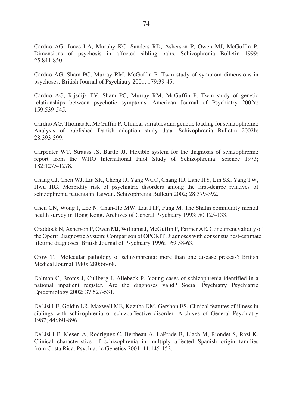Cardno AG, Jones LA, Murphy KC, Sanders RD, Asherson P, Owen MJ, McGuffin P. Dimensions of psychosis in affected sibling pairs. Schizophrenia Bulletin 1999; 25:841-850.

Cardno AG, Sham PC, Murray RM, McGuffin P. Twin study of symptom dimensions in psychoses. British Journal of Psychiatry 2001; 179:39-45.

Cardno AG, Rijsdijk FV, Sham PC, Murray RM, McGuffin P. Twin study of genetic relationships between psychotic symptoms. American Journal of Psychiatry 2002a; 159:539-545.

Cardno AG, Thomas K, McGuffin P. Clinical variables and genetic loading for schizophrenia: Analysis of published Danish adoption study data. Schizophrenia Bulletin 2002b; 28:393-399.

Carpenter WT, Strauss JS, Bartlo JJ. Flexible system for the diagnosis of schizophrenia: report from the WHO International Pilot Study of Schizophrenia. Science 1973; 182:1275-1278.

Chang CJ, Chen WJ, Liu SK, Cheng JJ, Yang WCO, Chang HJ, Lane HY, Lin SK, Yang TW, Hwu HG. Morbidity risk of psychiatric disorders among the first-degree relatives of schizophrenia patients in Taiwan. Schizophrenia Bulletin 2002; 28:379-392.

Chen CN, Wong J, Lee N, Chan-Ho MW, Lau JTF, Fung M. The Shatin community mental health survey in Hong Kong. Archives of General Psychiatry 1993; 50:125-133.

Craddock N, Asherson P, Owen MJ, Williams J, McGuffin P, Farmer AE. Concurrent validity of the Opcrit Diagnostic System: Comparison of OPCRIT Diagnoses with consensus best-estimate lifetime diagnoses. British Journal of Psychiatry 1996; 169:58-63.

Crow TJ. Molecular pathology of schizophrenia: more than one disease process? British Medical Journal 1980; 280:66-68.

Dalman C, Broms J, Cullberg J, Allebeck P. Young cases of schizophrenia identified in a national inpatient register. Are the diagnoses valid? Social Psychiatry Psychiatric Epidemiology 2002; 37:527-531.

DeLisi LE, Goldin LR, Maxwell ME, Kazuba DM, Gershon ES. Clinical features of illness in siblings with schizophrenia or schizoaffective disorder. Archives of General Psychiatry 1987; 44:891-896.

DeLisi LE, Mesen A, Rodriguez C, Bertheau A, LaPrade B, Llach M, Riondet S, Razi K. Clinical characteristics of schizophrenia in multiply affected Spanish origin families from Costa Rica. Psychiatric Genetics 2001; 11:145-152.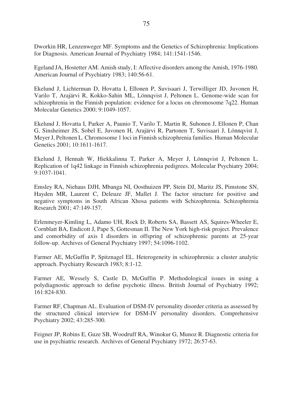Dworkin HR, Lenzenweger MF. Symptoms and the Genetics of Schizophrenia: Implications for Diagnosis. American Journal of Psychiatry 1984; 141:1541-1546.

Egeland JA, Hostetter AM. Amish study, I: Affective disorders among the Amish, 1976-1980. American Journal of Psychiatry 1983; 140:56-61.

Ekelund J, Lichterman D, Hovatta I, Ellonen P, Suvisaari J, Terwilliger JD, Juvonen H, Varilo T, Arajärvi R, Kokko-Sahin ML, Lönnqvist J, Peltonen L. Genome-wide scan for schizophrenia in the Finnish population: evidence for a locus on chromosome 7q22. Human Molecular Genetics 2000; 9:1049-1057.

Ekelund J, Hovatta I, Parker A, Paunio T, Varilo T, Martin R, Suhonen J, Ellonen P, Chan G, Sinsheimer JS, Sobel E, Juvonen H, Arajärvi R, Partonen T, Suvisaari J, Lönnqvist J, Meyer J, Peltonen L. Chromosome 1 loci in Finnish schizophrenia families. Human Molecular Genetics 2001; 10:1611-1617.

Ekelund J, Hennah W, Hiekkalinna T, Parker A, Meyer J, Lönnqvist J, Peltonen L. Replication of 1q42 linkage in Finnish schizophrenia pedigrees. Molecular Psychiatry 2004; 9:1037-1041.

Emsley RA, Niehaus DJH, Mbanga NI, Oosthuizen PP, Stein DJ, Maritz JS, Pimstone SN, Hayden MR, Laurent C, Deleuze JF, Mallet J. The factor structure for positive and negative symptoms in South African Xhosa patients with Schizophrenia. Schizophrenia Research 2001; 47:149-157.

Erlenmeyer-Kimling L, Adamo UH, Rock D, Roberts SA, Bassett AS, Squires-Wheeler E, Cornblatt BA, Endicott J, Pape S, Gottesman II. The New York high-risk project. Prevalence and comorbidity of axis I disorders in offspring of schizophrenic parents at 25-year follow-up. Archives of General Psychiatry 1997; 54:1096-1102.

Farmer AE, McGuffin P, Spitznagel EL. Heterogeneity in schizophrenia: a cluster analytic approach. Psychiatry Research 1983; 8:1-12.

Farmer AE, Wessely S, Castle D, McGuffin P. Methodological issues in using a polydiagnostic approach to define psychotic illness. British Journal of Psychiatry 1992; 161:824-830.

Farmer RF, Chapman AL. Evaluation of DSM-IV personality disorder criteria as assessed by the structured clinical interview for DSM-IV personality disorders. Comprehensive Psychiatry 2002; 43:285-300.

Feigner JP, Robins E, Guze SB, Woodruff RA, Winokur G, Munoz R. Diagnostic criteria for use in psychiatric research. Archives of General Psychiatry 1972; 26:57-63.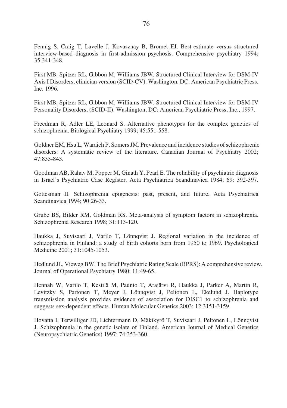Fennig S, Craig T, Lavelle J, Kovasznay B, Bromet EJ. Best-estimate versus structured interview-based diagnosis in first-admission psychosis. Comprehensive psychiatry 1994; 35:341-348.

First MB, Spitzer RL, Gibbon M, Williams JBW. Structured Clinical Interview for DSM-IV Axis I Disorders, clinician version (SCID-CV). Washington, DC: American Psychiatric Press, Inc. 1996.

First MB, Spitzer RL, Gibbon M, Williams JBW. Structured Clinical Interview for DSM-IV Personality Disorders, (SCID-II). Washington, DC: American Psychiatric Press, Inc., 1997.

Freedman R, Adler LE, Leonard S. Alternative phenotypes for the complex genetics of schizophrenia. Biological Psychiatry 1999; 45:551-558.

Goldner EM, Hsu L, Waraich P, Somers JM. Prevalence and incidence studies of schizophrenic disorders: A systematic review of the literature. Canadian Journal of Psychiatry 2002; 47:833-843.

Goodman AB, Rahav M, Popper M, Ginath Y, Pearl E. The reliability of psychiatric diagnosis in Israel's Psychiatric Case Register. Acta Psychiatrica Scandinavica 1984; 69: 392-397.

Gottesman II. Schizophrenia epigenesis: past, present, and future. Acta Psychiatrica Scandinavica 1994; 90:26-33.

Grube BS, Bilder RM, Goldman RS. Meta-analysis of symptom factors in schizophrenia. Schizophrenia Research 1998; 31:113-120.

Haukka J, Suvisaari J, Varilo T, Lönnqvist J. Regional variation in the incidence of schizophrenia in Finland: a study of birth cohorts born from 1950 to 1969. Psychological Medicine 2001; 31:1045-1053.

Hedlund JL, Vieweg BW. The Brief Psychiatric Rating Scale (BPRS): A comprehensive review. Journal of Operational Psychiatry 1980; 11:49-65.

Hennah W, Varilo T, Kestilä M, Paunio T, Arajärvi R, Haukka J, Parker A, Martin R, Levitzky S, Partonen T, Meyer J, Lönnqvist J, Peltonen L, Ekelund J. Haplotype transmission analysis provides evidence of association for DISC1 to schizophrenia and suggests sex-dependent effects. Human Molecular Genetics 2003; 12:3151-3159.

Hovatta I, Terwilliger JD, Lichtermann D, Mäkikyrö T, Suvisaari J, Peltonen L, Lönnqvist J. Schizophrenia in the genetic isolate of Finland. American Journal of Medical Genetics (Neuropsychiatric Genetics) 1997; 74:353-360.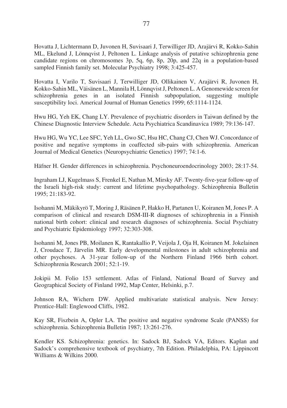Hovatta J, Lichtermann D, Juvonen H, Suvisaari J, Terwilliger JD, Arajärvi R, Kokko-Sahin ML, Ekelund J, Lönnqvist J, Peltonen L. Linkage analysis of putative schizophrenia gene candidate regions on chromosomes 3p, 5q, 6p, 8p, 20p, and 22q in a population-based sampled Finnish family set. Molecular Psychiatry 1998; 3:425-457.

Hovatta I, Varilo T, Suvisaari J, Terwilliger JD, Ollikainen V, Arajärvi R, Juvonen H, Kokko-Sahin ML, Väisänen L, Mannila H, Lönnqvist J, Peltonen L. A Genomewide screen for schizophrenia genes in an isolated Finnish subpopulation, suggesting multiple susceptibility loci. Americal Journal of Human Genetics 1999; 65:1114-1124.

Hwu HG, Yeh EK, Chang LY. Prevalence of psychiatric disorders in Taiwan defined by the Chinese Diagnostic Interview Schedule. Acta Psychiatrica Scandinavica 1989; 79:136-147.

Hwu HG, Wu YC, Lee SFC, Yeh LL, Gwo SC, Hsu HC, Chang CJ, Chen WJ. Concordance of positive and negative symptoms in coaffected sib-pairs with schizophrenia. American Journal of Medical Genetics (Neuropsychiatric Genetics) 1997; 74:1-6.

Häfner H. Gender differences in schizophrenia. Psychoneuroendocrinology 2003; 28:17-54.

Ingraham LJ, Kugelmass S, Frenkel E, Nathan M, Mirsky AF. Twenty-five-year follow-up of the Israeli high-risk study: current and lifetime psychopathology. Schizophrenia Bulletin 1995; 21:183-92.

Isohanni M, Mäkikyrö T, Moring J, Räsänen P, Hakko H, Partanen U, Koiranen M, Jones P. A comparison of clinical and research DSM-III-R diagnoses of schizophrenia in a Finnish national birth cohort: clinical and research diagnoses of schizophrenia. Social Psychiatry and Psychiatric Epidemiology 1997; 32:303-308.

Isohanni M, Jones PB, Moilanen K, Rantakallio P, Veijola J, Oja H, Koiranen M. Jokelainen J, Croudace T, Järvelin MR. Early developmental milestones in adult schizophrenia and other psychoses. A 31-year follow-up of the Northern Finland 1966 birth cohort. Schizophrenia Research 2001; 52:1-19.

Jokipii M. Folio 153 settlement. Atlas of Finland, National Board of Survey and Geographical Society of Finland 1992, Map Center, Helsinki, p.7.

Johnson RA, Wichern DW. Applied multivariate statistical analysis. New Jersey: Prentice-Hall: Englewood Cliffs, 1982.

Kay SR, Fiszbein A, Opler LA. The positive and negative syndrome Scale (PANSS) for schizophrenia. Schizophrenia Bulletin 1987; 13:261-276.

Kendler KS. Schizophrenia: genetics. In: Sadock BJ, Sadock VA, Editors. Kaplan and Sadock's comprehensive textbook of psychiatry, 7th Edition. Philadelphia, PA: Lippincott Williams & Wilkins 2000.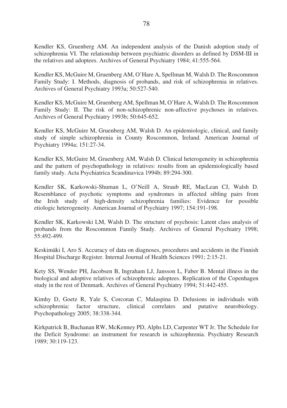Kendler KS, Gruenberg AM. An independent analysis of the Danish adoption study of schizophrenia VI. The relationship between psychiatric disorders as defined by DSM-III in the relatives and adoptees. Archives of General Psychiatry 1984; 41:555-564.

Kendler KS, McGuire M, Gruenberg AM, O'Hare A, Spellman M, Walsh D. The Roscommon Family Study: I. Methods, diagnosis of probands, and risk of schizophrenia in relatives. Archives of General Psychiatry 1993a; 50:527-540.

Kendler KS, McGuire M, Gruenberg AM, Spellman M, O'Hare A, Walsh D. The Roscommon Family Study: II. The risk of non-schizophrenic non-affective psychoses in relatives. Archives of General Psychiatry 1993b; 50:645-652.

Kendler KS, McGuire M, Gruenberg AM, Walsh D. An epidemiologic, clinical, and family study of simple schizophrenia in County Roscommon, Ireland. American Journal of Psychiatry 1994a; 151:27-34.

Kendler KS, McGuire M, Gruenberg AM, Walsh D. Clinical heterogeneity in schizophrenia and the pattern of psychopathology in relatives: results from an epidemiologically based family study. Acta Psychiatrica Scandinavica 1994b; 89:294-300.

Kendler SK, Karkowski-Shuman L, O'Neill A, Straub RE, MacLean CJ, Walsh D. Resemblance of psychotic symptoms and syndromes in affected sibling pairs from the Irish study of high-density schizophrenia families: Evidence for possible etiologic heterogeneity. American Journal of Psychiatry 1997; 154:191-198.

Kendler SK, Karkowski LM, Walsh D. The structure of psychosis: Latent class analysis of probands from the Roscommon Family Study. Archives of General Psychiatry 1998; 55:492-499.

Keskimäki I, Aro S. Accuracy of data on diagnoses, procedures and accidents in the Finnish Hospital Discharge Register. Internal Journal of Health Sciences 1991; 2:15-21.

Kety SS, Wender PH, Jacobsen B, Ingraham LJ, Jansson L, Faber B. Mental illness in the biological and adoptive relatives of schizophrenic adoptees. Replication of the Copenhagen study in the rest of Denmark. Archives of General Psychiatry 1994; 51:442-455.

Kimhy D, Goetz R, Yale S, Corcoran C, Malaspina D. Delusions in individuals with schizophrenia: factor structure, clinical correlates and putative neurobiology. Psychopathology 2005; 38:338-344.

Kirkpatrick B, Buchanan RW, McKenney PD, Alphs LD, Carpenter WT Jr. The Schedule for the Deficit Syndrome: an instrument for research in schizophrenia. Psychiatry Research 1989; 30:119-123.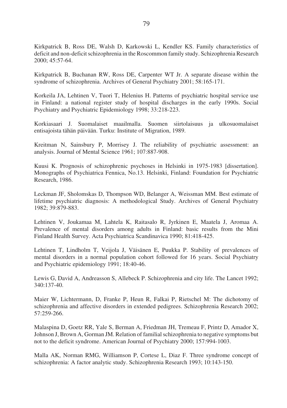Kirkpatrick B, Ross DE, Walsh D, Karkowski L, Kendler KS. Family characteristics of deficit and non-deficit schizophrenia in the Roscommon family study. Schizophrenia Research 2000; 45:57-64.

Kirkpatrick B, Buchanan RW, Ross DE, Carpenter WT Jr. A separate disease within the syndrome of schizophrenia. Archives of General Psychiatry 2001; 58:165-171.

Korkeila JA, Lehtinen V, Tuori T, Helenius H. Patterns of psychiatric hospital service use in Finland: a national register study of hospital discharges in the early 1990s. Social Psychiatry and Psychiatric Epidemiology 1998; 33:218-223.

Korkiasaari J. Suomalaiset maailmalla. Suomen siirtolaisuus ja ulkosuomalaiset entisajoista tähän päivään. Turku: Institute of Migration, 1989.

Kreitman N, Sainsbury P, Morrisey J. The reliability of psychiatric assessment: an analysis. Journal of Mental Science 1961; 107:887-908.

Kuusi K. Prognosis of schizophrenic psychoses in Helsinki in 1975-1983 [dissertation]. Monographs of Psychiatrica Fennica, No.13. Helsinki, Finland: Foundation for Psychiatric Research, 1986.

Leckman JF, Sholomskas D, Thompson WD, Belanger A, Weissman MM. Best estimate of lifetime psychiatric diagnosis: A methodological Study. Archives of General Psychiatry 1982; 39:879-883.

Lehtinen V, Joukamaa M, Lahtela K, Raitasalo R, Jyrkinen E, Maatela J, Aromaa A. Prevalence of mental disorders among adults in Finland: basic results from the Mini Finland Health Survey. Acta Psychiatrica Scandinavica 1990; 81:418-425.

Lehtinen T, Lindholm T, Veijola J, Väisänen E, Puukka P. Stability of prevalences of mental disorders in a normal population cohort followed for 16 years. Social Psychiatry and Psychiatric epidemiology 1991; 18:40-46.

Lewis G, David A, Andreasson S, Allebeck P. Schizophrenia and city life. The Lancet 1992; 340:137-40.

Maier W, Lichtermann, D, Franke P, Heun R, Falkai P, Rietschel M: The dichotomy of schizophrenia and affective disorders in extended pedigrees. Schizophrenia Research 2002; 57:259-266.

Malaspina D, Goetz RR, Yale S, Berman A, Friedman JH, Tremeau F, Printz D, Amador X, Johnson J, Brown A, Gorman JM. Relation of familial schizophrenia to negative symptoms but not to the deficit syndrome. American Journal of Psychiatry 2000; 157:994-1003.

Malla AK, Norman RMG, Williamson P, Cortese L, Diaz F. Three syndrome concept of schizophrenia: A factor analytic study. Schizophrenia Research 1993; 10:143-150.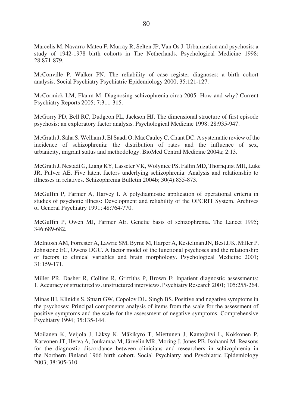Marcelis M, Navarro-Mateu F, Murray R, Selten JP, Van Os J. Urbanization and psychosis: a study of 1942-1978 birth cohorts in The Netherlands. Psychological Medicine 1998; 28:871-879.

McConville P, Walker PN. The reliability of case register diagnoses: a birth cohort analysis. Social Psychiatry Psychiatric Epidemiology 2000; 35:121-127.

McCormick LM, Flaum M. Diagnosing schizophrenia circa 2005: How and why? Current Psychiatry Reports 2005; 7:311-315.

McGorry PD, Bell RC, Dudgeon PL, Jackson HJ. The dimensional structure of first episode psychosis: an exploratory factor analysis. Psychological Medicine 1998; 28:935-947.

McGrath J, Saha S, Welham J, El Saadi O, MacCauley C, Chant DC. A systematic review of the incidence of schizophrenia: the distribution of rates and the influence of sex, urbanicity, migrant status and methodology. BioMed Central Medicine 2004a; 2:13.

McGrath J, Nestadt G, Liang KY, Lasseter VK, Wolyniec PS, Fallin MD, Thornquist MH, Luke JR, Pulver AE. Five latent factors underlying schizophrenia: Analysis and relationship to illnesses in relatives. Schizophrenia Bulletin 2004b; 30(4):855-873.

McGuffin P, Farmer A, Harvey I. A polydiagnostic application of operational criteria in studies of psychotic illness: Development and reliability of the OPCRIT System. Archives of General Psychiatry 1991; 48:764-770.

McGuffin P, Owen MJ, Farmer AE. Genetic basis of schizophrenia. The Lancet 1995; 346:689-682.

McIntosh AM, Forrester A, Lawrie SM, Byrne M, Harper A, Kestelman JN, Best JJK, Miller P, Johnstone EC, Owens DGC. A factor model of the functional psychoses and the relationship of factors to clinical variables and brain morphology. Psychological Medicine 2001; 31:159-171.

Miller PR, Dasher R, Collins R, Griffiths P, Brown F: Inpatient diagnostic assessments: 1. Accuracy of structured vs. unstructured interviews. Psychiatry Research 2001; 105:255-264.

Minas IH, Klinidis S, Stuart GW, Copolov DL, Singh BS. Positive and negative symptoms in the psychoses: Principal components analysis of items from the scale for the assessment of positive symptoms and the scale for the assessment of negative symptoms. Comprehensive Psychiatry 1994; 35:135-144.

Moilanen K, Veijola J, Läksy K, Mäkikyrö T, Miettunen J, Kantojärvi L, Kokkonen P, Karvonen JT, Herva A, Joukamaa M, Järvelin MR, Moring J, Jones PB, Isohanni M. Reasons for the diagnostic discordance between clinicians and researchers in schizophrenia in the Northern Finland 1966 birth cohort. Social Psychiatry and Psychiatric Epidemiology 2003; 38:305-310.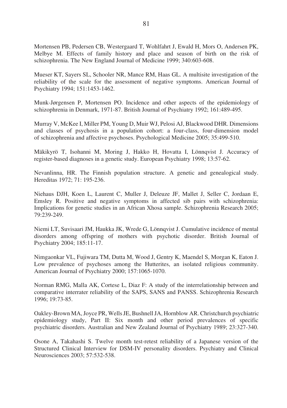Mortensen PB, Pedersen CB, Westergaard T, Wohlfahrt J, Ewald H, Mors O, Andersen PK, Melbye M. Effects of family history and place and season of birth on the risk of schizophrenia. The New England Journal of Medicine 1999; 340:603-608.

Mueser KT, Sayers SL, Schooler NR, Mance RM, Haas GL. A multisite investigation of the reliability of the scale for the assessment of negative symptoms. American Journal of Psychiatry 1994; 151:1453-1462.

Munk-Jørgensen P, Mortensen PO. Incidence and other aspects of the epidemiology of schizophrenia in Denmark, 1971-87. British Journal of Psychiatry 1992; 161:489-495.

Murray V, McKee I, Miller PM, Young D, Muir WJ, Pelosi AJ, Blackwood DHR. Dimensions and classes of psychosis in a population cohort: a four-class, four-dimension model of schizophrenia and affective psychoses. Psychological Medicine 2005; 35:499-510.

Mäkikyrö T, Isohanni M, Moring J, Hakko H, Hovatta I, Lönnqvist J. Accuracy of register-based diagnoses in a genetic study. European Psychiatry 1998; 13:57-62.

Nevanlinna, HR. The Finnish population structure. A genetic and genealogical study. Hereditas 1972; 71: 195-236.

Niehaus DJH, Koen L, Laurent C, Muller J, Deleuze JF, Mallet J, Seller C, Jordaan E, Emsley R. Positive and negative symptoms in affected sib pairs with schizophrenia: Implications for genetic studies in an African Xhosa sample. Schizophrenia Research 2005; 79:239-249.

Niemi LT, Suvisaari JM, Haukka JK, Wrede G, Lönnqvist J. Cumulative incidence of mental disorders among offspring of mothers with psychotic disorder. British Journal of Psychiatry 2004; 185:11-17.

Nimgaonkar VL, Fujiwara TM, Dutta M, Wood J, Gentry K, Maendel S, Morgan K, Eaton J. Low prevalence of psychoses among the Hutterites, an isolated religious community. American Journal of Psychiatry 2000; 157:1065-1070.

Norman RMG, Malla AK, Cortese L, Diaz F: A study of the interrelationship between and comparative interrater reliability of the SAPS, SANS and PANSS. Schizophrenia Research 1996; 19:73-85.

Oakley-Brown MA, Joyce PR, Wells JE, Bushnell JA, Hornblow AR. Christchurch psychiatric epidemiology study, Part II: Six month and other period prevalences of specific psychiatric disorders. Australian and New Zealand Journal of Psychiatry 1989; 23:327-340.

Osone A, Takahashi S. Twelve month test-retest reliability of a Japanese version of the Structured Clinical Interview for DSM-IV personality disorders. Psychiatry and Clinical Neurosciences 2003; 57:532-538.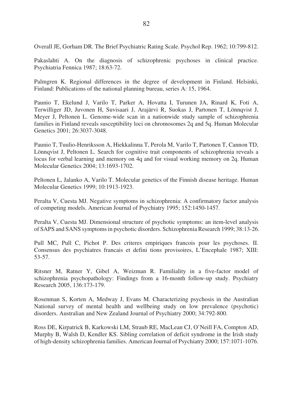Overall JE, Gorham DR. The Brief Psychiatric Rating Scale. Psychol Rep. 1962; 10:799-812.

Pakaslahti A. On the diagnosis of schizophrenic psychoses in clinical practice. Psychiatria Fennica 1987; 18:63-72.

Palmgren K. Regional differences in the degree of development in Finland. Helsinki, Finland: Publications of the national planning bureau, series A: 15, 1964.

Paunio T, Ekelund J, Varilo T, Parker A, Hovatta I, Turunen JA, Rinard K, Foti A, Terwilliger JD, Juvonen H, Suvisaari J, Arajärvi R, Suokas J, Partonen T, Lönnqvist J, Meyer J, Peltonen L. Genome-wide scan in a nationwide study sample of schizophrenia families in Finland reveals susceptibility loci on chromosomes 2q and 5q. Human Molecular Genetics 2001; 26:3037-3048.

Paunio T, Tuulio-Henriksson A, Hiekkalinna T, Perola M, Varilo T, Partonen T, Cannon TD, Lönnqvist J, Peltonen L. Search for cognitive trait components of schizophrenia reveals a locus for verbal learning and memory on 4q and for visual working memory on 2q. Human Molecular Genetics 2004; 13:1693-1702.

Peltonen L, Jalanko A, Varilo T. Molecular genetics of the Finnish disease heritage. Human Molecular Genetics 1999; 10:1913-1923.

Peralta V, Cuesta MJ. Negative symptoms in schizophrenia: A confirmatory factor analysis of competing models. American Journal of Psychiatry 1995; 152:1450-1457.

Peralta V, Cuesta MJ. Dimensional structure of psychotic symptoms: an item-level analysis of SAPS and SANS symptoms in psychotic disorders. Schizophrenia Research 1999; 38:13-26.

Pull MC, Pull C, Pichot P. Des criteres empiriques francois pour les psychoses. II. Consensus des psychiatres francais et defini tions provisoires, L'Encephale 1987; XIII: 53-57.

Ritsner M, Ratner Y, Gibel A, Weizman R. Familiality in a five-factor model of schizophrenia psychopathology: Findings from a 16-month follow-up study. Psychiatry Research 2005, 136:173-179.

Rosenman S, Korten A, Medway J, Evans M. Characterizing psychosis in the Australian National survey of mental health and wellbeing study on low prevalence (psychotic) disorders. Australian and New Zealand Journal of Psychiatry 2000; 34:792-800.

Ross DE, Kirpatrick B, Karkowski LM, Straub RE, MacLean CJ, O'Neill FA, Compton AD, Murphy B, Walsh D, Kendler KS. Sibling correlation of deficit syndrome in the Irish study of high-density schizophrenia families. American Journal of Psychiatry 2000; 157:1071-1076.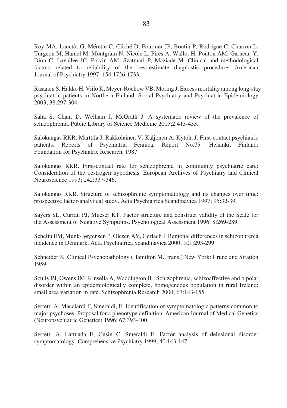Roy MA, Lanctôt G, Mérette C, Cliché D, Fournier JP, Boutin P, Rodrigue C. Charron L, Turgeon M, Hamel M, Montgrain N, Nicole L, Pirès A, Wallot H, Ponton AM, Garneau Y, Dion C, Lavallee JC, Potvin AM, Szatmari P, Maziade M. Clinical and methodological factors related to reliability of the best-estimate diagnostic procedure. American Journal of Psychiatry 1997; 154:1726-1733.

Räsänen S, Hakko H, Viilo K, Meyer-Rochow VB, Moring J. Excess mortality among long-stay psychiatric patients in Northern Finland. Social Psychiatry and Psychiatric Epidemiology 2003; 38:297-304.

Saha S, Chant D, Welham J, McGrath J. A systematic review of the prevalence of schizophrenia. Public Library of Science Medicine 2005;2:413-433.

Salokangas RKR, Marttila J, Räkköläinen V, Kaljonen A, Kytölä J. First-contact psychiatric patients. Reports of Psychiatria Fennica, Report No.75. Helsinki, Finland: Foundation for Psychiatric Research, 1987.

Salokangas RKR. First-contact rate for schizophrenia in community psychiatric care: Consideration of the oestrogen hypothesis. European Archives of Psychiatry and Clinical Neuroscience 1993; 242:337-346.

Salokangas RKR. Structure of schizophrenic symptomatology and its changes over time: prospective factor-analytical study. Acta Psychiatrica Scandinavica 1997; 95:32-39.

Sayers SL, Curran PJ, Mueser KT. Factor structure and construct validity of the Scale for the Assessment of Negative Symptoms. Psychological Assessment 1996; 8:269-289.

Schelin EM, Munk-Jørgensen P, Olesen AV, Gerlach J. Regional differences in schizophrenia incidence in Denmark. Acta Psychiatrica Scandinavica 2000; 101:293-299.

Schneider K. Clinical Psychopathology (Hamilton M., trans.) New York: Crune and Stratton 1959.

Scully PJ, Owens JM, Kinsella A, Waddington JL. Schizophrenia, schizoaffective and bipolar disorder within an epidemiologically complete, homogeneous population in rural Ireland: small area variation in rate. Schizophrenia Research 2004; 67:143-155.

Serretti A, Macciardi F, Smeraldi, E. Identification of symptomatologic patterns common to major psychoses: Proposal for a phenotype definition. American Journal of Medical Genetics (Neuropsychiatric Genetics) 1996; 67:393-400.

Serretti A, Lattuada E, Cusin C, Smeraldi E. Factor analysis of delusional disorder symptomatology. Comprehensive Psychiatry 1999; 40:143-147.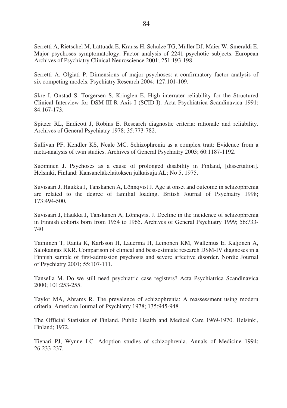Serretti A, Rietschel M, Lattuada E, Krauss H, Schulze TG, Müller DJ, Maier W, Smeraldi E. Major psychoses symptomatology: Factor analysis of 2241 psychotic subjects. European Archives of Psychiatry Clinical Neuroscience 2001; 251:193-198.

Serretti A, Olgiati P. Dimensions of major psychoses: a confirmatory factor analysis of six competing models. Psychiatry Research 2004; 127:101-109.

Skre I, Onstad S, Torgersen S, Kringlen E. High interrater reliability for the Structured Clinical Interview for DSM-III-R Axis I (SCID-I). Acta Psychiatrica Scandinavica 1991; 84:167-173.

Spitzer RL, Endicott J, Robins E. Research diagnostic criteria: rationale and reliability. Archives of General Psychiatry 1978; 35:773-782.

Sullivan PF, Kendler KS, Neale MC. Schizophrenia as a complex trait: Evidence from a meta-analysis of twin studies. Archives of General Psychiatry 2003; 60:1187-1192.

Suominen J. Psychoses as a cause of prolonged disability in Finland, [dissertation]. Helsinki, Finland: Kansaneläkelaitoksen julkaisuja AL; No 5, 1975.

Suvisaari J, Haukka J, Tanskanen A, Lönnqvist J. Age at onset and outcome in schizophrenia are related to the degree of familial loading. British Journal of Psychiatry 1998; 173:494-500.

Suvisaari J, Haukka J, Tanskanen A, Lönnqvist J. Decline in the incidence of schizophrenia in Finnish cohorts born from 1954 to 1965. Archives of General Psychiatry 1999; 56:733- 740

Taiminen T, Ranta K, Karlsson H, Lauerma H, Leinonen KM, Wallenius E, Kaljonen A, Salokangas RKR. Comparison of clinical and best-estimate research DSM-IV diagnoses in a Finnish sample of first-admission psychosis and severe affective disorder. Nordic Journal of Psychiatry 2001; 55:107-111.

Tansella M. Do we still need psychiatric case registers? Acta Psychiatrica Scandinavica 2000; 101:253-255.

Taylor MA, Abrams R. The prevalence of schizophrenia: A reassessment using modern criteria. American Journal of Psychiatry 1978; 135:945-948.

The Official Statistics of Finland. Public Health and Medical Care 1969-1970. Helsinki, Finland; 1972.

Tienari PJ, Wynne LC. Adoption studies of schizophrenia. Annals of Medicine 1994; 26:233-237.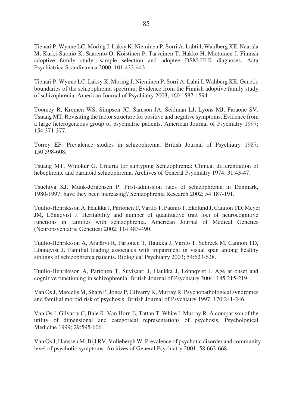Tienari P, Wynne LC, Moring J, Läksy K, Nieminen P, Sorri A, Lahti I, Wahlberg KE, Naarala M, Kurki-Suonio K, Saarento O, Koistinen P, Tarvainen T, Hakko H, Miettunen J. Finnish adoptive family study: sample selection and adoptee DSM-III-R diagnoses. Acta Psychiatrica Scandinavica 2000; 101:433-443.

Tienari P, Wynne LC, Läksy K, Moring J, Nieminen P, Sorri A, Lahti I, Wahberg KE. Genetic boundaries of the schizophrenia spectrum: Evidence from the Finnish adoptive family study of schizophrenia. American Journal of Psychiatry 2003; 160:1587-1594.

Toomey R, Kremen WS, Simpson JC, Samson JA, Seidman LJ, Lyons MJ, Faraone SV, Tsuang MT. Revisiting the factor structure for positive and negative symptoms: Evidence from a large heterogeneous group of psychiatric patients. American Journal of Psychiatry 1997; 154:371-377.

Torrey EF. Prevalence studies in schizophrenia. British Journal of Psychiatry 1987; 150:598-608.

Tsuang MT, Winokur G. Criteria for subtyping Schizophrenia: Clinical differentiation of hebephrenic and paranoid schizophrenia. Archives of General Psychiatry 1974; 31:43-47.

Tsuchiya KJ, Munk-Jørgensen P. First-admission rates of schizophrenia in Denmark, 1980-1997: have they been increasing? Schizophrenia Research 2002; 54:187-191.

Tuulio-Henriksson A, Haukka J, Partonen T, Varilo T, Paunio T, Ekelund J, Cannon TD, Meyer JM, Lönnqvist J. Heritability and number of quantitative trait loci of neurocognitive functions in families with schizophrenia. American Journal of Medical Genetics (Neuropsychiatric Genetics) 2002; 114:483-490.

Tuulio-Henriksson A, Arajärvi R, Partonen T, Haukka J, Varilo T, Schreck M, Cannon TD, Lönnqvist J. Familial loading associates with impairment in visual span among healthy siblings of schizophrenia patients. Biological Psychiatry 2003; 54:623-628.

Tuulio-Henriksson A, Partonen T, Suvisaari J, Haukka J, Lönnqvist J. Age at onset and cognitive functioning in schizophrenia. British Journal of Psychiatry 2004; 185:215-219.

Van Os J, Marcelis M, Sham P, Jones P, Gilvarry K, Murray R. Psychopathological syndromes and familial morbid risk of psychosis. British Journal of Psychiatry 1997; 170:241-246.

Van Os J, Gilvarry C, Bale R, Van Horn E, Tattan T, White I, Murray R. A comparison of the utility of dimensional and categorical representations of psychosis. Psychological Medicine 1999; 29:595-606.

Van Os J, Hanssen M, Bijl RV, Vollebergh W. Prevalence of psychotic disorder and community level of psychotic symptoms. Archives of General Psychiatry 2001; 58:663-668.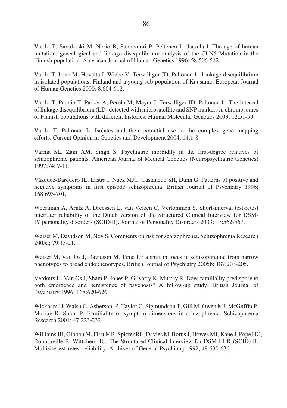Varilo T, Savukoski M, Norio R, Santavuori P, Peltonen L, Järvelä I. The age of human mutation: genealogical and linkage disequilibrium analysis of the CLN5 Mutation in the Finnish population. American Journal of Human Genetics 1996; 58:506-512.

Varilo T, Laan M, Hovatta I, Wiebe V, Terwilliger JD, Peltonen L. Linkage disequilibrium in isolated populations: Finland and a young sub-population of Kuusamo. European Journal of Human Genetics 2000; 8:604-612.

Varilo T, Paunio T, Parker A, Perola M, Meyer J, Terwilliger JD, Peltonen L. The interval of linkage disequilibrium (LD) detected with microsatellite and SNP markers in chromosomes of Finnish populations with different histories. Human Molecular Genetics 2003; 12:51-59.

Varilo T, Peltonen L. Isolates and their potential use in the complex gene mapping efforts. Current Opinion in Genetics and Development 2004; 14:1-8.

Varma SL, Zain AM, Singh S. Psychiatric morbidity in the first-degree relatives of schizophrenic patients. American Journal of Medical Genetics (Neuropsychiatric Genetics) 1997;74: 7-11.

Vázquez-Barquero JL, Lastra I, Nuez MJC, Castanedo SH, Dunn G. Patterns of positive and negative symptoms in first episode schizophrenia. British Journal of Psychiatry 1996; 168:693-701.

Weertman A, Arntz A, Dreessen L, van Velzen C, Vertommen S. Short-interval test-retest interrater reliability of the Dutch version of the Structured Clinical Interview for DSM-IV personality disorders (SCID-II). Journal of Personality Disorders 2003; 17:562-567.

Weiser M, Davidson M, Noy S. Comments on risk for schizophrenia. Schizophrenia Research 2005a; 79:15-21.

Weiser M, Van Os J, Davidson M. Time for a shift in focus in schizophrenia: from narrow phenotypes to broad endophenotypes. British Journal of Psychiatry 2005b; 187:203-205.

Verdoux H, Van Os J, Sham P, Jones P, Gilvarry K, Murray R. Does familiality predispose to both emergence and persistence of psychosis? A follow-up study. British Journal of Psychiatry 1996; 168:620-626.

Wickham H, Walsh C, Asherson, P, Taylor C, Sigmundson T, Gill M, Owen MJ, McGuffin P, Murray R, Sham P. Familiality of symptom dimensions in schizophrenia. Schizophrenia Research 2001; 47:223-232.

Williams JB, Gibbon M, First MB, Spitzer RL, Davies M, Borus J, Howes MJ, Kane J, Pope HG, Rounsaville B, Wittchen HU. The Structured Clinical Interview for DSM-III-R (SCID) II. Multisite test-retest reliability. Archives of General Psychiatry 1992; 49:630-636.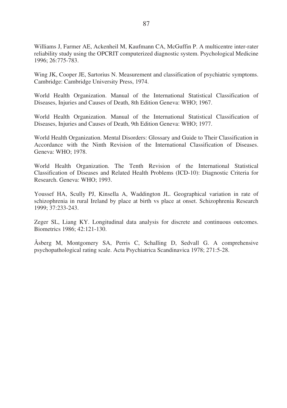Williams J, Farmer AE, Ackenheil M, Kaufmann CA, McGuffin P. A multicentre inter-rater reliability study using the OPCRIT computerized diagnostic system. Psychological Medicine 1996; 26:775-783.

Wing JK, Cooper JE, Sartorius N. Measurement and classification of psychiatric symptoms. Cambridge: Cambridge University Press, 1974.

World Health Organization. Manual of the International Statistical Classification of Diseases, Injuries and Causes of Death, 8th Edition Geneva: WHO; 1967.

World Health Organization. Manual of the International Statistical Classification of Diseases, Injuries and Causes of Death, 9th Edition Geneva: WHO; 1977.

World Health Organization. Mental Disorders: Glossary and Guide to Their Classification in Accordance with the Ninth Revision of the International Classification of Diseases. Geneva: WHO; 1978.

World Health Organization. The Tenth Revision of the International Statistical Classification of Diseases and Related Health Problems (ICD-10): Diagnostic Criteria for Research. Geneva: WHO; 1993.

Youssef HA, Scully PJ, Kinsella A, Waddington JL. Geographical variation in rate of schizophrenia in rural Ireland by place at birth vs place at onset. Schizophrenia Research 1999; 37:233-243.

Zeger SL, Liang KY. Longitudinal data analysis for discrete and continuous outcomes. Biometrics 1986; 42:121-130.

Åsberg M, Montgomery SA, Perris C, Schalling D, Sedvall G. A comprehensive psychopathological rating scale. Acta Psychiatrica Scandinavica 1978; 271:5-28.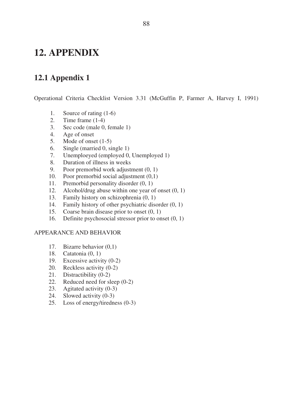# **12. APPENDIX**

### **12.1 Appendix 1**

Operational Criteria Checklist Version 3.31 (McGuffin P, Farmer A, Harvey I, 1991)

- 1. Source of rating (1-6)
- 2. Time frame (1-4)
- 3. Sec code (male 0, female 1)
- 4. Age of onset
- 5. Mode of onset (1-5)
- 6. Single (married 0, single 1)
- 7. Unemploeyed (employed 0, Unemployed 1)
- 8. Duration of illness in weeks
- 9. Poor premorbid work adjustment (0, 1)
- 10. Poor premorbid social adjustment (0,1)
- 11. Premorbid personality disorder (0, 1)
- 12. Alcohol/drug abuse within one year of onset (0, 1)
- 13. Family history on schizophrenia (0, 1)
- 14. Family history of other psychiatric disorder (0, 1)
- 15. Coarse brain disease prior to onset (0, 1)
- 16. Definite psychosocial stressor prior to onset (0, 1)

#### APPEARANCE AND BEHAVIOR

- 17. Bizarre behavior (0,1)
- 18. Catatonia (0, 1)
- 19. Excessive activity (0-2)
- 20. Reckless activity (0-2)
- 21. Distractibility (0-2)
- 22. Reduced need for sleep (0-2)
- 23. Agitated activity (0-3)
- 24. Slowed activity (0-3)
- 25. Loss of energy/tiredness (0-3)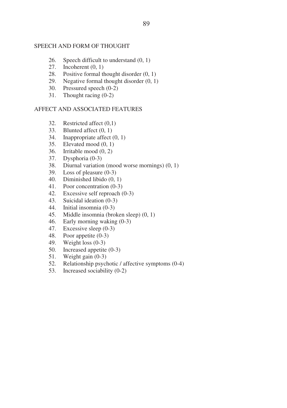#### SPEECH AND FORM OF THOUGHT

- 26. Speech difficult to understand (0, 1)
- 27. Incoherent (0, 1)
- 28. Positive formal thought disorder  $(0, 1)$
- 29. Negative formal thought disorder (0, 1)
- 30. Pressured speech (0-2)
- 31. Thought racing (0-2)

#### AFFECT AND ASSOCIATED FEATURES

- 32. Restricted affect (0,1)
- 33. Blunted affect (0, 1)
- 34. Inappropriate affect  $(0, 1)$ <br>35. Elevated mood  $(0, 1)$
- Elevated mood  $(0, 1)$
- 36. Irritable mood (0, 2)
- 37. Dysphoria (0-3)
- 38. Diurnal variation (mood worse mornings)  $(0, 1)$ <br>39. Loss of pleasure  $(0-3)$
- Loss of pleasure  $(0-3)$
- 40. Diminished libido (0, 1)
- 41. Poor concentration (0-3)
- 42. Excessive self reproach (0-3)
- 43. Suicidal ideation (0-3)
- 44. Initial insomnia (0-3)
- 45. Middle insomnia (broken sleep) (0, 1)
- 46. Early morning waking (0-3)
- 47. Excessive sleep (0-3)
- 48. Poor appetite  $(0-3)$ <br>49. Weight loss  $(0-3)$
- Weight loss  $(0-3)$
- 50. Increased appetite (0-3)
- 51. Weight gain (0-3)
- 52. Relationship psychotic / affective symptoms (0-4)
- 53. Increased sociability (0-2)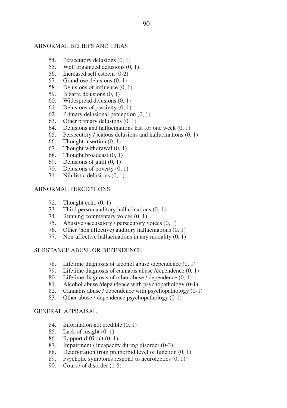#### ABNORMAL BELIEFS AND IDEAS

- 54. Persecutory delusions (0, 1)
- 55. Well organized delusions (0, 1)
- 56. Increased self esteem (0-2)
- 57. Grandiose delusions (0, 1)
- 58. Delusions of influence (0, 1)
- 59. Bizarre delusions (0, 1)
- 60. Widespread delusions (0, 1)
- 61. Delusions of passivity (0, 1)
- 62. Primary delusional perception (0, 1)
- 63. Other primary delusions (0, 1)
- 64. Delusions and hallucinations last for one week (0, 1)
- 65. Persecutory / jealous delusions and hallucinations (0, 1)
- 66. Thought insertion (0, 1)
- 67. Thought withdrawal (0, 1)
- 68. Thought broadcast (0, 1)
- 69. Delusions of guilt (0, 1)
- 70. Delusions of poverty (0, 1)
- 71. Nihilistic delusions (0, 1)

#### ABNORMAL PERCEPTIONS

- 72. Thought echo (0, 1)
- 73. Third person auditory hallucinations (0, 1)
- 74. Running commentary voices (0, 1)
- 75. Abusive /accusatory / persecutory voices (0, 1)
- 76. Other (non affective) auditory hallucinations (0, 1)
- 77. Non-affective hallucinations in any modality (0, 1)

#### SUBSTANCE ABUSE OR DEPENDENCE

- 78. Lifetime diagnosis of alcohol abuse /dependence (0, 1)
- 79. Lifetime diagnosis of cannabis abuse /dependence (0, 1)
- 80. Lifetime diagnosis of other abuse / dependence (0, 1)
- 81. Alcohol abuse /dependence with psychopathology (0-1)
- 82. Cannabis abuse / dependence with psychopathology (0-1)
- 83. Other abuse / dependence psychopathology (0-1)

#### GENERAL APPRAISAL

- 84. Information not credible  $(0, 1)$ <br>85. Lack of insight  $(0, 1)$
- Lack of insight  $(0, 1)$
- 86. Rapport difficult (0, 1)
- 87. Impairment / incapacity during disorder (0-3)
- 88. Deterioration from premorbid level of function (0, 1)
- 89. Psychotic symptoms respond to neuroleptics (0, 1)
- 90. Course of disorder (1-5)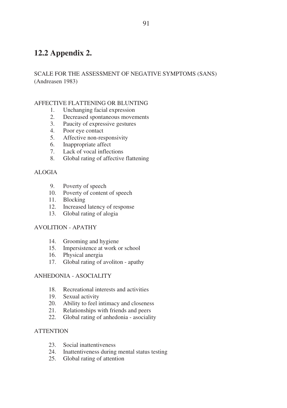## **12.2 Appendix 2.**

SCALE FOR THE ASSESSMENT OF NEGATIVE SYMPTOMS (SANS) (Andreasen 1983)

#### AFFECTIVE FLATTENING OR BLUNTING

- 1. Unchanging facial expression<br>2. Decreased spontaneous mover
- Decreased spontaneous movements
- 3. Paucity of expressive gestures
- 4. Poor eye contact
- 5. Affective non-responsivity
- 6. Inappropriate affect
- 7. Lack of vocal inflections
- 8. Global rating of affective flattening

#### ALOGIA

- 9. Poverty of speech
- 10. Poverty of content of speech
- 11. Blocking
- 12. Increased latency of response
- 13. Global rating of alogia

#### AVOLITION - APATHY

- 14. Grooming and hygiene
- 15. Impersistence at work or school
- 16. Physical anergia
- 17. Global rating of avoliton apathy

#### ANHEDONIA - ASOCIALITY

- 18. Recreational interests and activities
- 19. Sexual activity
- 20. Ability to feel intimacy and closeness
- 21. Relationships with friends and peers
- 22. Global rating of anhedonia asociality

#### **ATTENTION**

- 23. Social inattentiveness
- 24. Inattentiveness during mental status testing
- 25. Global rating of attention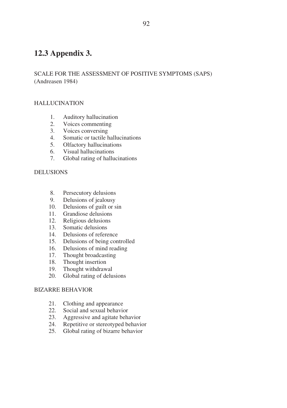## **12.3 Appendix 3.**

SCALE FOR THE ASSESSMENT OF POSITIVE SYMPTOMS (SAPS) (Andreasen 1984)

#### HALLUCINATION

- 1. Auditory hallucination<br>2. Voices commenting
- Voices commenting
- 3. Voices conversing
- 4. Somatic or tactile hallucinations
- 5. Olfactory hallucinations
- 6. Visual hallucinations
- 7. Global rating of hallucinations

#### DELUSIONS

- 8. Persecutory delusions
- 9. Delusions of jealousy
- 10. Delusions of guilt or sin
- 11. Grandiose delusions
- 12. Religious delusions
- 13. Somatic delusions
- 14. Delusions of reference
- 15. Delusions of being controlled
- 16. Delusions of mind reading
- 17. Thought broadcasting
- 18. Thought insertion
- 19. Thought withdrawal
- 20. Global rating of delusions

#### BIZARRE BEHAVIOR

- 21. Clothing and appearance
- 22. Social and sexual behavior
- 23. Aggressive and agitate behavior
- 24. Repetitive or stereotyped behavior
- 25. Global rating of bizarre behavior